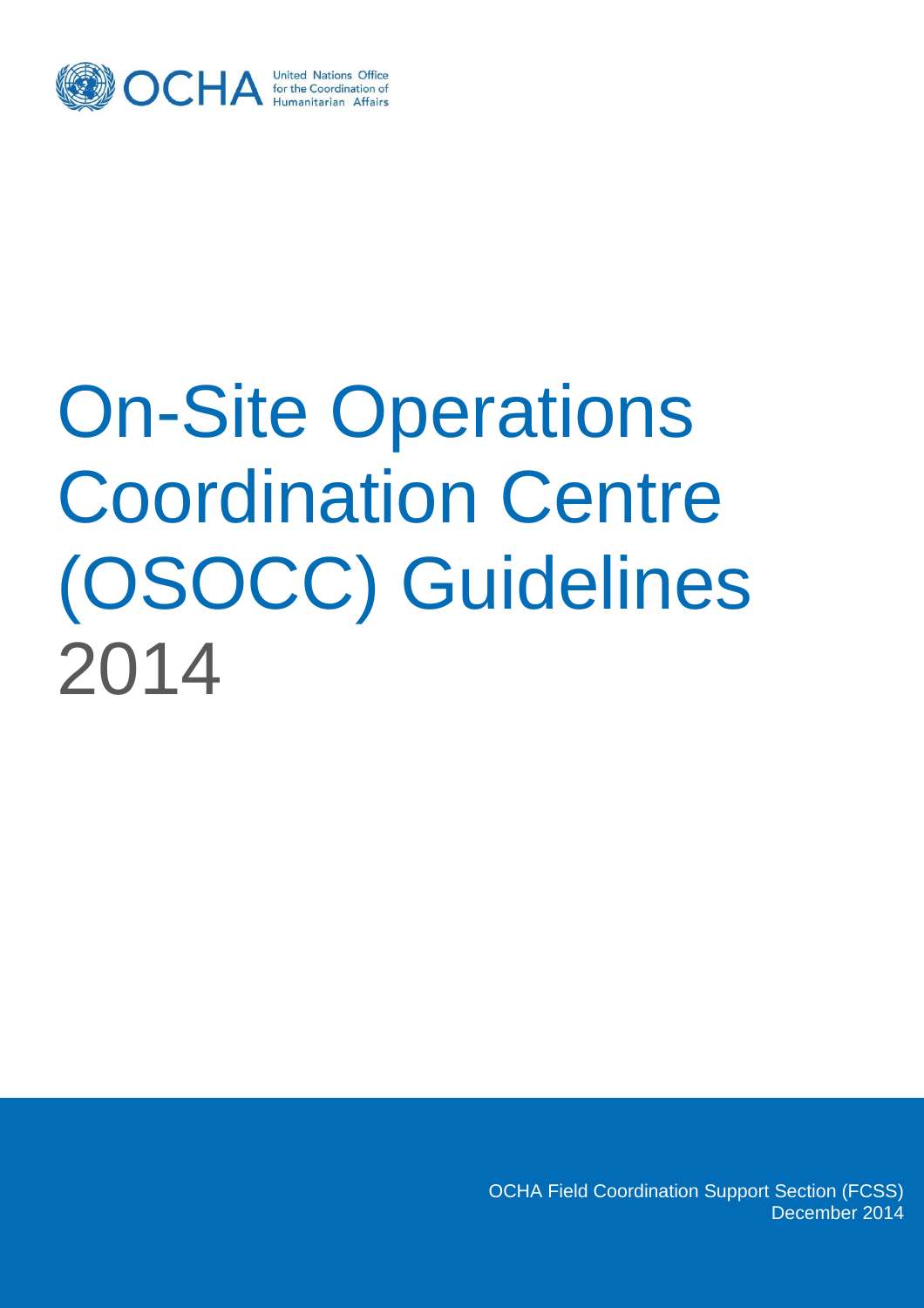

# On-Site Operations Coordination Centre (OSOCC) Guidelines 2014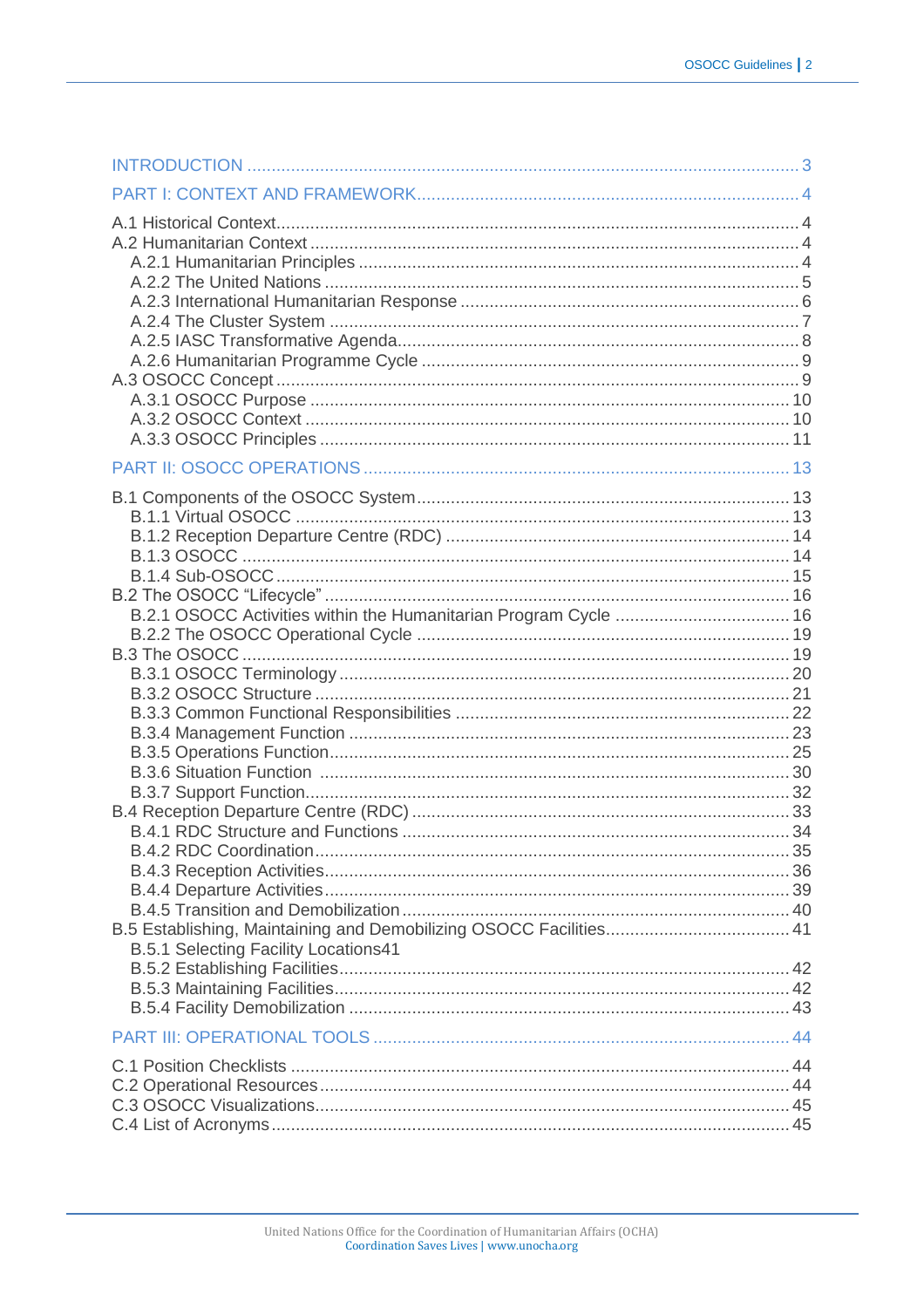| B.2.1 OSOCC Activities within the Humanitarian Program Cycle  16 |  |
|------------------------------------------------------------------|--|
|                                                                  |  |
|                                                                  |  |
| <b>B.5.1 Selecting Facility Locations41</b>                      |  |
|                                                                  |  |
|                                                                  |  |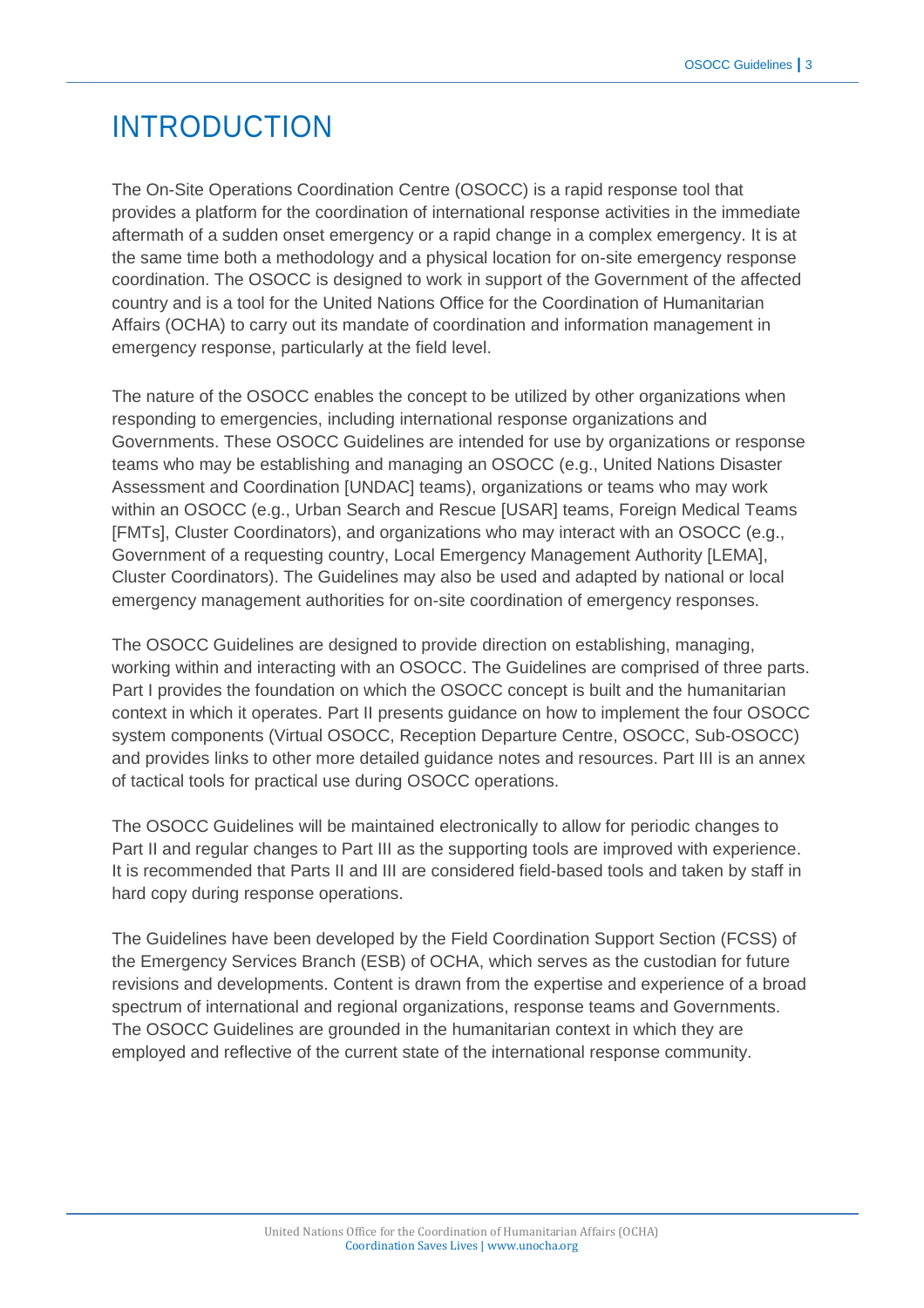# INTRODUCTION

The On-Site Operations Coordination Centre (OSOCC) is a rapid response tool that provides a platform for the coordination of international response activities in the immediate aftermath of a sudden onset emergency or a rapid change in a complex emergency. It is at the same time both a methodology and a physical location for on-site emergency response coordination. The OSOCC is designed to work in support of the Government of the affected country and is a tool for the United Nations Office for the Coordination of Humanitarian Affairs (OCHA) to carry out its mandate of coordination and information management in emergency response, particularly at the field level.

The nature of the OSOCC enables the concept to be utilized by other organizations when responding to emergencies, including international response organizations and Governments. These OSOCC Guidelines are intended for use by organizations or response teams who may be establishing and managing an OSOCC (e.g., United Nations Disaster Assessment and Coordination [UNDAC] teams), organizations or teams who may work within an OSOCC (e.g., Urban Search and Rescue [USAR] teams, Foreign Medical Teams [FMTs], Cluster Coordinators), and organizations who may interact with an OSOCC (e.g., Government of a requesting country, Local Emergency Management Authority [LEMA], Cluster Coordinators). The Guidelines may also be used and adapted by national or local emergency management authorities for on-site coordination of emergency responses.

The OSOCC Guidelines are designed to provide direction on establishing, managing, working within and interacting with an OSOCC. The Guidelines are comprised of three parts. Part I provides the foundation on which the OSOCC concept is built and the humanitarian context in which it operates. Part II presents guidance on how to implement the four OSOCC system components (Virtual OSOCC, Reception Departure Centre, OSOCC, Sub-OSOCC) and provides links to other more detailed guidance notes and resources. Part III is an annex of tactical tools for practical use during OSOCC operations.

The OSOCC Guidelines will be maintained electronically to allow for periodic changes to Part II and regular changes to Part III as the supporting tools are improved with experience. It is recommended that Parts II and III are considered field-based tools and taken by staff in hard copy during response operations.

The Guidelines have been developed by the Field Coordination Support Section (FCSS) of the Emergency Services Branch (ESB) of OCHA, which serves as the custodian for future revisions and developments. Content is drawn from the expertise and experience of a broad spectrum of international and regional organizations, response teams and Governments. The OSOCC Guidelines are grounded in the humanitarian context in which they are employed and reflective of the current state of the international response community.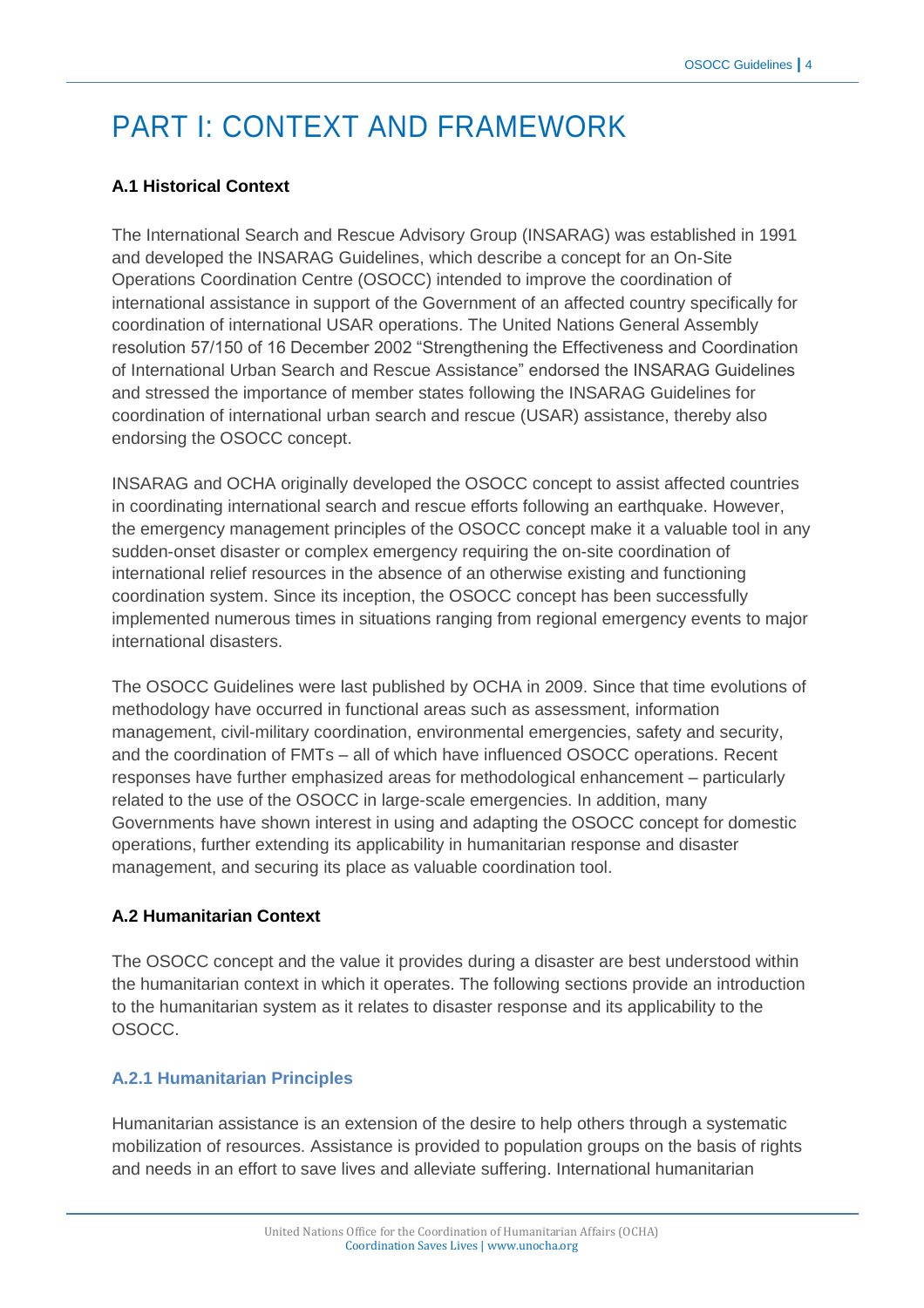# PART I: CONTEXT AND FRAMEWORK

# **A.1 Historical Context**

The International Search and Rescue Advisory Group (INSARAG) was established in 1991 and developed the [INSARAG Guidelines,](http://insarag.org/en/methodology/guidelines.html) which describe a concept for an On-Site Operations Coordination Centre (OSOCC) intended to improve the coordination of international assistance in support of the Government of an affected country specifically for coordination of international USAR operations. The United Nations General Assembly resolution 57/150 of 16 December 2002 "Strengthening the Effectiveness and Coordination of International Urban Search and Rescue Assistance" endorsed the INSARAG Guidelines and stressed the importance of member states following the INSARAG Guidelines for coordination of international urban search and rescue (USAR) assistance, thereby also endorsing the OSOCC concept.

INSARAG and OCHA originally developed the OSOCC concept to assist affected countries in coordinating international search and rescue efforts following an earthquake. However, the emergency management principles of the OSOCC concept make it a valuable tool in any sudden-onset disaster or complex emergency requiring the on-site coordination of international relief resources in the absence of an otherwise existing and functioning coordination system. Since its inception, the OSOCC concept has been successfully implemented numerous times in situations ranging from regional emergency events to major international disasters.

The OSOCC Guidelines were last published by OCHA in 2009. Since that time evolutions of methodology have occurred in functional areas such as assessment, information management, civil-military coordination, environmental emergencies, safety and security, and the coordination of FMTs – all of which have influenced OSOCC operations. Recent responses have further emphasized areas for methodological enhancement – particularly related to the use of the OSOCC in large-scale emergencies. In addition, many Governments have shown interest in using and adapting the OSOCC concept for domestic operations, further extending its applicability in humanitarian response and disaster management, and securing its place as valuable coordination tool.

# **A.2 Humanitarian Context**

The OSOCC concept and the value it provides during a disaster are best understood within the humanitarian context in which it operates. The following sections provide an introduction to the humanitarian system as it relates to disaster response and its applicability to the OSOCC.

# **A.2.1 Humanitarian Principles**

Humanitarian assistance is an extension of the desire to help others through a systematic mobilization of resources. Assistance is provided to population groups on the basis of rights and needs in an effort to save lives and alleviate suffering. International humanitarian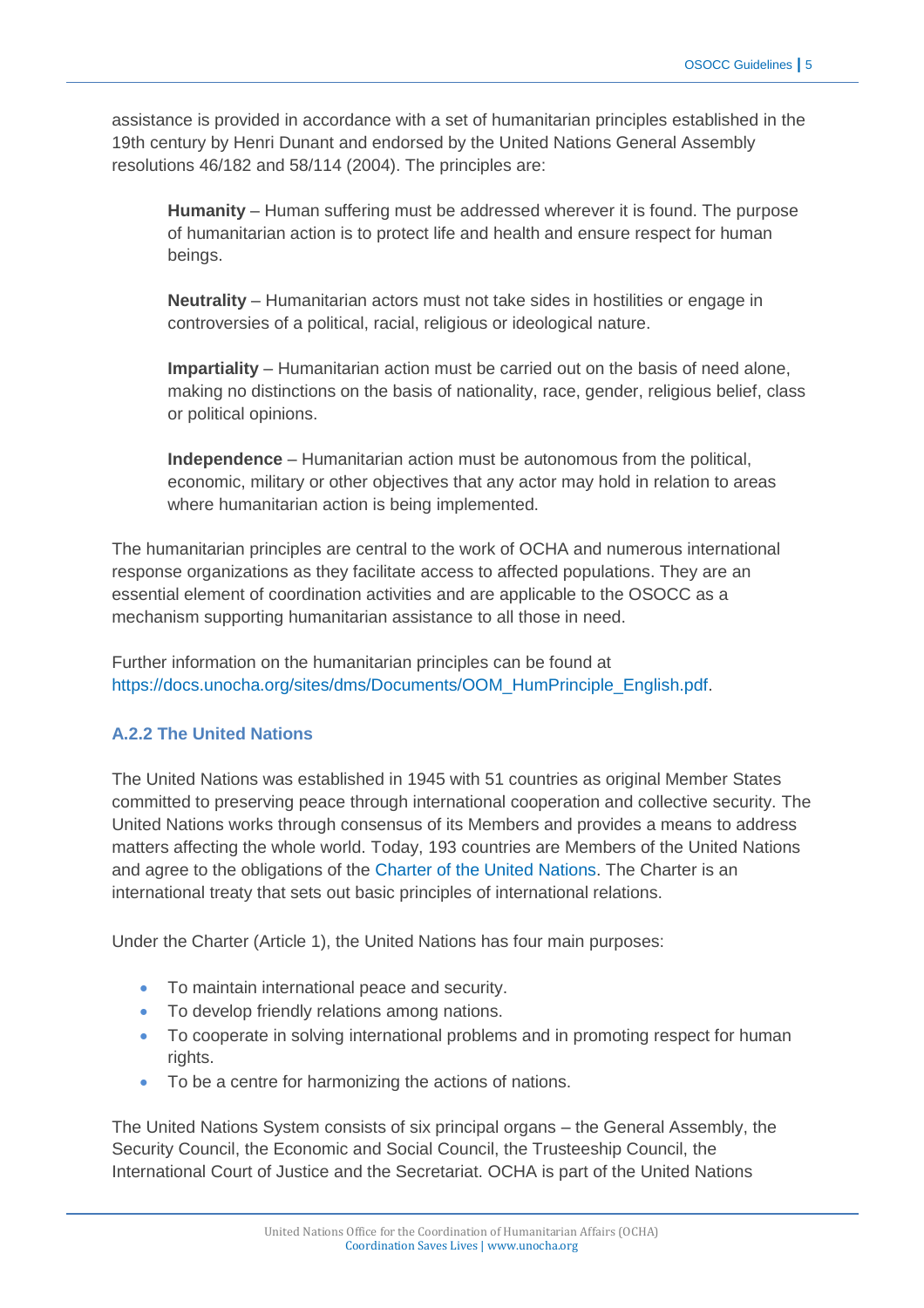assistance is provided in accordance with a set of humanitarian principles established in the 19th century by Henri Dunant and endorsed by the United Nations General Assembly resolutions 46/182 and 58/114 (2004). The principles are:

**Humanity** – Human suffering must be addressed wherever it is found. The purpose of humanitarian action is to protect life and health and ensure respect for human beings.

**Neutrality** – Humanitarian actors must not take sides in hostilities or engage in controversies of a political, racial, religious or ideological nature.

**Impartiality** – Humanitarian action must be carried out on the basis of need alone, making no distinctions on the basis of nationality, race, gender, religious belief, class or political opinions.

**Independence** – Humanitarian action must be autonomous from the political, economic, military or other objectives that any actor may hold in relation to areas where humanitarian action is being implemented.

The humanitarian principles are central to the work of OCHA and numerous international response organizations as they facilitate access to affected populations. They are an essential element of coordination activities and are applicable to the OSOCC as a mechanism supporting humanitarian assistance to all those in need.

Further information on the humanitarian principles can be found at [https://docs.unocha.org/sites/dms/Documents/OOM\\_HumPrinciple\\_English.pdf.](https://docs.unocha.org/sites/dms/Documents/OOM_HumPrinciple_English.pdf)

# **A.2.2 The United Nations**

The United Nations was established in 1945 with 51 countries as original Member States committed to preserving peace through international cooperation and collective security. The United Nations works through consensus of its Members and provides a means to address matters affecting the whole world. Today, 193 countries are Members of the United Nations and agree to the obligations of the [Charter of the United Nations.](http://www.un.org/en/documents/charter/index.shtml) The Charter is an international treaty that sets out basic principles of international relations.

Under the Charter (Article 1), the United Nations has four main purposes:

- To maintain international peace and security.
- To develop friendly relations among nations.
- To cooperate in solving international problems and in promoting respect for human rights.
- To be a centre for harmonizing the actions of nations.

The United Nations System consists of six principal organs – the General Assembly, the Security Council, the Economic and Social Council, the Trusteeship Council, the International Court of Justice and the Secretariat. OCHA is part of the United Nations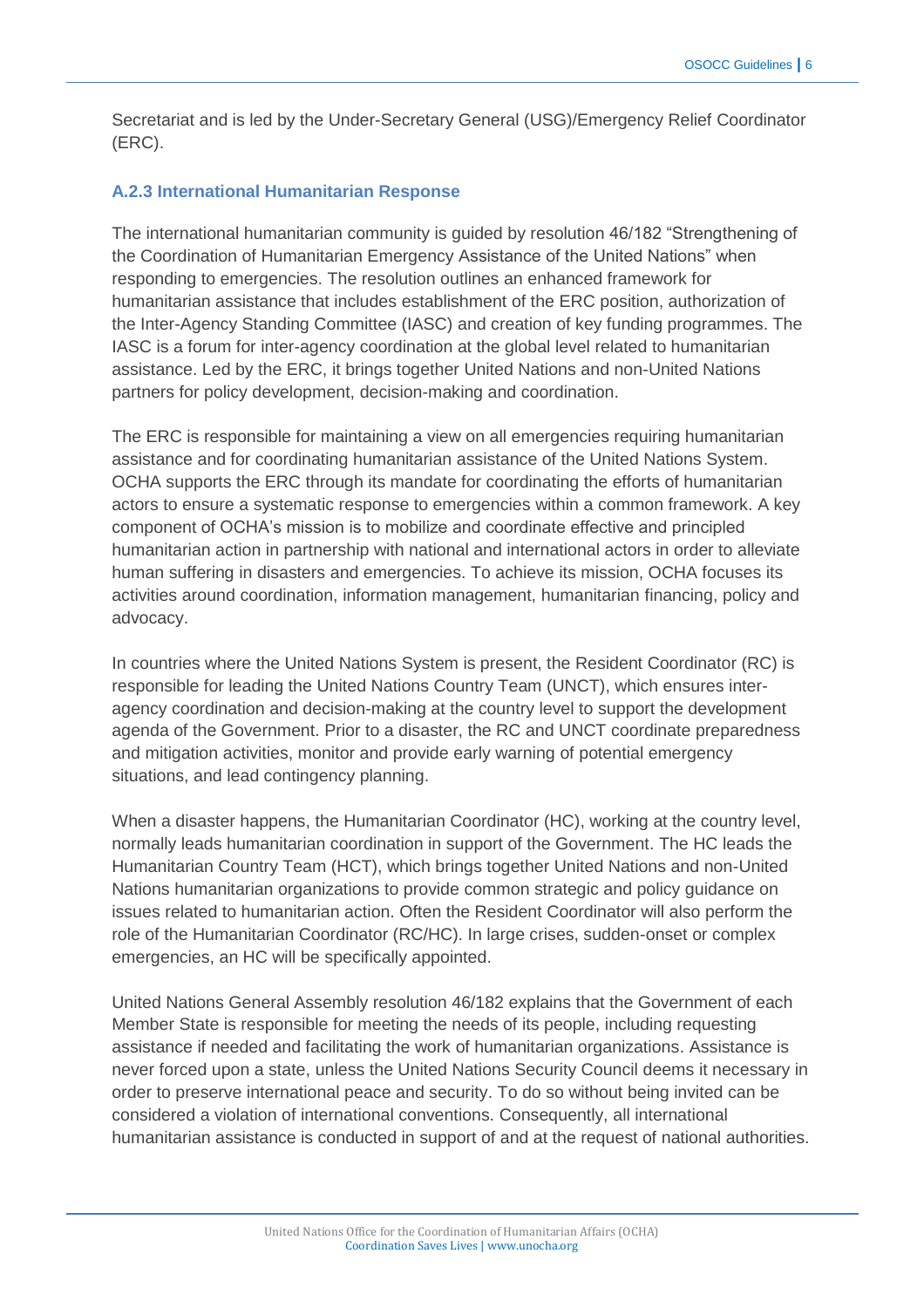Secretariat and is led by the Under-Secretary General (USG)/Emergency Relief Coordinator (ERC).

#### **A.2.3 International Humanitarian Response**

The international humanitarian community is guided by resolution 46/182 "Strengthening of the Coordination of Humanitarian Emergency Assistance of the United Nations" when responding to emergencies. The resolution outlines an enhanced framework for humanitarian assistance that includes establishment of the ERC position, authorization of the Inter-Agency Standing Committee (IASC) and creation of key funding programmes. The IASC is a forum for inter-agency coordination at the global level related to humanitarian assistance. Led by the ERC, it brings together United Nations and non-United Nations partners for policy development, decision-making and coordination.

The ERC is responsible for maintaining a view on all emergencies requiring humanitarian assistance and for coordinating humanitarian assistance of the United Nations System. OCHA supports the ERC through its mandate for coordinating the efforts of humanitarian actors to ensure a systematic response to emergencies within a common framework. A key component of OCHA's mission is to mobilize and coordinate effective and principled humanitarian action in partnership with national and international actors in order to alleviate human suffering in disasters and emergencies. To achieve its mission, OCHA focuses its activities around coordination, information management, humanitarian financing, policy and advocacy.

In countries where the United Nations System is present, the Resident Coordinator (RC) is responsible for leading the United Nations Country Team (UNCT), which ensures interagency coordination and decision-making at the country level to support the development agenda of the Government. Prior to a disaster, the RC and UNCT coordinate preparedness and mitigation activities, monitor and provide early warning of potential emergency situations, and lead contingency planning.

When a disaster happens, the Humanitarian Coordinator (HC), working at the country level, normally leads humanitarian coordination in support of the Government. The HC leads the Humanitarian Country Team (HCT), which brings together United Nations and non-United Nations humanitarian organizations to provide common strategic and policy guidance on issues related to humanitarian action. Often the Resident Coordinator will also perform the role of the Humanitarian Coordinator (RC/HC). In large crises, sudden-onset or complex emergencies, an HC will be specifically appointed.

United Nations General Assembly resolution 46/182 explains that the Government of each Member State is responsible for meeting the needs of its people, including requesting assistance if needed and facilitating the work of humanitarian organizations. Assistance is never forced upon a state, unless the United Nations Security Council deems it necessary in order to preserve international peace and security. To do so without being invited can be considered a violation of international conventions. Consequently, all international humanitarian assistance is conducted in support of and at the request of national authorities.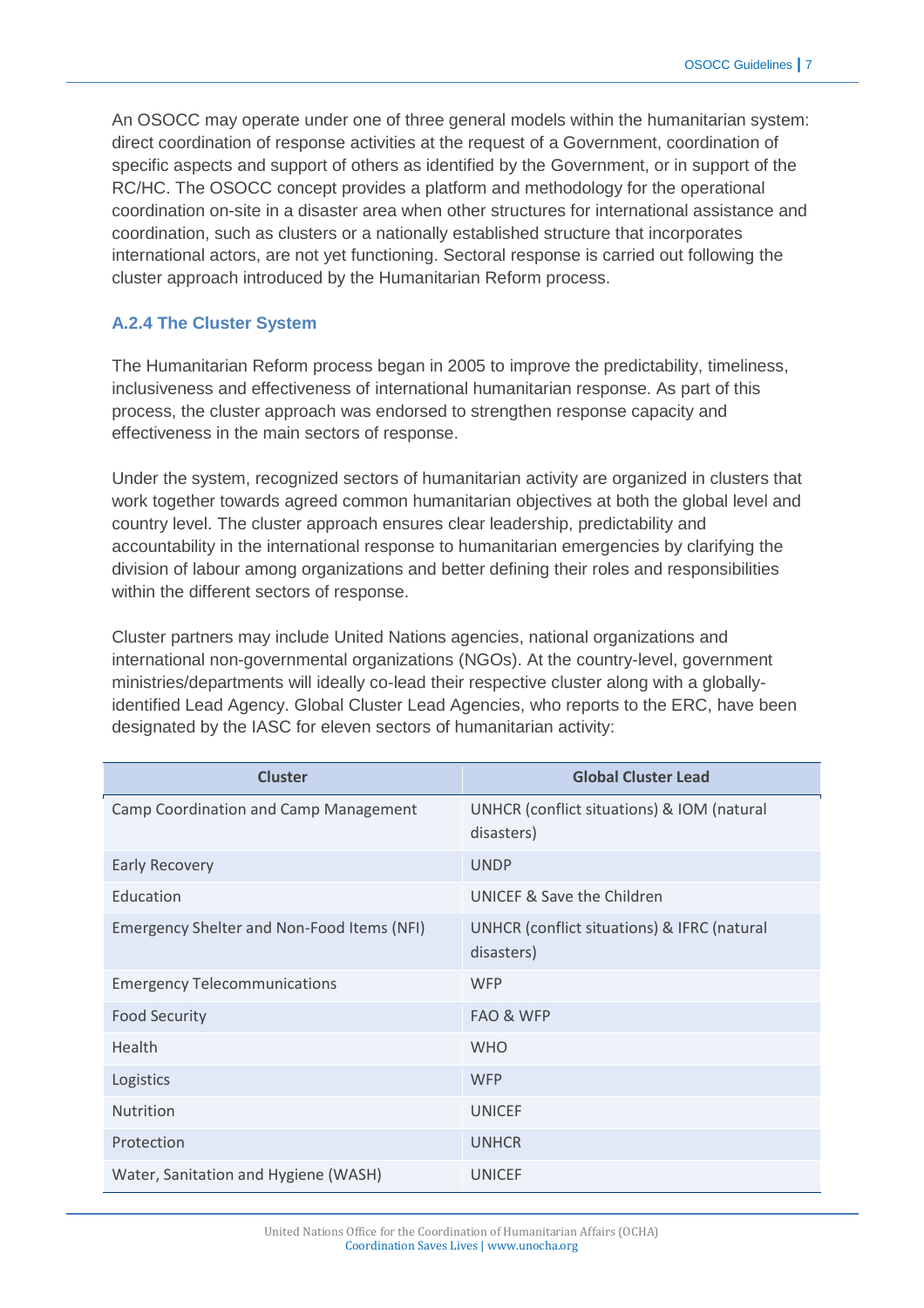An OSOCC may operate under one of three general models within the humanitarian system: direct coordination of response activities at the request of a Government, coordination of specific aspects and support of others as identified by the Government, or in support of the RC/HC. The OSOCC concept provides a platform and methodology for the operational coordination on-site in a disaster area when other structures for international assistance and coordination, such as clusters or a nationally established structure that incorporates international actors, are not yet functioning. Sectoral response is carried out following the cluster approach introduced by the Humanitarian Reform process.

#### **A.2.4 The Cluster System**

The Humanitarian Reform process began in 2005 to improve the predictability, timeliness, inclusiveness and effectiveness of international humanitarian response. As part of this process, the cluster approach was endorsed to strengthen response capacity and effectiveness in the main sectors of response.

Under the system, recognized sectors of humanitarian activity are organized in clusters that work together towards agreed common humanitarian objectives at both the global level and country level. The cluster approach ensures clear leadership, predictability and accountability in the international response to humanitarian emergencies by clarifying the division of labour among organizations and better defining their roles and responsibilities within the different sectors of response.

Cluster partners may include United Nations agencies, national organizations and international non-governmental organizations (NGOs). At the country-level, government ministries/departments will ideally co-lead their respective cluster along with a globallyidentified Lead Agency. Global Cluster Lead Agencies, who reports to the ERC, have been designated by the IASC for eleven sectors of humanitarian activity:

| <b>Cluster</b>                             | <b>Global Cluster Lead</b>                                |
|--------------------------------------------|-----------------------------------------------------------|
| Camp Coordination and Camp Management      | UNHCR (conflict situations) & IOM (natural<br>disasters)  |
| <b>Early Recovery</b>                      | <b>UNDP</b>                                               |
| Education                                  | UNICEF & Save the Children                                |
| Emergency Shelter and Non-Food Items (NFI) | UNHCR (conflict situations) & IFRC (natural<br>disasters) |
| <b>Emergency Telecommunications</b>        | <b>WFP</b>                                                |
| <b>Food Security</b>                       | FAO & WFP                                                 |
| Health                                     | <b>WHO</b>                                                |
| Logistics                                  | <b>WFP</b>                                                |
| Nutrition                                  | <b>UNICEF</b>                                             |
| Protection                                 | <b>UNHCR</b>                                              |
| Water, Sanitation and Hygiene (WASH)       | <b>UNICEF</b>                                             |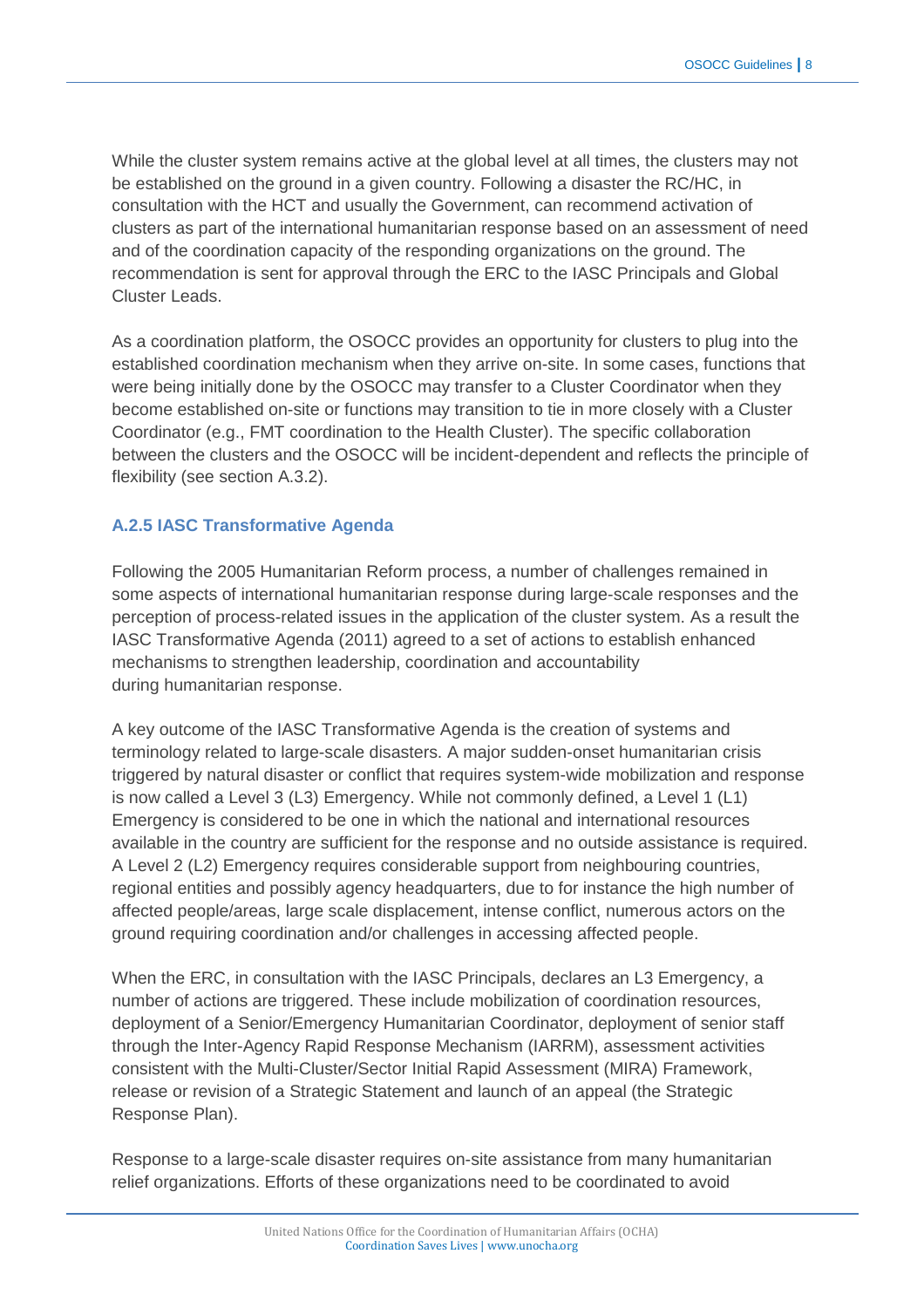While the cluster system remains active at the global level at all times, the clusters may not be established on the ground in a given country. Following a disaster the RC/HC, in consultation with the HCT and usually the Government, can recommend activation of clusters as part of the international humanitarian response based on an assessment of need and of the coordination capacity of the responding organizations on the ground. The recommendation is sent for approval through the ERC to the IASC Principals and Global Cluster Leads.

As a coordination platform, the OSOCC provides an opportunity for clusters to plug into the established coordination mechanism when they arrive on-site. In some cases, functions that were being initially done by the OSOCC may transfer to a Cluster Coordinator when they become established on-site or functions may transition to tie in more closely with a Cluster Coordinator (e.g., FMT coordination to the Health Cluster). The specific collaboration between the clusters and the OSOCC will be incident-dependent and reflects the principle of flexibility (see section A.3.2).

#### **A.2.5 IASC Transformative Agenda**

Following the 2005 Humanitarian Reform process, a number of challenges remained in some aspects of international humanitarian response during large-scale responses and the perception of process-related issues in the application of the cluster system. As a result the IASC Transformative Agenda (2011) agreed to a set of actions to establish enhanced mechanisms to strengthen leadership, coordination and accountability during humanitarian response.

A key outcome of the IASC Transformative Agenda is the creation of systems and terminology related to large-scale disasters. A major sudden-onset humanitarian crisis triggered by natural disaster or conflict that requires system-wide mobilization and response is now called a Level 3 (L3) Emergency. While not commonly defined, a Level 1 (L1) Emergency is considered to be one in which the national and international resources available in the country are sufficient for the response and no outside assistance is required. A Level 2 (L2) Emergency requires considerable support from neighbouring countries, regional entities and possibly agency headquarters, due to for instance the high number of affected people/areas, large scale displacement, intense conflict, numerous actors on the ground requiring coordination and/or challenges in accessing affected people.

When the ERC, in consultation with the IASC Principals, declares an L3 Emergency, a number of actions are triggered. These include mobilization of coordination resources, deployment of a Senior/Emergency Humanitarian Coordinator, deployment of senior staff through the Inter-Agency Rapid Response Mechanism (IARRM), assessment activities consistent with the Multi-Cluster/Sector Initial Rapid Assessment (MIRA) Framework, release or revision of a Strategic Statement and launch of an appeal (the Strategic Response Plan).

Response to a large-scale disaster requires on-site assistance from many humanitarian relief organizations. Efforts of these organizations need to be coordinated to avoid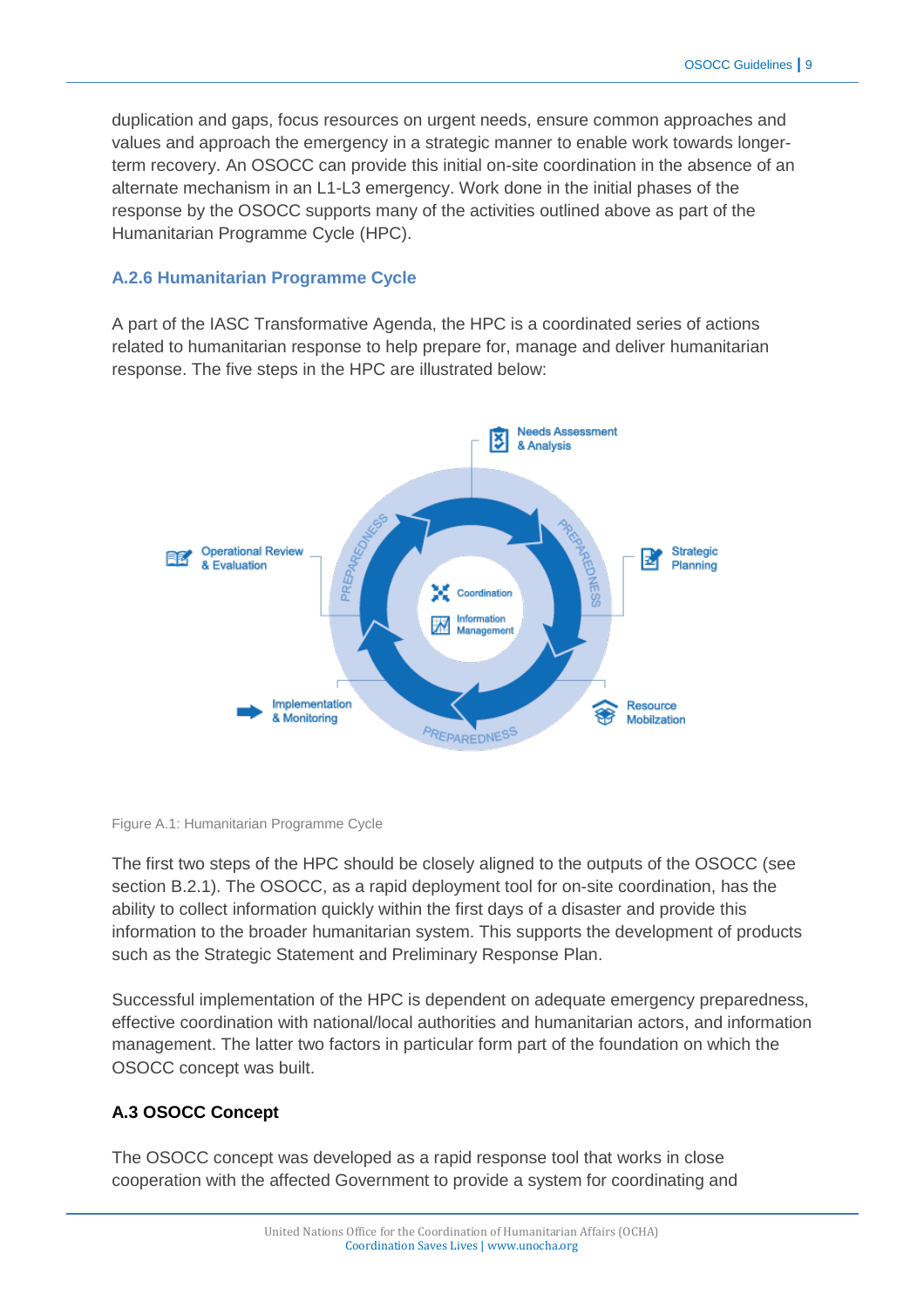duplication and gaps, focus resources on urgent needs, ensure common approaches and values and approach the emergency in a strategic manner to enable work towards longerterm recovery. An OSOCC can provide this initial on-site coordination in the absence of an alternate mechanism in an L1-L3 emergency. Work done in the initial phases of the response by the OSOCC supports many of the activities outlined above as part of the Humanitarian Programme Cycle (HPC).

# **A.2.6 Humanitarian Programme Cycle**

A part of the IASC Transformative Agenda, the HPC is a coordinated series of actions related to humanitarian response to help prepare for, manage and deliver humanitarian response. The five steps in the HPC are illustrated below:





The first two steps of the HPC should be closely aligned to the outputs of the OSOCC (see section B.2.1). The OSOCC, as a rapid deployment tool for on-site coordination, has the ability to collect information quickly within the first days of a disaster and provide this information to the broader humanitarian system. This supports the development of products such as the Strategic Statement and Preliminary Response Plan.

Successful implementation of the HPC is dependent on adequate emergency preparedness, effective coordination with national/local authorities and humanitarian actors, and information management. The latter two factors in particular form part of the foundation on which the OSOCC concept was built.

# **A.3 OSOCC Concept**

The OSOCC concept was developed as a rapid response tool that works in close cooperation with the affected Government to provide a system for coordinating and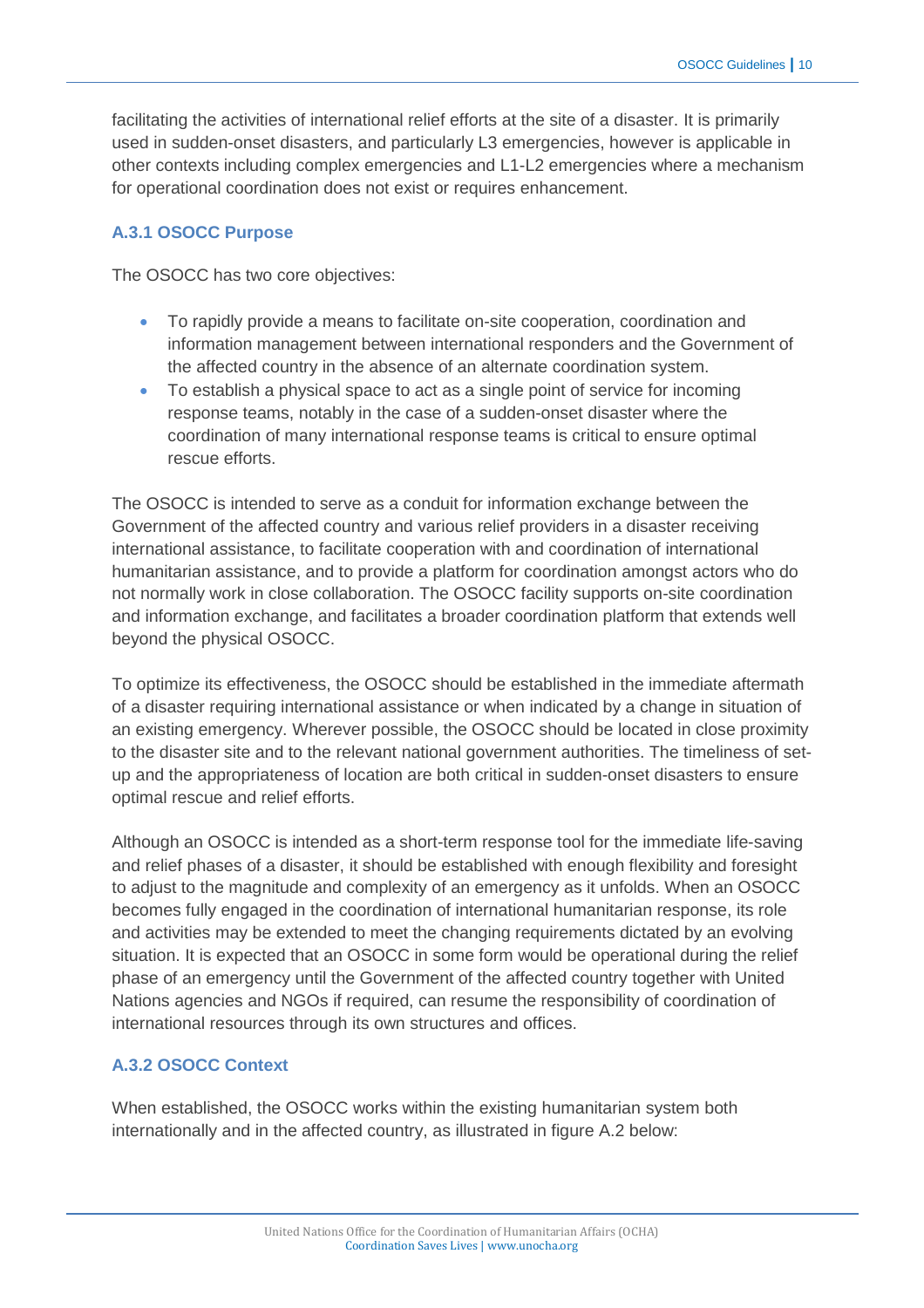facilitating the activities of international relief efforts at the site of a disaster. It is primarily used in sudden-onset disasters, and particularly L3 emergencies, however is applicable in other contexts including complex emergencies and L1-L2 emergencies where a mechanism for operational coordination does not exist or requires enhancement.

#### **A.3.1 OSOCC Purpose**

The OSOCC has two core objectives:

- To rapidly provide a means to facilitate on-site cooperation, coordination and information management between international responders and the Government of the affected country in the absence of an alternate coordination system.
- To establish a physical space to act as a single point of service for incoming response teams, notably in the case of a sudden-onset disaster where the coordination of many international response teams is critical to ensure optimal rescue efforts.

The OSOCC is intended to serve as a conduit for information exchange between the Government of the affected country and various relief providers in a disaster receiving international assistance, to facilitate cooperation with and coordination of international humanitarian assistance, and to provide a platform for coordination amongst actors who do not normally work in close collaboration. The OSOCC facility supports on-site coordination and information exchange, and facilitates a broader coordination platform that extends well beyond the physical OSOCC.

To optimize its effectiveness, the OSOCC should be established in the immediate aftermath of a disaster requiring international assistance or when indicated by a change in situation of an existing emergency. Wherever possible, the OSOCC should be located in close proximity to the disaster site and to the relevant national government authorities. The timeliness of setup and the appropriateness of location are both critical in sudden-onset disasters to ensure optimal rescue and relief efforts.

Although an OSOCC is intended as a short-term response tool for the immediate life-saving and relief phases of a disaster, it should be established with enough flexibility and foresight to adjust to the magnitude and complexity of an emergency as it unfolds. When an OSOCC becomes fully engaged in the coordination of international humanitarian response, its role and activities may be extended to meet the changing requirements dictated by an evolving situation. It is expected that an OSOCC in some form would be operational during the relief phase of an emergency until the Government of the affected country together with United Nations agencies and NGOs if required, can resume the responsibility of coordination of international resources through its own structures and offices.

# **A.3.2 OSOCC Context**

When established, the OSOCC works within the existing humanitarian system both internationally and in the affected country, as illustrated in figure A.2 below: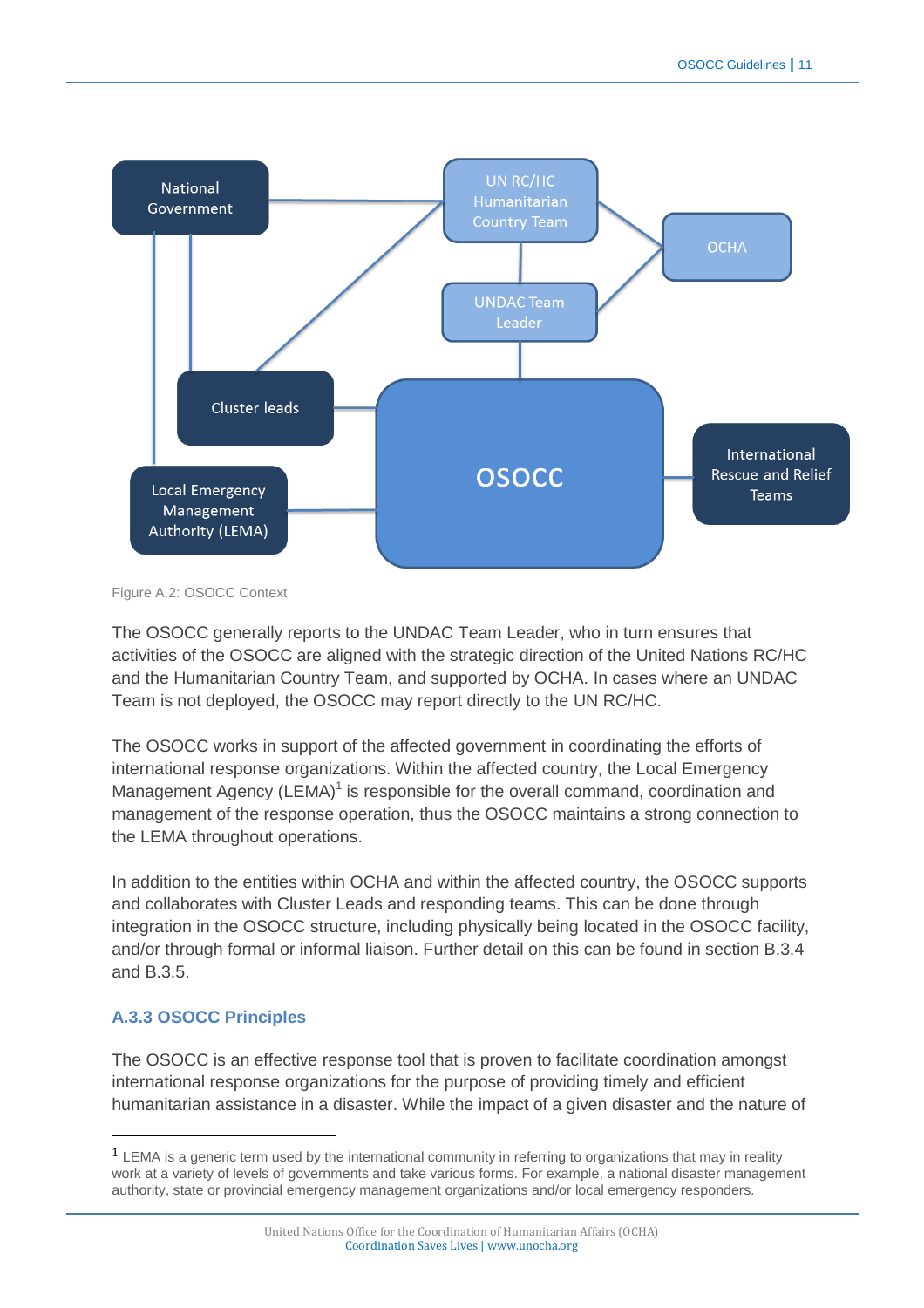

Figure A.2: OSOCC Context

The OSOCC generally reports to the UNDAC Team Leader, who in turn ensures that activities of the OSOCC are aligned with the strategic direction of the United Nations RC/HC and the Humanitarian Country Team, and supported by OCHA. In cases where an UNDAC Team is not deployed, the OSOCC may report directly to the UN RC/HC.

The OSOCC works in support of the affected government in coordinating the efforts of international response organizations. Within the affected country, the Local Emergency Management Agency (LEMA)<sup>1</sup> is responsible for the overall command, coordination and management of the response operation, thus the OSOCC maintains a strong connection to the LEMA throughout operations.

In addition to the entities within OCHA and within the affected country, the OSOCC supports and collaborates with Cluster Leads and responding teams. This can be done through integration in the OSOCC structure, including physically being located in the OSOCC facility, and/or through formal or informal liaison. Further detail on this can be found in section B.3.4 and B.3.5.

# **A.3.3 OSOCC Principles**

 $\overline{a}$ 

The OSOCC is an effective response tool that is proven to facilitate coordination amongst international response organizations for the purpose of providing timely and efficient humanitarian assistance in a disaster. While the impact of a given disaster and the nature of

<sup>1</sup> LEMA is a generic term used by the international community in referring to organizations that may in reality work at a variety of levels of governments and take various forms. For example, a national disaster management authority, state or provincial emergency management organizations and/or local emergency responders.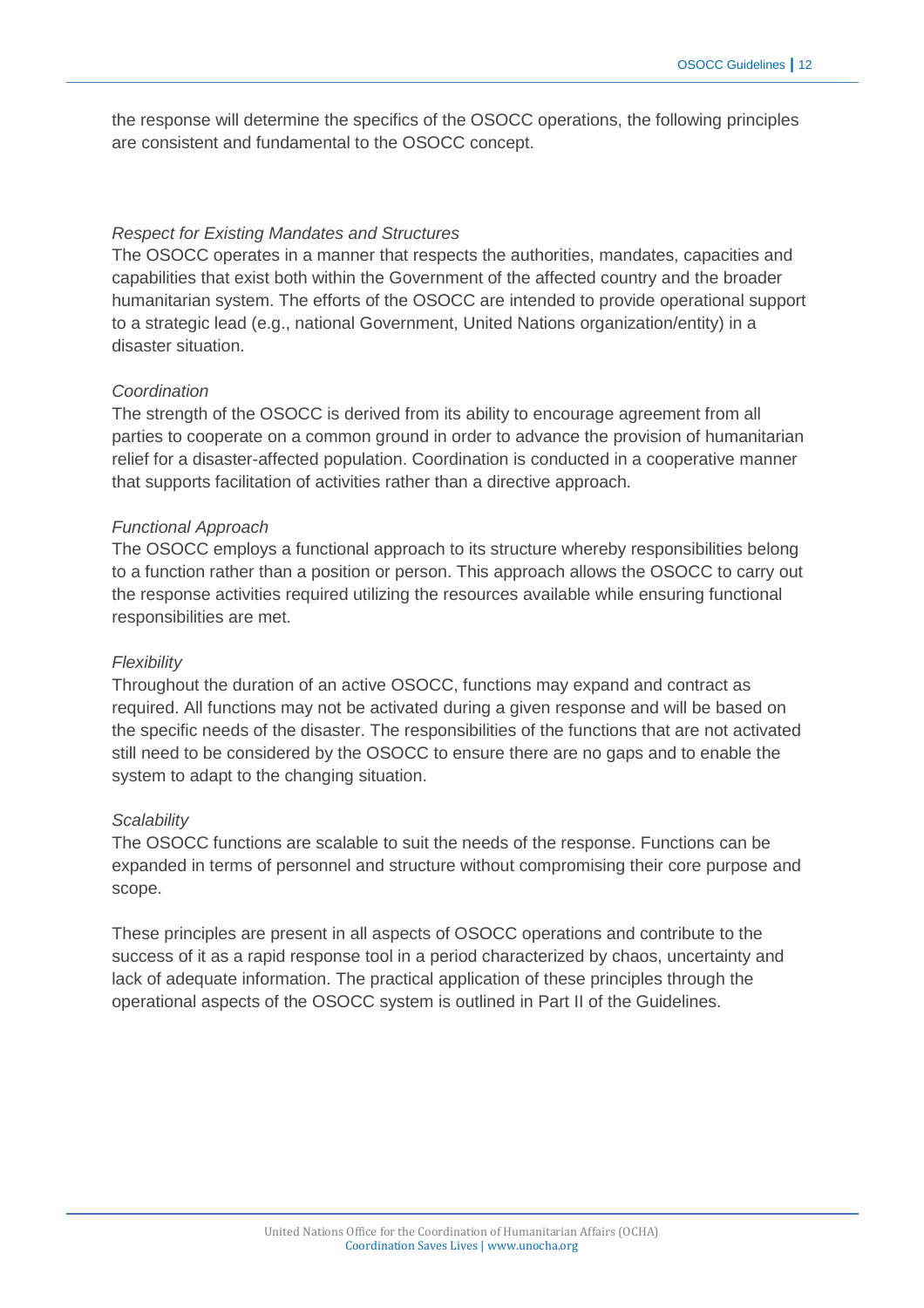the response will determine the specifics of the OSOCC operations, the following principles are consistent and fundamental to the OSOCC concept.

#### *Respect for Existing Mandates and Structures*

The OSOCC operates in a manner that respects the authorities, mandates, capacities and capabilities that exist both within the Government of the affected country and the broader humanitarian system. The efforts of the OSOCC are intended to provide operational support to a strategic lead (e.g., national Government, United Nations organization/entity) in a disaster situation.

#### *Coordination*

The strength of the OSOCC is derived from its ability to encourage agreement from all parties to cooperate on a common ground in order to advance the provision of humanitarian relief for a disaster-affected population. Coordination is conducted in a cooperative manner that supports facilitation of activities rather than a directive approach.

#### *Functional Approach*

The OSOCC employs a functional approach to its structure whereby responsibilities belong to a function rather than a position or person. This approach allows the OSOCC to carry out the response activities required utilizing the resources available while ensuring functional responsibilities are met.

#### *Flexibility*

Throughout the duration of an active OSOCC, functions may expand and contract as required. All functions may not be activated during a given response and will be based on the specific needs of the disaster. The responsibilities of the functions that are not activated still need to be considered by the OSOCC to ensure there are no gaps and to enable the system to adapt to the changing situation.

#### *Scalability*

The OSOCC functions are scalable to suit the needs of the response. Functions can be expanded in terms of personnel and structure without compromising their core purpose and scope.

These principles are present in all aspects of OSOCC operations and contribute to the success of it as a rapid response tool in a period characterized by chaos, uncertainty and lack of adequate information. The practical application of these principles through the operational aspects of the OSOCC system is outlined in Part II of the Guidelines.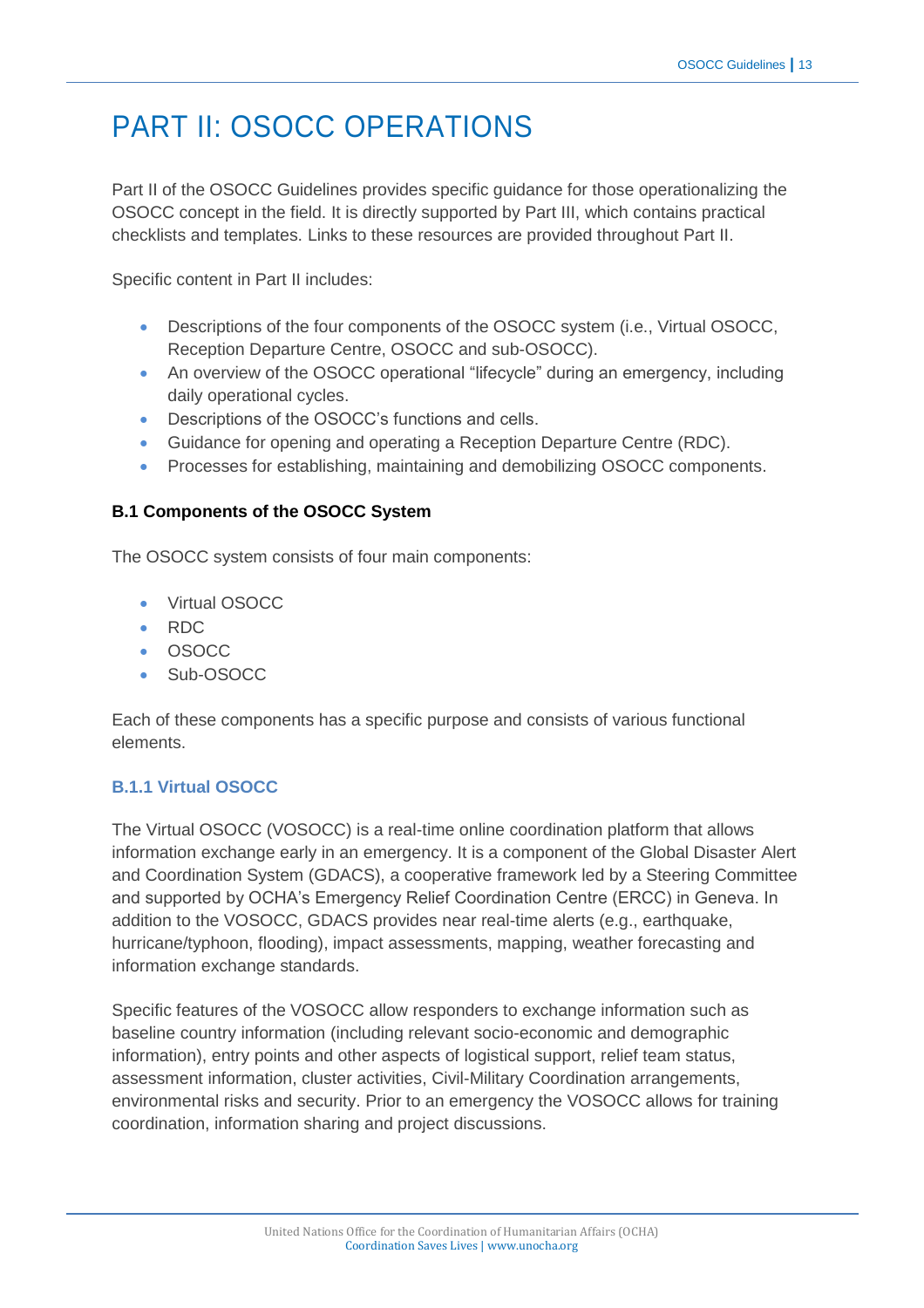# PART II: OSOCC OPERATIONS

Part II of the OSOCC Guidelines provides specific guidance for those operationalizing the OSOCC concept in the field. It is directly supported by Part III, which contains practical checklists and templates. Links to these resources are provided throughout Part II.

Specific content in Part II includes:

- Descriptions of the four components of the OSOCC system (i.e., Virtual OSOCC, Reception Departure Centre, OSOCC and sub-OSOCC).
- An overview of the OSOCC operational "lifecycle" during an emergency, including daily operational cycles.
- Descriptions of the OSOCC's functions and cells.
- Guidance for opening and operating a Reception Departure Centre (RDC).
- Processes for establishing, maintaining and demobilizing OSOCC components.

# **B.1 Components of the OSOCC System**

The OSOCC system consists of four main components:

- Virtual OSOCC
- RDC
- OSOCC
- Sub-OSOCC

Each of these components has a specific purpose and consists of various functional elements.

# **B.1.1 Virtual OSOCC**

The Virtual OSOCC (VOSOCC) is a real-time online coordination platform that allows information exchange early in an emergency. It is a component of the Global Disaster Alert and Coordination System (GDACS), a cooperative framework led by a Steering Committee and supported by OCHA's Emergency Relief Coordination Centre (ERCC) in Geneva. In addition to the VOSOCC, GDACS provides near real-time alerts (e.g., earthquake, hurricane/typhoon, flooding), impact assessments, mapping, weather forecasting and information exchange standards.

Specific features of the VOSOCC allow responders to exchange information such as baseline country information (including relevant socio-economic and demographic information), entry points and other aspects of logistical support, relief team status, assessment information, cluster activities, Civil-Military Coordination arrangements, environmental risks and security. Prior to an emergency the VOSOCC allows for training coordination, information sharing and project discussions.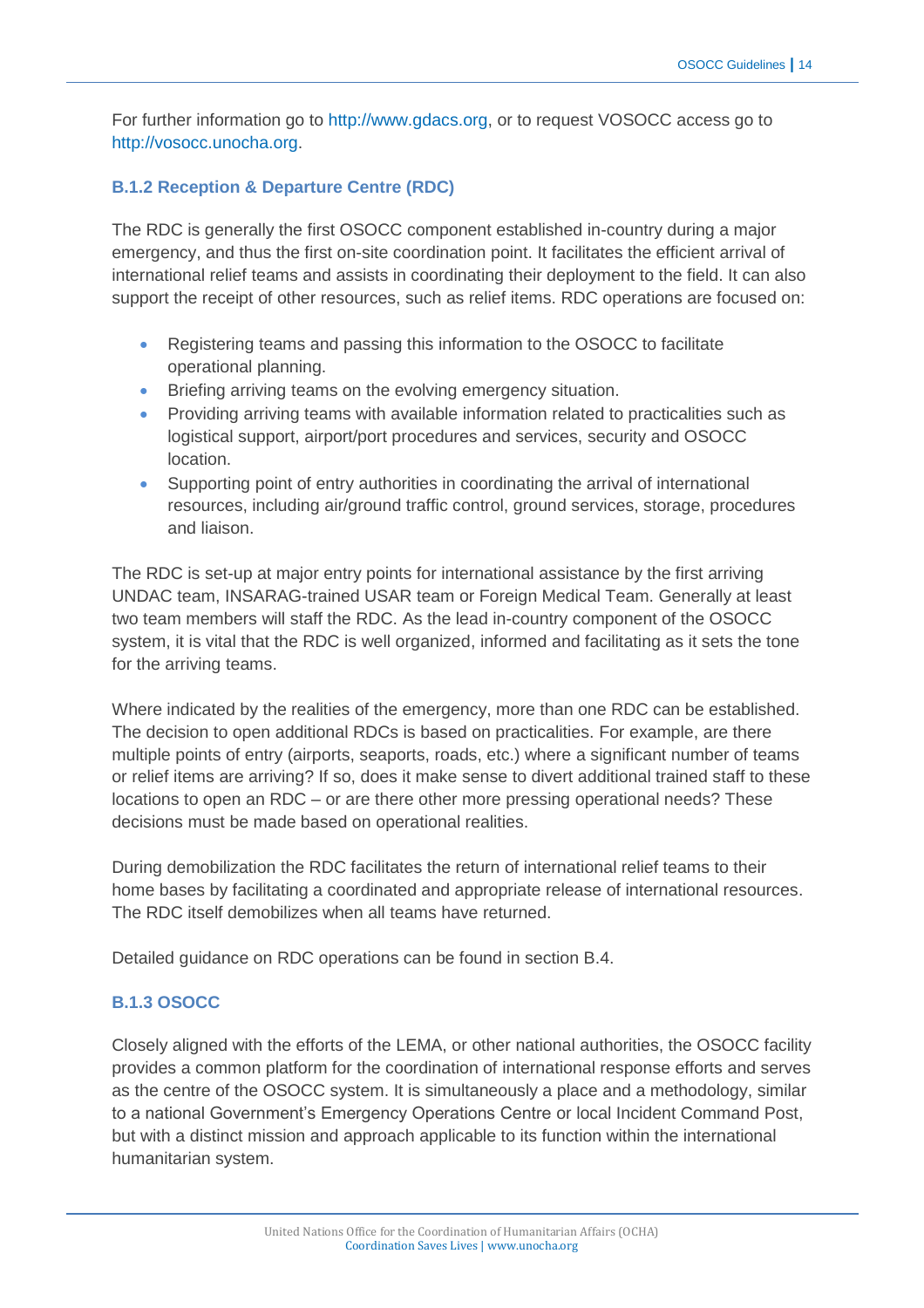For further information go to [http://www.gdacs.org,](http://www.gdacs.org/) or to request VOSOCC access go to [http://vosocc.unocha.org.](http://vosocc.unocha.org/)

# **B.1.2 Reception & Departure Centre (RDC)**

The RDC is generally the first OSOCC component established in-country during a major emergency, and thus the first on-site coordination point. It facilitates the efficient arrival of international relief teams and assists in coordinating their deployment to the field. It can also support the receipt of other resources, such as relief items. RDC operations are focused on:

- Registering teams and passing this information to the OSOCC to facilitate operational planning.
- Briefing arriving teams on the evolving emergency situation.
- Providing arriving teams with available information related to practicalities such as logistical support, airport/port procedures and services, security and OSOCC location.
- Supporting point of entry authorities in coordinating the arrival of international resources, including air/ground traffic control, ground services, storage, procedures and liaison.

The RDC is set-up at major entry points for international assistance by the first arriving UNDAC team, INSARAG-trained USAR team or Foreign Medical Team. Generally at least two team members will staff the RDC. As the lead in-country component of the OSOCC system, it is vital that the RDC is well organized, informed and facilitating as it sets the tone for the arriving teams.

Where indicated by the realities of the emergency, more than one RDC can be established. The decision to open additional RDCs is based on practicalities. For example, are there multiple points of entry (airports, seaports, roads, etc.) where a significant number of teams or relief items are arriving? If so, does it make sense to divert additional trained staff to these locations to open an RDC – or are there other more pressing operational needs? These decisions must be made based on operational realities.

During demobilization the RDC facilitates the return of international relief teams to their home bases by facilitating a coordinated and appropriate release of international resources. The RDC itself demobilizes when all teams have returned.

Detailed guidance on RDC operations can be found in section B.4.

# **B.1.3 OSOCC**

Closely aligned with the efforts of the LEMA, or other national authorities, the OSOCC facility provides a common platform for the coordination of international response efforts and serves as the centre of the OSOCC system. It is simultaneously a place and a methodology, similar to a national Government's Emergency Operations Centre or local Incident Command Post, but with a distinct mission and approach applicable to its function within the international humanitarian system.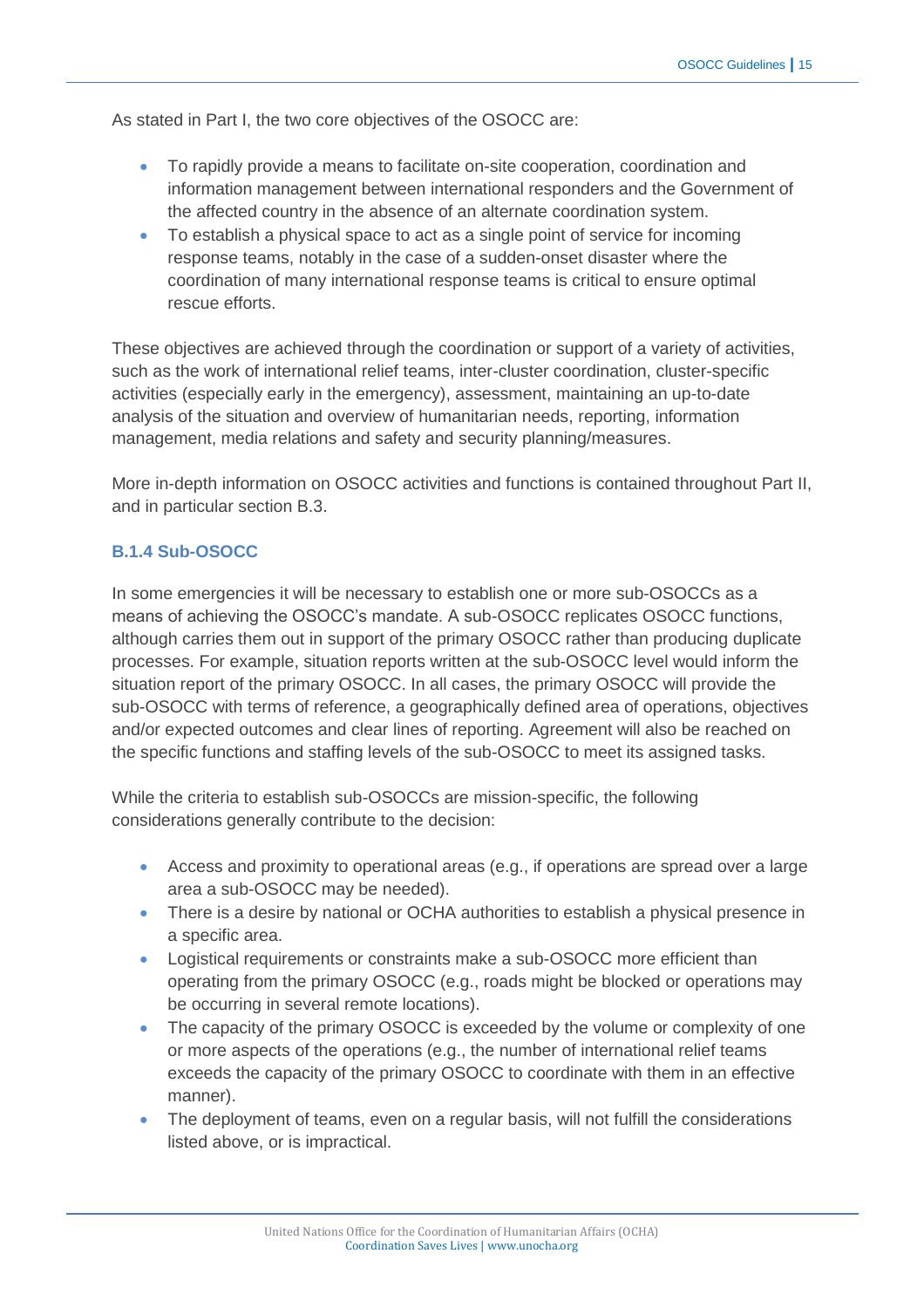As stated in Part I, the two core objectives of the OSOCC are:

- To rapidly provide a means to facilitate on-site cooperation, coordination and information management between international responders and the Government of the affected country in the absence of an alternate coordination system.
- To establish a physical space to act as a single point of service for incoming response teams, notably in the case of a sudden-onset disaster where the coordination of many international response teams is critical to ensure optimal rescue efforts.

These objectives are achieved through the coordination or support of a variety of activities, such as the work of international relief teams, inter-cluster coordination, cluster-specific activities (especially early in the emergency), assessment, maintaining an up-to-date analysis of the situation and overview of humanitarian needs, reporting, information management, media relations and safety and security planning/measures.

More in-depth information on OSOCC activities and functions is contained throughout Part II, and in particular section B.3.

#### **B.1.4 Sub-OSOCC**

In some emergencies it will be necessary to establish one or more sub-OSOCCs as a means of achieving the OSOCC's mandate. A sub-OSOCC replicates OSOCC functions, although carries them out in support of the primary OSOCC rather than producing duplicate processes. For example, situation reports written at the sub-OSOCC level would inform the situation report of the primary OSOCC. In all cases, the primary OSOCC will provide the sub-OSOCC with terms of reference, a geographically defined area of operations, objectives and/or expected outcomes and clear lines of reporting. Agreement will also be reached on the specific functions and staffing levels of the sub-OSOCC to meet its assigned tasks.

While the criteria to establish sub-OSOCCs are mission-specific, the following considerations generally contribute to the decision:

- Access and proximity to operational areas (e.g., if operations are spread over a large area a sub-OSOCC may be needed).
- There is a desire by national or OCHA authorities to establish a physical presence in a specific area.
- Logistical requirements or constraints make a sub-OSOCC more efficient than operating from the primary OSOCC (e.g., roads might be blocked or operations may be occurring in several remote locations).
- The capacity of the primary OSOCC is exceeded by the volume or complexity of one or more aspects of the operations (e.g., the number of international relief teams exceeds the capacity of the primary OSOCC to coordinate with them in an effective manner).
- The deployment of teams, even on a regular basis, will not fulfill the considerations listed above, or is impractical.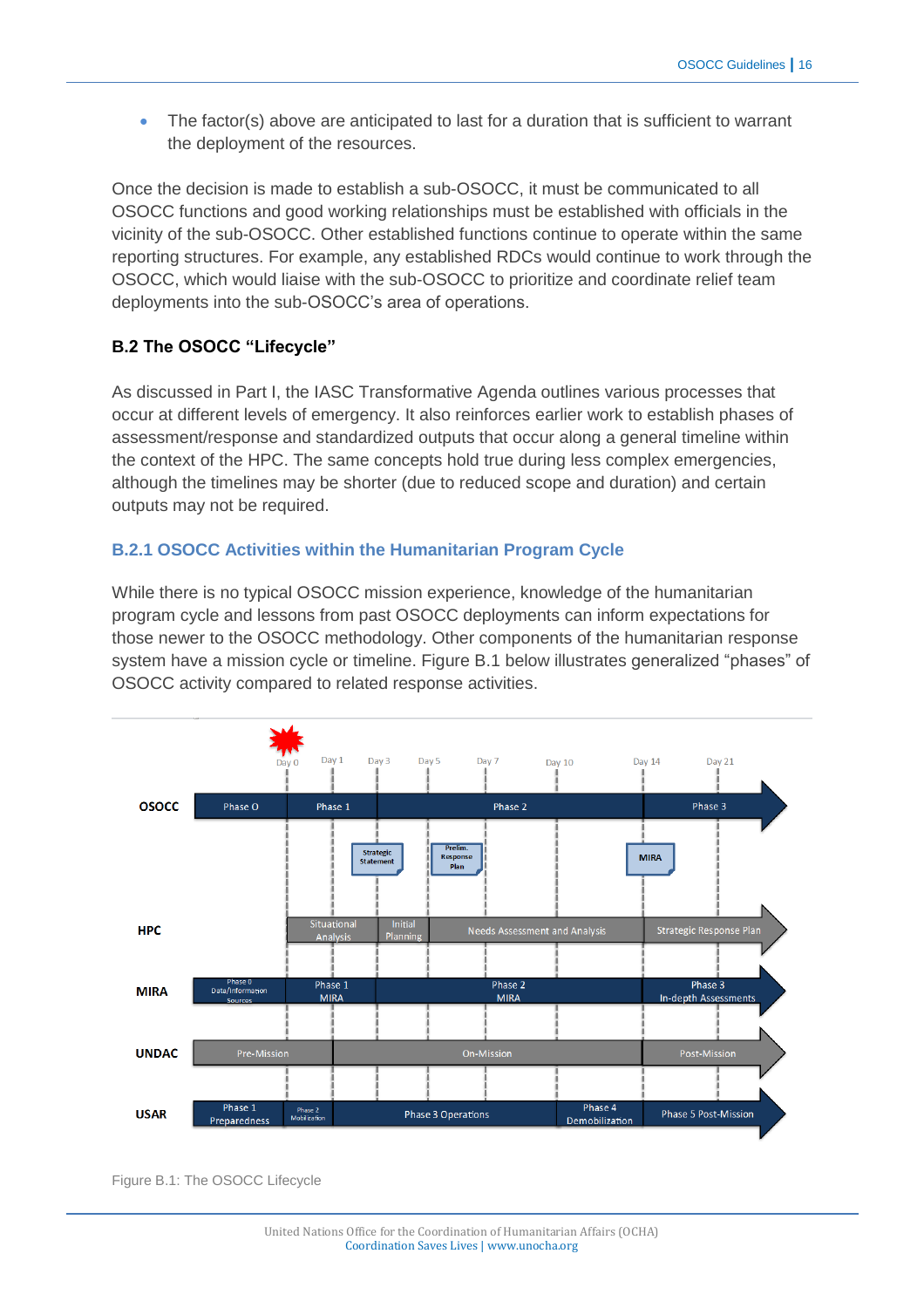• The factor(s) above are anticipated to last for a duration that is sufficient to warrant the deployment of the resources.

Once the decision is made to establish a sub-OSOCC, it must be communicated to all OSOCC functions and good working relationships must be established with officials in the vicinity of the sub-OSOCC. Other established functions continue to operate within the same reporting structures. For example, any established RDCs would continue to work through the OSOCC, which would liaise with the sub-OSOCC to prioritize and coordinate relief team deployments into the sub-OSOCC's area of operations.

# **B.2 The OSOCC "Lifecycle"**

As discussed in Part I, the IASC Transformative Agenda outlines various processes that occur at different levels of emergency. It also reinforces earlier work to establish phases of assessment/response and standardized outputs that occur along a general timeline within the context of the HPC. The same concepts hold true during less complex emergencies, although the timelines may be shorter (due to reduced scope and duration) and certain outputs may not be required.

# **B.2.1 OSOCC Activities within the Humanitarian Program Cycle**

While there is no typical OSOCC mission experience, knowledge of the humanitarian program cycle and lessons from past OSOCC deployments can inform expectations for those newer to the OSOCC methodology. Other components of the humanitarian response system have a mission cycle or timeline. Figure B.1 below illustrates generalized "phases" of OSOCC activity compared to related response activities.



Figure B.1: The OSOCC Lifecycle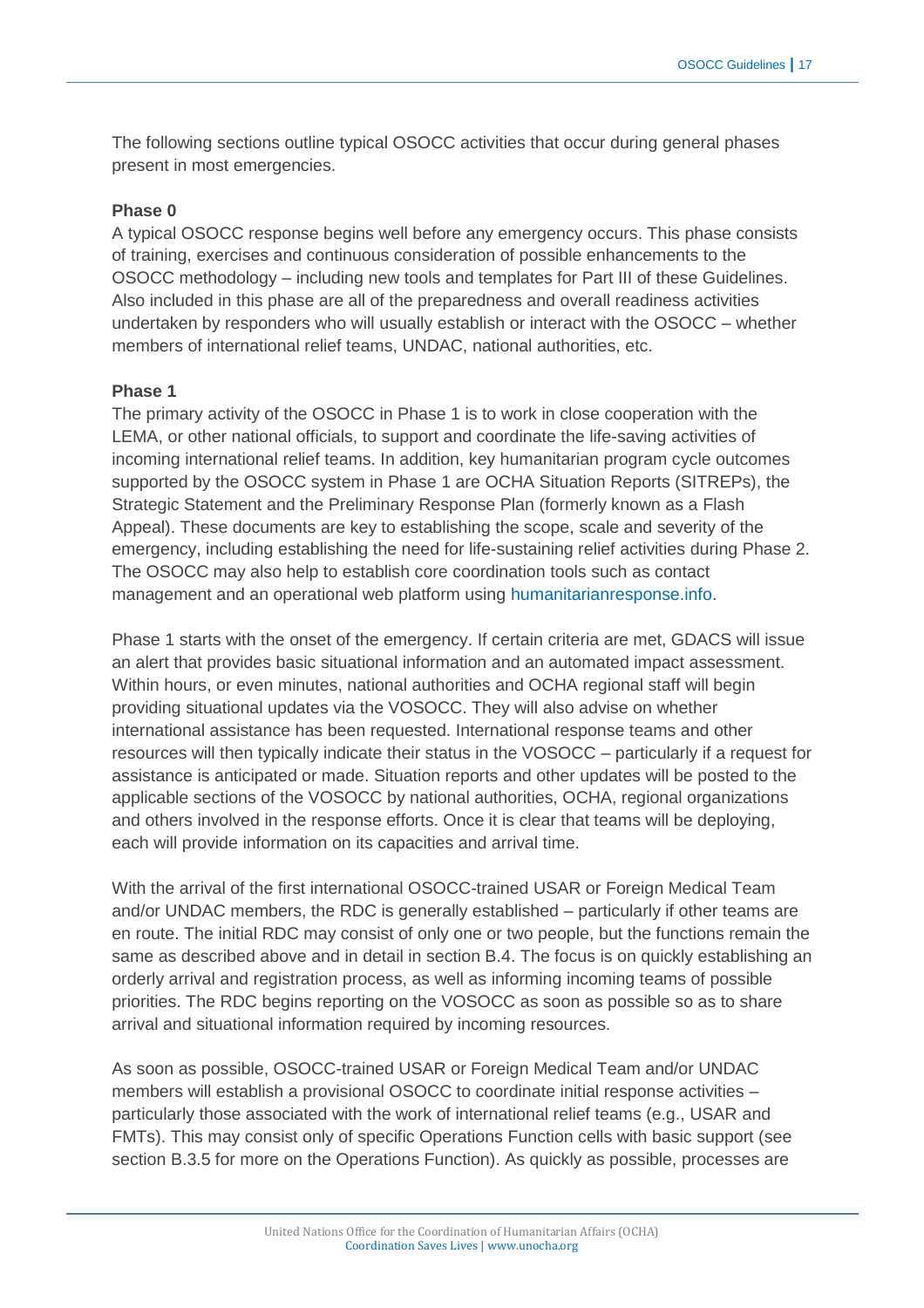The following sections outline typical OSOCC activities that occur during general phases present in most emergencies.

#### **Phase 0**

A typical OSOCC response begins well before any emergency occurs. This phase consists of training, exercises and continuous consideration of possible enhancements to the OSOCC methodology – including new tools and templates for Part III of these Guidelines. Also included in this phase are all of the preparedness and overall readiness activities undertaken by responders who will usually establish or interact with the OSOCC – whether members of international relief teams, UNDAC, national authorities, etc.

#### **Phase 1**

The primary activity of the OSOCC in Phase 1 is to work in close cooperation with the LEMA, or other national officials, to support and coordinate the life-saving activities of incoming international relief teams. In addition, key humanitarian program cycle outcomes supported by the OSOCC system in Phase 1 are OCHA Situation Reports (SITREPs), the Strategic Statement and the Preliminary Response Plan (formerly known as a Flash Appeal). These documents are key to establishing the scope, scale and severity of the emergency, including establishing the need for life-sustaining relief activities during Phase 2. The OSOCC may also help to establish core coordination tools such as contact management and an operational web platform using [humanitarianresponse.info.](http://humanitarianresponse.info/)

Phase 1 starts with the onset of the emergency. If certain criteria are met, GDACS will issue an alert that provides basic situational information and an automated impact assessment. Within hours, or even minutes, national authorities and OCHA regional staff will begin providing situational updates via the VOSOCC. They will also advise on whether international assistance has been requested. International response teams and other resources will then typically indicate their status in the VOSOCC – particularly if a request for assistance is anticipated or made. Situation reports and other updates will be posted to the applicable sections of the VOSOCC by national authorities, OCHA, regional organizations and others involved in the response efforts. Once it is clear that teams will be deploying, each will provide information on its capacities and arrival time.

With the arrival of the first international OSOCC-trained USAR or Foreign Medical Team and/or UNDAC members, the RDC is generally established – particularly if other teams are en route. The initial RDC may consist of only one or two people, but the functions remain the same as described above and in detail in section B.4. The focus is on quickly establishing an orderly arrival and registration process, as well as informing incoming teams of possible priorities. The RDC begins reporting on the VOSOCC as soon as possible so as to share arrival and situational information required by incoming resources.

As soon as possible, OSOCC-trained USAR or Foreign Medical Team and/or UNDAC members will establish a provisional OSOCC to coordinate initial response activities – particularly those associated with the work of international relief teams (e.g., USAR and FMTs). This may consist only of specific Operations Function cells with basic support (see section B.3.5 for more on the Operations Function). As quickly as possible, processes are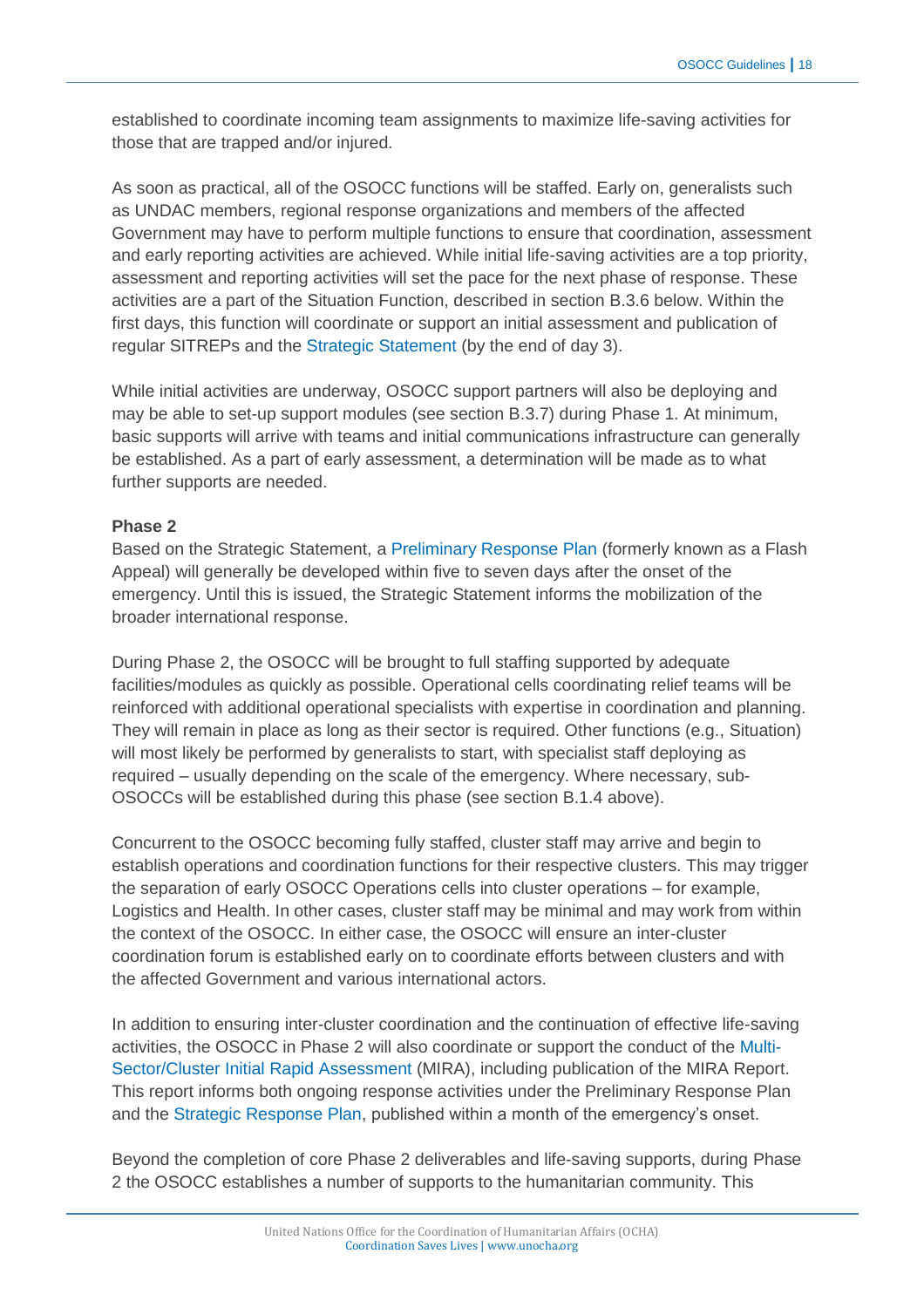established to coordinate incoming team assignments to maximize life-saving activities for those that are trapped and/or injured.

As soon as practical, all of the OSOCC functions will be staffed. Early on, generalists such as UNDAC members, regional response organizations and members of the affected Government may have to perform multiple functions to ensure that coordination, assessment and early reporting activities are achieved. While initial life-saving activities are a top priority, assessment and reporting activities will set the pace for the next phase of response. These activities are a part of the Situation Function, described in section B.3.6 below. Within the first days, this function will coordinate or support an initial assessment and publication of regular SITREPs and the [Strategic Statement](https://www.humanitarianresponse.info/system/files/documents/files/Working_DRAFT_1_Strategic_Statement_Guidance_%202December2013.pdf) (by the end of day 3).

While initial activities are underway, OSOCC support partners will also be deploying and may be able to set-up support modules (see section B.3.7) during Phase 1. At minimum, basic supports will arrive with teams and initial communications infrastructure can generally be established. As a part of early assessment, a determination will be made as to what further supports are needed.

#### **Phase 2**

Based on the Strategic Statement, a [Preliminary Response Plan](https://www.humanitarianresponse.info/system/files/documents/files/Working%20DRAFT%201_Preliminary%20Response%20Plan%20Guidance%205%20December2013.pdf) (formerly known as a Flash Appeal) will generally be developed within five to seven days after the onset of the emergency. Until this is issued, the Strategic Statement informs the mobilization of the broader international response.

During Phase 2, the OSOCC will be brought to full staffing supported by adequate facilities/modules as quickly as possible. Operational cells coordinating relief teams will be reinforced with additional operational specialists with expertise in coordination and planning. They will remain in place as long as their sector is required. Other functions (e.g., Situation) will most likely be performed by generalists to start, with specialist staff deploying as required – usually depending on the scale of the emergency. Where necessary, sub-OSOCCs will be established during this phase (see section B.1.4 above).

Concurrent to the OSOCC becoming fully staffed, cluster staff may arrive and begin to establish operations and coordination functions for their respective clusters. This may trigger the separation of early OSOCC Operations cells into cluster operations – for example, Logistics and Health. In other cases, cluster staff may be minimal and may work from within the context of the OSOCC. In either case, the OSOCC will ensure an inter-cluster coordination forum is established early on to coordinate efforts between clusters and with the affected Government and various international actors.

In addition to ensuring inter-cluster coordination and the continuation of effective life-saving activities, the OSOCC in Phase 2 will also coordinate or support the conduct of the [Multi-](https://www.humanitarianresponse.info/system/files/documents/files/mira_final_version2012.pdf)[Sector/Cluster Initial Rapid Assessment](https://www.humanitarianresponse.info/system/files/documents/files/mira_final_version2012.pdf) (MIRA), including publication of the MIRA Report. This report informs both ongoing response activities under the Preliminary Response Plan and the [Strategic Response Plan,](https://www.humanitarianresponse.info/programme-cycle/space/document/2015-strategic-response-planning-template) published within a month of the emergency's onset.

Beyond the completion of core Phase 2 deliverables and life-saving supports, during Phase 2 the OSOCC establishes a number of supports to the humanitarian community. This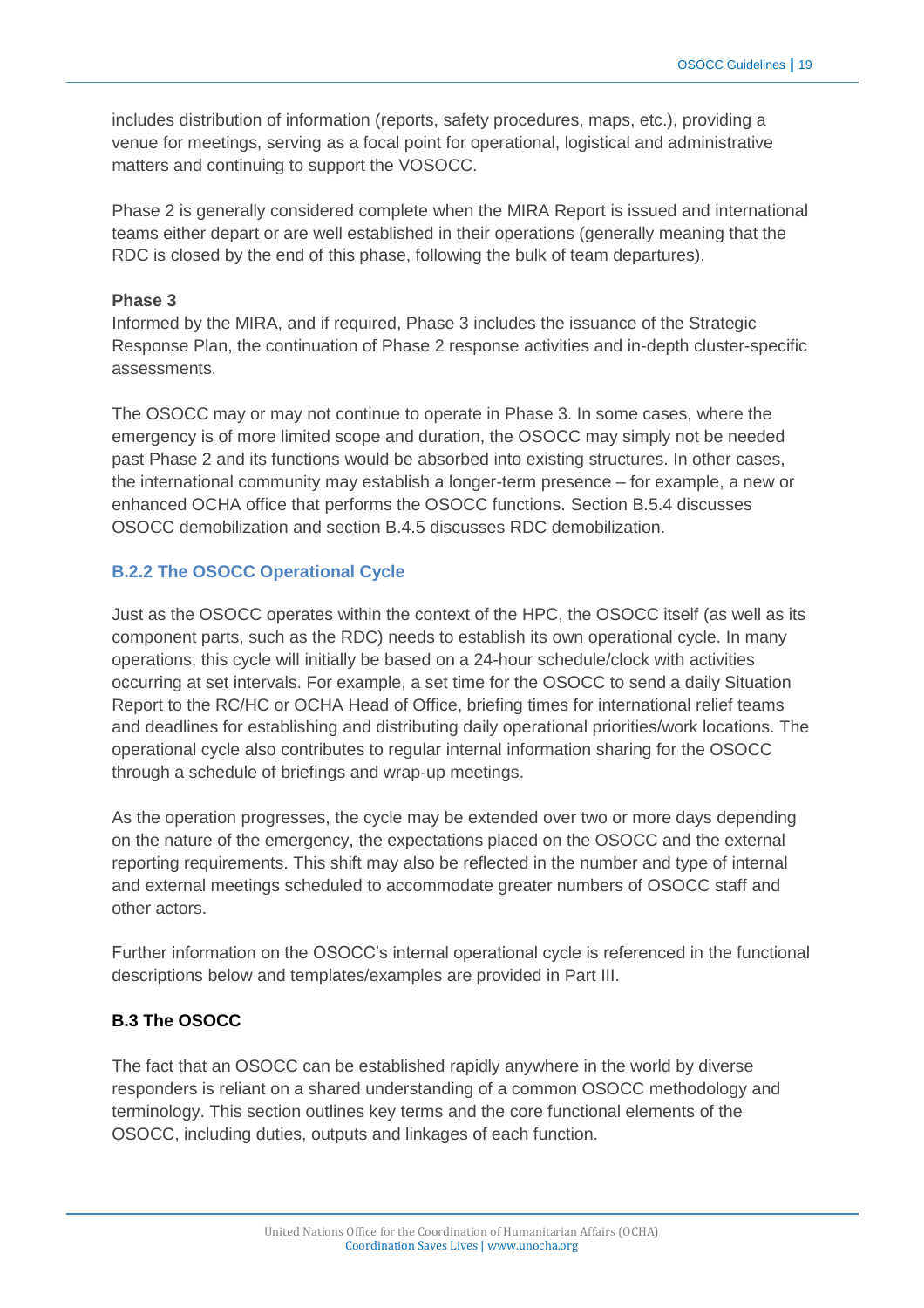includes distribution of information (reports, safety procedures, maps, etc.), providing a venue for meetings, serving as a focal point for operational, logistical and administrative matters and continuing to support the VOSOCC.

Phase 2 is generally considered complete when the MIRA Report is issued and international teams either depart or are well established in their operations (generally meaning that the RDC is closed by the end of this phase, following the bulk of team departures).

#### **Phase 3**

Informed by the MIRA, and if required, Phase 3 includes the issuance of the Strategic Response Plan, the continuation of Phase 2 response activities and in-depth cluster-specific assessments.

The OSOCC may or may not continue to operate in Phase 3. In some cases, where the emergency is of more limited scope and duration, the OSOCC may simply not be needed past Phase 2 and its functions would be absorbed into existing structures. In other cases, the international community may establish a longer-term presence – for example, a new or enhanced OCHA office that performs the OSOCC functions. Section B.5.4 discusses OSOCC demobilization and section B.4.5 discusses RDC demobilization.

# **B.2.2 The OSOCC Operational Cycle**

Just as the OSOCC operates within the context of the HPC, the OSOCC itself (as well as its component parts, such as the RDC) needs to establish its own operational cycle. In many operations, this cycle will initially be based on a 24-hour schedule/clock with activities occurring at set intervals. For example, a set time for the OSOCC to send a daily Situation Report to the RC/HC or OCHA Head of Office, briefing times for international relief teams and deadlines for establishing and distributing daily operational priorities/work locations. The operational cycle also contributes to regular internal information sharing for the OSOCC through a schedule of briefings and wrap-up meetings.

As the operation progresses, the cycle may be extended over two or more days depending on the nature of the emergency, the expectations placed on the OSOCC and the external reporting requirements. This shift may also be reflected in the number and type of internal and external meetings scheduled to accommodate greater numbers of OSOCC staff and other actors.

Further information on the OSOCC's internal operational cycle is referenced in the functional descriptions below and templates/examples are provided in Part III.

# **B.3 The OSOCC**

The fact that an OSOCC can be established rapidly anywhere in the world by diverse responders is reliant on a shared understanding of a common OSOCC methodology and terminology. This section outlines key terms and the core functional elements of the OSOCC, including duties, outputs and linkages of each function.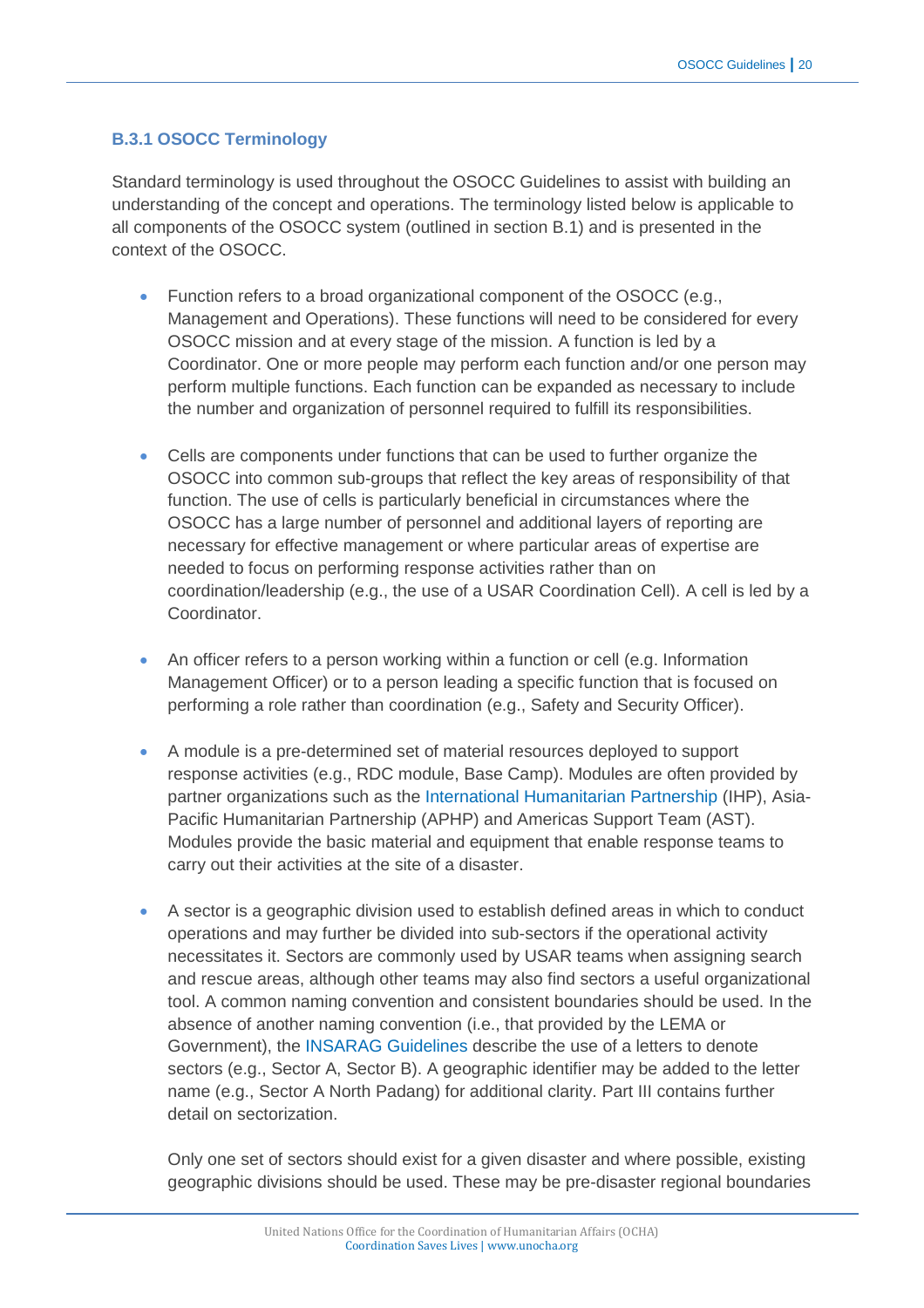#### **B.3.1 OSOCC Terminology**

Standard terminology is used throughout the OSOCC Guidelines to assist with building an understanding of the concept and operations. The terminology listed below is applicable to all components of the OSOCC system (outlined in section B.1) and is presented in the context of the OSOCC.

- Function refers to a broad organizational component of the OSOCC (e.g., Management and Operations). These functions will need to be considered for every OSOCC mission and at every stage of the mission. A function is led by a Coordinator. One or more people may perform each function and/or one person may perform multiple functions. Each function can be expanded as necessary to include the number and organization of personnel required to fulfill its responsibilities.
- Cells are components under functions that can be used to further organize the OSOCC into common sub-groups that reflect the key areas of responsibility of that function. The use of cells is particularly beneficial in circumstances where the OSOCC has a large number of personnel and additional layers of reporting are necessary for effective management or where particular areas of expertise are needed to focus on performing response activities rather than on coordination/leadership (e.g., the use of a USAR Coordination Cell). A cell is led by a Coordinator.
- An officer refers to a person working within a function or cell (e.g. Information Management Officer) or to a person leading a specific function that is focused on performing a role rather than coordination (e.g., Safety and Security Officer).
- A module is a pre-determined set of material resources deployed to support response activities (e.g., RDC module, Base Camp). Modules are often provided by partner organizations such as the [International Humanitarian Partnership](http://www.ihp.nu/) (IHP), Asia-Pacific Humanitarian Partnership (APHP) and Americas Support Team (AST). Modules provide the basic material and equipment that enable response teams to carry out their activities at the site of a disaster.
- A sector is a geographic division used to establish defined areas in which to conduct operations and may further be divided into sub-sectors if the operational activity necessitates it. Sectors are commonly used by USAR teams when assigning search and rescue areas, although other teams may also find sectors a useful organizational tool. A common naming convention and consistent boundaries should be used. In the absence of another naming convention (i.e., that provided by the LEMA or Government), the [INSARAG Guidelines](http://www.insarag.org/en/methodology/guidelines.html) describe the use of a letters to denote sectors (e.g., Sector A, Sector B). A geographic identifier may be added to the letter name (e.g., Sector A North Padang) for additional clarity. Part III contains further detail on sectorization.

Only one set of sectors should exist for a given disaster and where possible, existing geographic divisions should be used. These may be pre-disaster regional boundaries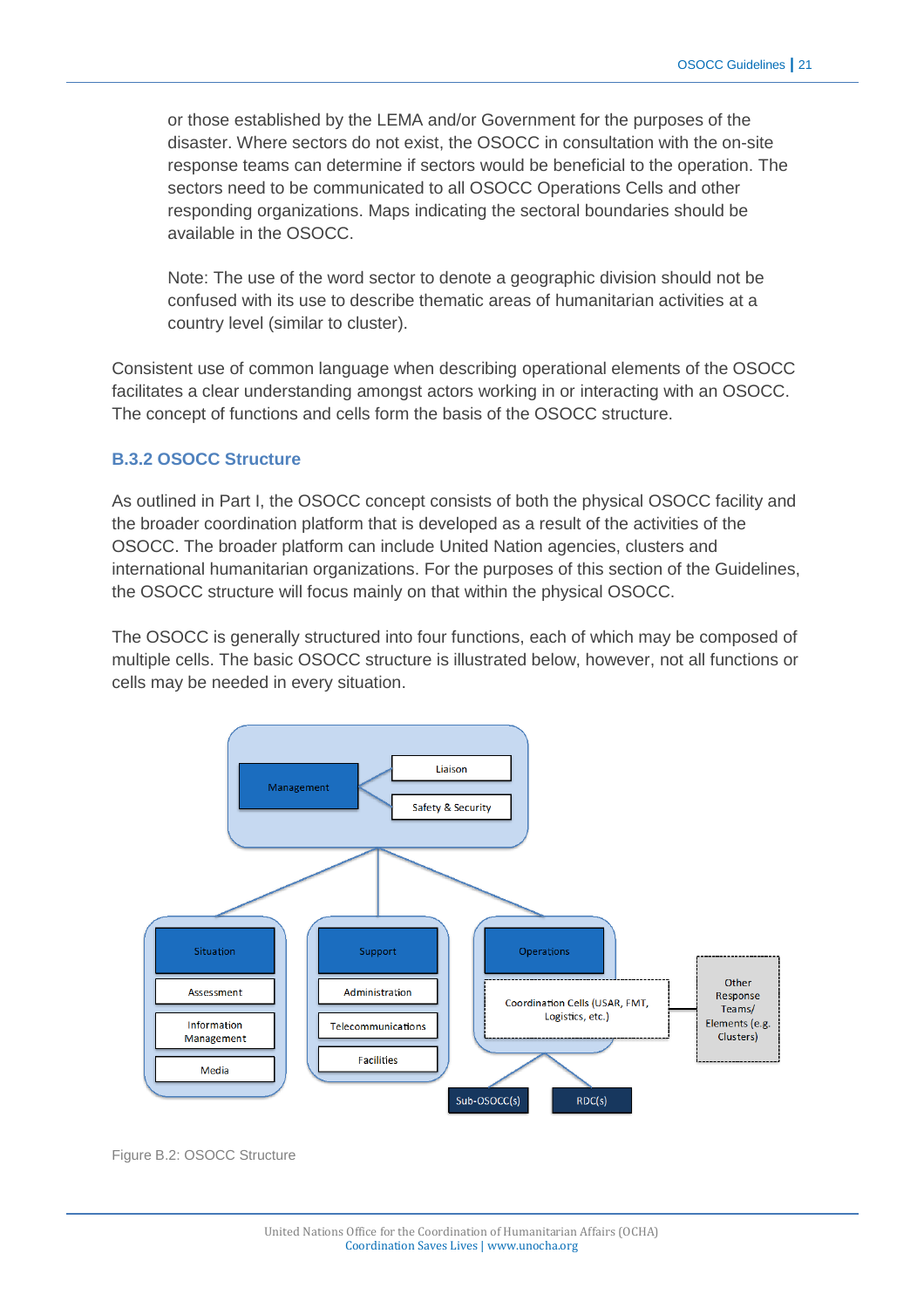or those established by the LEMA and/or Government for the purposes of the disaster. Where sectors do not exist, the OSOCC in consultation with the on-site response teams can determine if sectors would be beneficial to the operation. The sectors need to be communicated to all OSOCC Operations Cells and other responding organizations. Maps indicating the sectoral boundaries should be available in the OSOCC.

Note: The use of the word sector to denote a geographic division should not be confused with its use to describe thematic areas of humanitarian activities at a country level (similar to cluster).

Consistent use of common language when describing operational elements of the OSOCC facilitates a clear understanding amongst actors working in or interacting with an OSOCC. The concept of functions and cells form the basis of the OSOCC structure.

#### **B.3.2 OSOCC Structure**

As outlined in Part I, the OSOCC concept consists of both the physical OSOCC facility and the broader coordination platform that is developed as a result of the activities of the OSOCC. The broader platform can include United Nation agencies, clusters and international humanitarian organizations. For the purposes of this section of the Guidelines, the OSOCC structure will focus mainly on that within the physical OSOCC.

The OSOCC is generally structured into four functions, each of which may be composed of multiple cells. The basic OSOCC structure is illustrated below, however, not all functions or cells may be needed in every situation.



Figure B.2: OSOCC Structure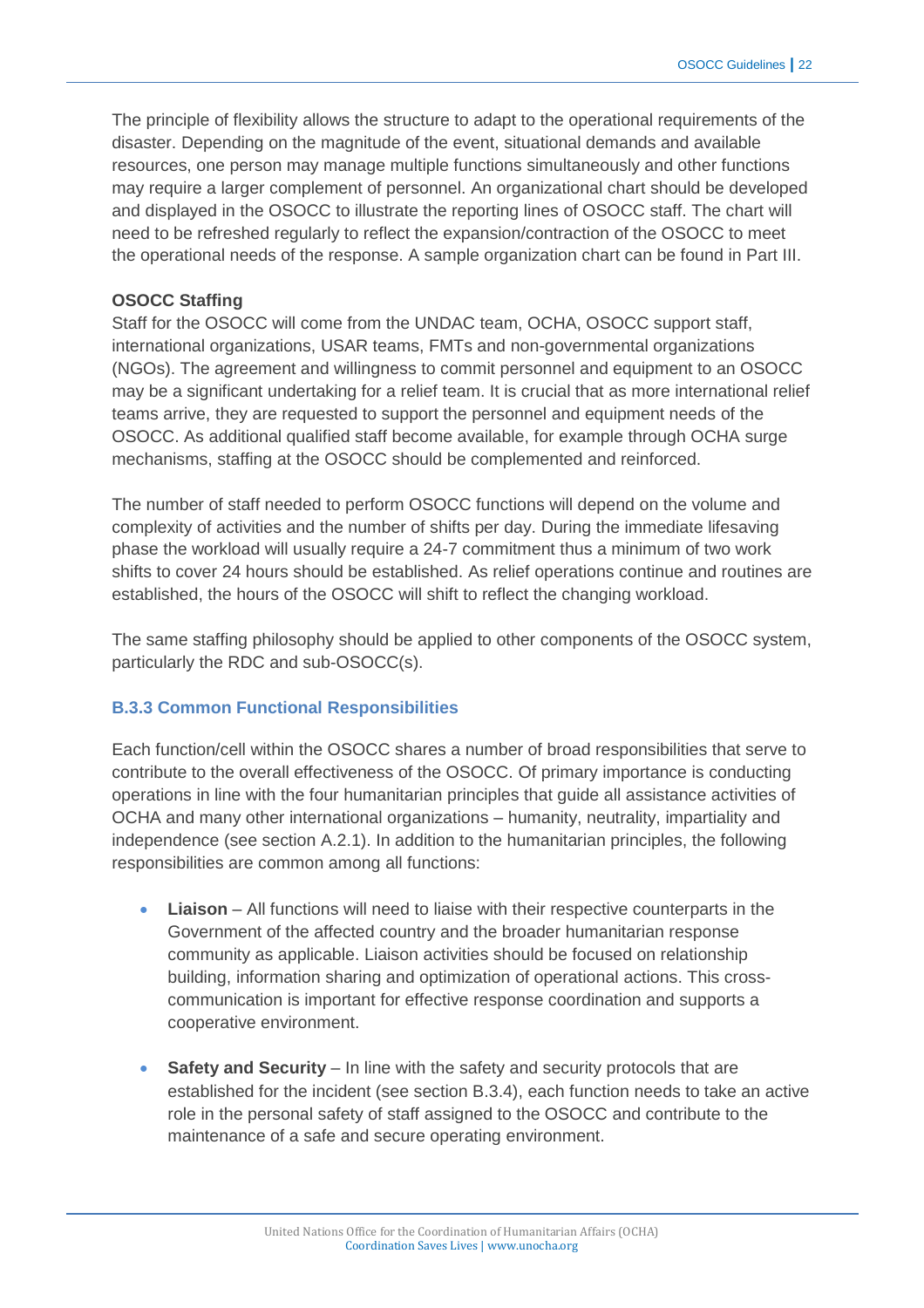The principle of flexibility allows the structure to adapt to the operational requirements of the disaster. Depending on the magnitude of the event, situational demands and available resources, one person may manage multiple functions simultaneously and other functions may require a larger complement of personnel. An organizational chart should be developed and displayed in the OSOCC to illustrate the reporting lines of OSOCC staff. The chart will need to be refreshed regularly to reflect the expansion/contraction of the OSOCC to meet the operational needs of the response. A sample organization chart can be found in Part III.

#### **OSOCC Staffing**

Staff for the OSOCC will come from the UNDAC team, OCHA, OSOCC support staff, international organizations, USAR teams, FMTs and non-governmental organizations (NGOs). The agreement and willingness to commit personnel and equipment to an OSOCC may be a significant undertaking for a relief team. It is crucial that as more international relief teams arrive, they are requested to support the personnel and equipment needs of the OSOCC. As additional qualified staff become available, for example through OCHA surge mechanisms, staffing at the OSOCC should be complemented and reinforced.

The number of staff needed to perform OSOCC functions will depend on the volume and complexity of activities and the number of shifts per day. During the immediate lifesaving phase the workload will usually require a 24-7 commitment thus a minimum of two work shifts to cover 24 hours should be established. As relief operations continue and routines are established, the hours of the OSOCC will shift to reflect the changing workload.

The same staffing philosophy should be applied to other components of the OSOCC system, particularly the RDC and sub-OSOCC(s).

#### **B.3.3 Common Functional Responsibilities**

Each function/cell within the OSOCC shares a number of broad responsibilities that serve to contribute to the overall effectiveness of the OSOCC. Of primary importance is conducting operations in line with the four humanitarian principles that guide all assistance activities of OCHA and many other international organizations – humanity, neutrality, impartiality and independence (see section A.2.1). In addition to the humanitarian principles, the following responsibilities are common among all functions:

- **Liaison** All functions will need to liaise with their respective counterparts in the Government of the affected country and the broader humanitarian response community as applicable. Liaison activities should be focused on relationship building, information sharing and optimization of operational actions. This crosscommunication is important for effective response coordination and supports a cooperative environment.
- **Safety and Security** In line with the safety and security protocols that are established for the incident (see section B.3.4), each function needs to take an active role in the personal safety of staff assigned to the OSOCC and contribute to the maintenance of a safe and secure operating environment.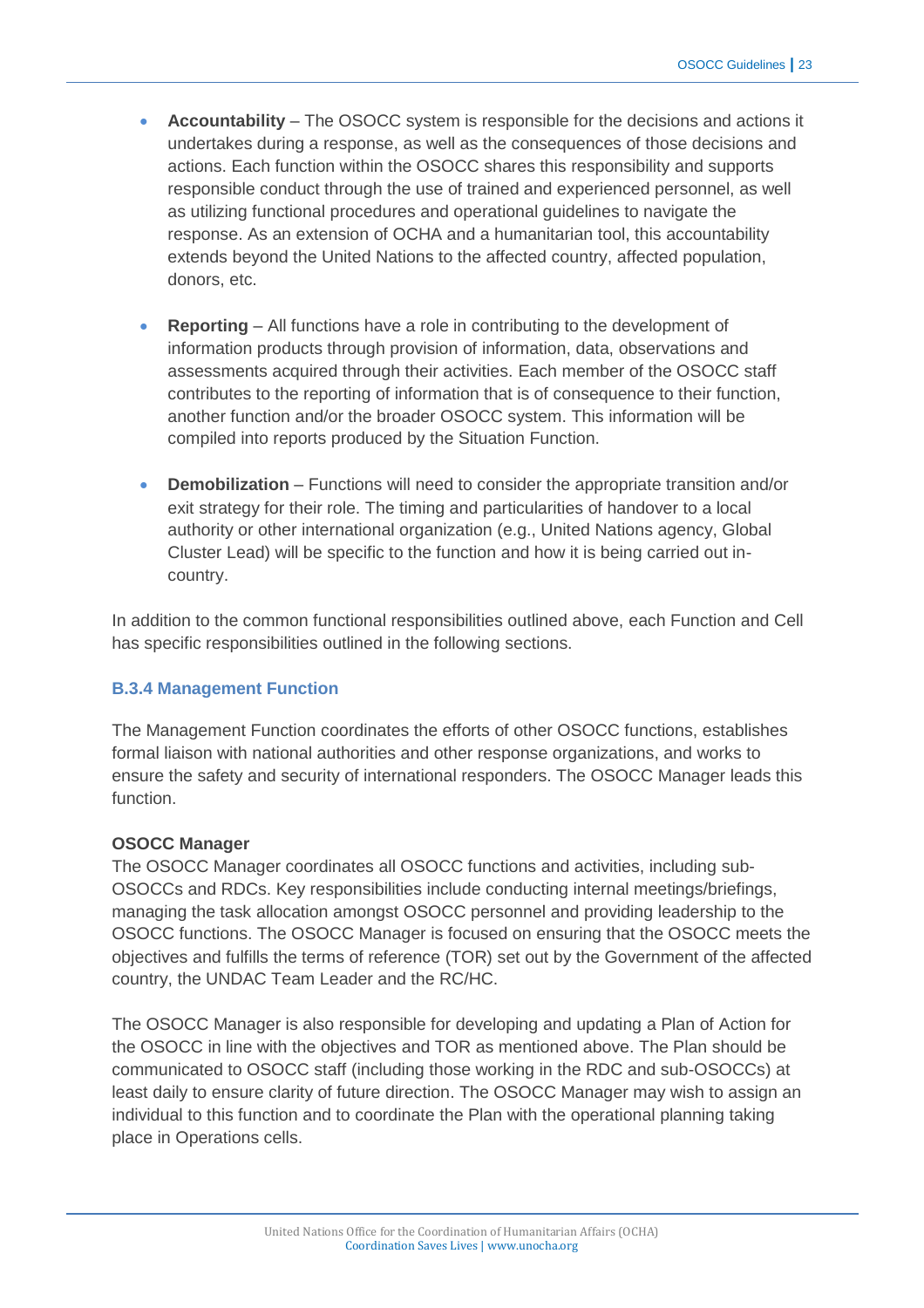- **Accountability** The OSOCC system is responsible for the decisions and actions it undertakes during a response, as well as the consequences of those decisions and actions. Each function within the OSOCC shares this responsibility and supports responsible conduct through the use of trained and experienced personnel, as well as utilizing functional procedures and operational guidelines to navigate the response. As an extension of OCHA and a humanitarian tool, this accountability extends beyond the United Nations to the affected country, affected population, donors, etc.
- **Reporting** All functions have a role in contributing to the development of information products through provision of information, data, observations and assessments acquired through their activities. Each member of the OSOCC staff contributes to the reporting of information that is of consequence to their function, another function and/or the broader OSOCC system. This information will be compiled into reports produced by the Situation Function.
- **Demobilization** Functions will need to consider the appropriate transition and/or exit strategy for their role. The timing and particularities of handover to a local authority or other international organization (e.g., United Nations agency, Global Cluster Lead) will be specific to the function and how it is being carried out incountry.

In addition to the common functional responsibilities outlined above, each Function and Cell has specific responsibilities outlined in the following sections.

#### **B.3.4 Management Function**

The Management Function coordinates the efforts of other OSOCC functions, establishes formal liaison with national authorities and other response organizations, and works to ensure the safety and security of international responders. The OSOCC Manager leads this function.

#### **OSOCC Manager**

The OSOCC Manager coordinates all OSOCC functions and activities, including sub-OSOCCs and RDCs. Key responsibilities include conducting internal meetings/briefings, managing the task allocation amongst OSOCC personnel and providing leadership to the OSOCC functions. The OSOCC Manager is focused on ensuring that the OSOCC meets the objectives and fulfills the terms of reference (TOR) set out by the Government of the affected country, the UNDAC Team Leader and the RC/HC.

The OSOCC Manager is also responsible for developing and updating a Plan of Action for the OSOCC in line with the objectives and TOR as mentioned above. The Plan should be communicated to OSOCC staff (including those working in the RDC and sub-OSOCCs) at least daily to ensure clarity of future direction. The OSOCC Manager may wish to assign an individual to this function and to coordinate the Plan with the operational planning taking place in Operations cells.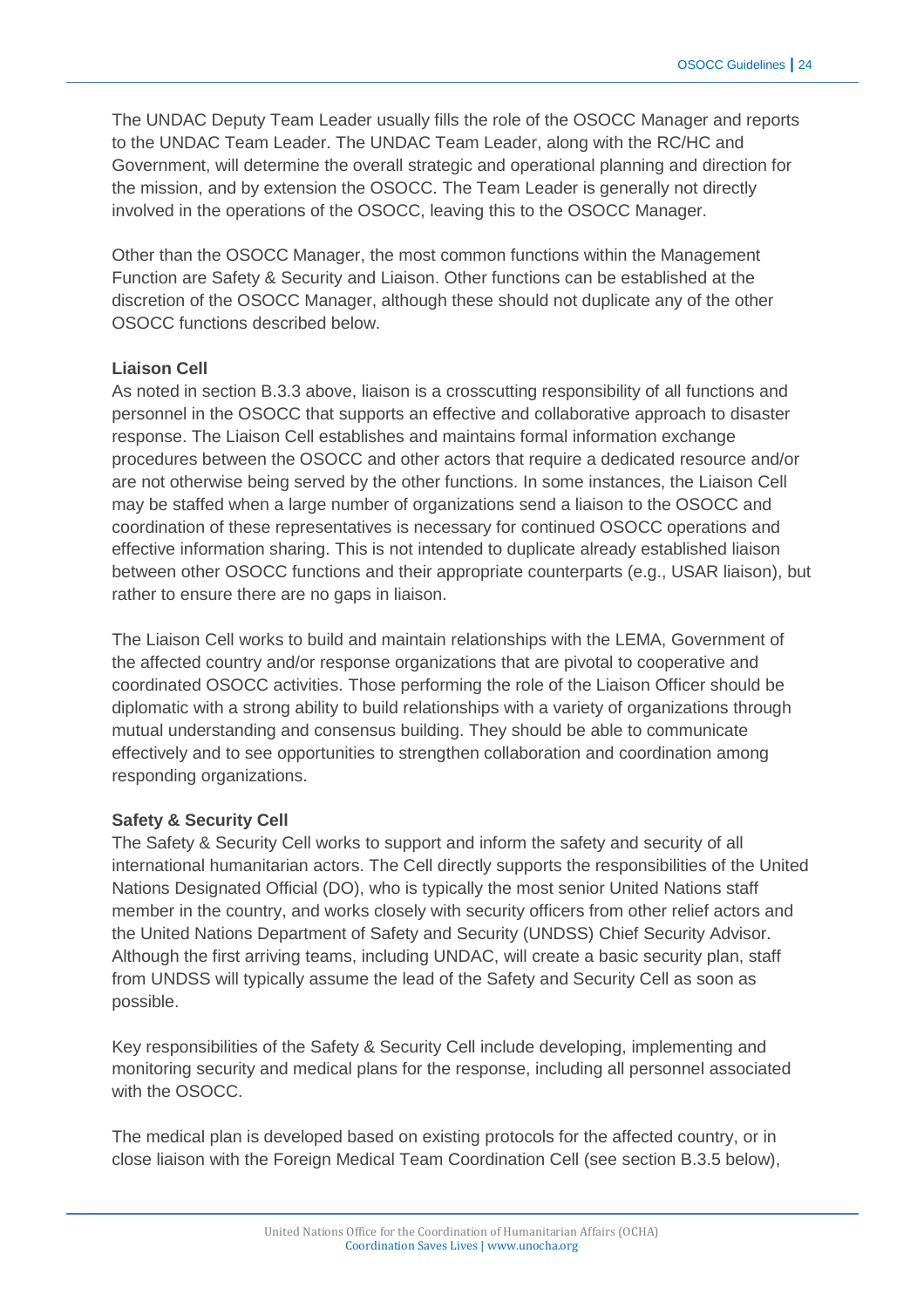The UNDAC Deputy Team Leader usually fills the role of the OSOCC Manager and reports to the UNDAC Team Leader. The UNDAC Team Leader, along with the RC/HC and Government, will determine the overall strategic and operational planning and direction for the mission, and by extension the OSOCC. The Team Leader is generally not directly involved in the operations of the OSOCC, leaving this to the OSOCC Manager.

Other than the OSOCC Manager, the most common functions within the Management Function are Safety & Security and Liaison. Other functions can be established at the discretion of the OSOCC Manager, although these should not duplicate any of the other OSOCC functions described below.

# **Liaison Cell**

As noted in section B.3.3 above, liaison is a crosscutting responsibility of all functions and personnel in the OSOCC that supports an effective and collaborative approach to disaster response. The Liaison Cell establishes and maintains formal information exchange procedures between the OSOCC and other actors that require a dedicated resource and/or are not otherwise being served by the other functions. In some instances, the Liaison Cell may be staffed when a large number of organizations send a liaison to the OSOCC and coordination of these representatives is necessary for continued OSOCC operations and effective information sharing. This is not intended to duplicate already established liaison between other OSOCC functions and their appropriate counterparts (e.g., USAR liaison), but rather to ensure there are no gaps in liaison.

The Liaison Cell works to build and maintain relationships with the LEMA, Government of the affected country and/or response organizations that are pivotal to cooperative and coordinated OSOCC activities. Those performing the role of the Liaison Officer should be diplomatic with a strong ability to build relationships with a variety of organizations through mutual understanding and consensus building. They should be able to communicate effectively and to see opportunities to strengthen collaboration and coordination among responding organizations.

#### **Safety & Security Cell**

The Safety & Security Cell works to support and inform the safety and security of all international humanitarian actors. The Cell directly supports the responsibilities of the United Nations Designated Official (DO), who is typically the most senior United Nations staff member in the country, and works closely with security officers from other relief actors and the United Nations Department of Safety and Security (UNDSS) Chief Security Advisor. Although the first arriving teams, including UNDAC, will create a basic security plan, staff from UNDSS will typically assume the lead of the Safety and Security Cell as soon as possible.

Key responsibilities of the Safety & Security Cell include developing, implementing and monitoring security and medical plans for the response, including all personnel associated with the OSOCC.

The medical plan is developed based on existing protocols for the affected country, or in close liaison with the Foreign Medical Team Coordination Cell (see section B.3.5 below),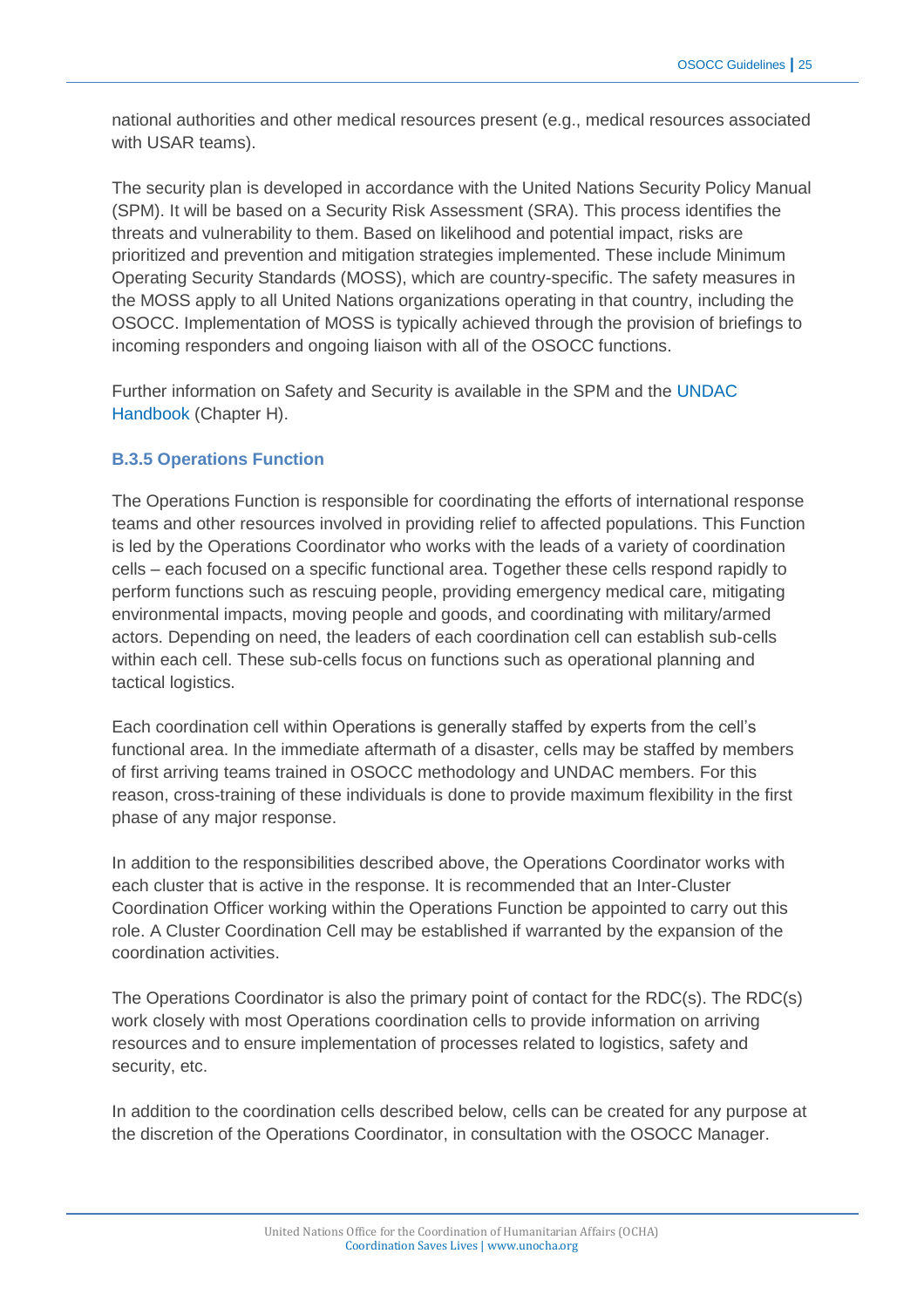national authorities and other medical resources present (e.g., medical resources associated with USAR teams).

The security plan is developed in accordance with the United Nations Security Policy Manual (SPM). It will be based on a Security Risk Assessment (SRA). This process identifies the threats and vulnerability to them. Based on likelihood and potential impact, risks are prioritized and prevention and mitigation strategies implemented. These include Minimum Operating Security Standards (MOSS), which are country-specific. The safety measures in the MOSS apply to all United Nations organizations operating in that country, including the OSOCC. Implementation of MOSS is typically achieved through the provision of briefings to incoming responders and ongoing liaison with all of the OSOCC functions.

Further information on Safety and Security is available in the SPM and the [UNDAC](http://www.unocha.org/what-we-do/coordination-tools/undac/overview)  [Handbook](http://www.unocha.org/what-we-do/coordination-tools/undac/overview) (Chapter H).

# **B.3.5 Operations Function**

The Operations Function is responsible for coordinating the efforts of international response teams and other resources involved in providing relief to affected populations. This Function is led by the Operations Coordinator who works with the leads of a variety of coordination cells – each focused on a specific functional area. Together these cells respond rapidly to perform functions such as rescuing people, providing emergency medical care, mitigating environmental impacts, moving people and goods, and coordinating with military/armed actors. Depending on need, the leaders of each coordination cell can establish sub-cells within each cell. These sub-cells focus on functions such as operational planning and tactical logistics.

Each coordination cell within Operations is generally staffed by experts from the cell's functional area. In the immediate aftermath of a disaster, cells may be staffed by members of first arriving teams trained in OSOCC methodology and UNDAC members. For this reason, cross-training of these individuals is done to provide maximum flexibility in the first phase of any major response.

In addition to the responsibilities described above, the Operations Coordinator works with each cluster that is active in the response. It is recommended that an Inter-Cluster Coordination Officer working within the Operations Function be appointed to carry out this role. A Cluster Coordination Cell may be established if warranted by the expansion of the coordination activities.

The Operations Coordinator is also the primary point of contact for the RDC(s). The RDC(s) work closely with most Operations coordination cells to provide information on arriving resources and to ensure implementation of processes related to logistics, safety and security, etc.

In addition to the coordination cells described below, cells can be created for any purpose at the discretion of the Operations Coordinator, in consultation with the OSOCC Manager.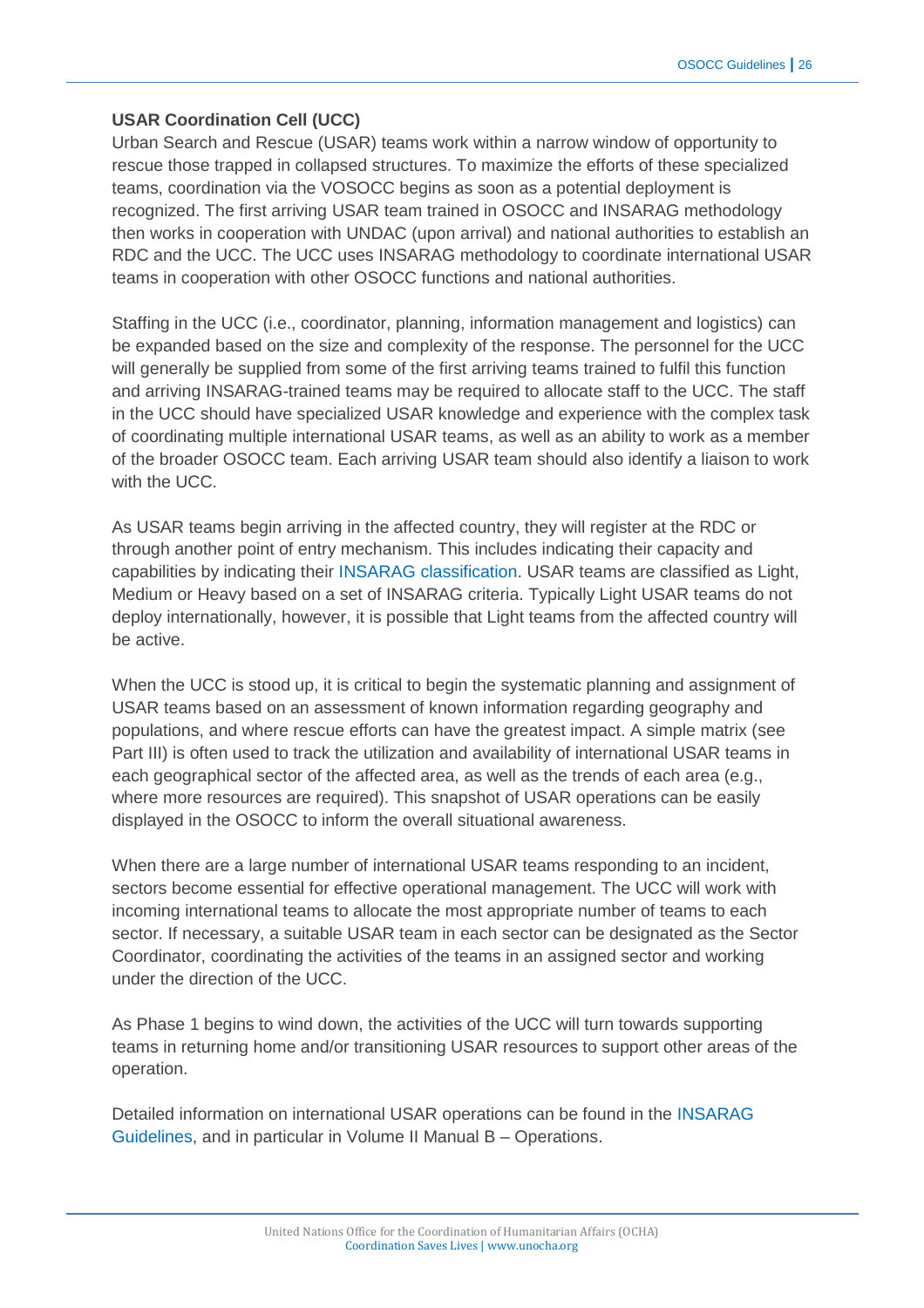# **USAR Coordination Cell (UCC)**

Urban Search and Rescue (USAR) teams work within a narrow window of opportunity to rescue those trapped in collapsed structures. To maximize the efforts of these specialized teams, coordination via the VOSOCC begins as soon as a potential deployment is recognized. The first arriving USAR team trained in OSOCC and INSARAG methodology then works in cooperation with UNDAC (upon arrival) and national authorities to establish an RDC and the UCC. The UCC uses INSARAG methodology to coordinate international USAR teams in cooperation with other OSOCC functions and national authorities.

Staffing in the UCC (i.e., coordinator, planning, information management and logistics) can be expanded based on the size and complexity of the response. The personnel for the UCC will generally be supplied from some of the first arriving teams trained to fulfil this function and arriving INSARAG-trained teams may be required to allocate staff to the UCC. The staff in the UCC should have specialized USAR knowledge and experience with the complex task of coordinating multiple international USAR teams, as well as an ability to work as a member of the broader OSOCC team. Each arriving USAR team should also identify a liaison to work with the UCC.

As USAR teams begin arriving in the affected country, they will register at the RDC or through another point of entry mechanism. This includes indicating their capacity and capabilities by indicating their INSARAG [classification.](http://www.insarag.org/en/methodology/guidelines.html) USAR teams are classified as Light, Medium or Heavy based on a set of INSARAG criteria. Typically Light USAR teams do not deploy internationally, however, it is possible that Light teams from the affected country will be active.

When the UCC is stood up, it is critical to begin the systematic planning and assignment of USAR teams based on an assessment of known information regarding geography and populations, and where rescue efforts can have the greatest impact. A simple matrix (see Part III) is often used to track the utilization and availability of international USAR teams in each geographical sector of the affected area, as well as the trends of each area (e.g., where more resources are required). This snapshot of USAR operations can be easily displayed in the OSOCC to inform the overall situational awareness.

When there are a large number of international USAR teams responding to an incident, sectors become essential for effective operational management. The UCC will work with incoming international teams to allocate the most appropriate number of teams to each sector. If necessary, a suitable USAR team in each sector can be designated as the Sector Coordinator, coordinating the activities of the teams in an assigned sector and working under the direction of the UCC.

As Phase 1 begins to wind down, the activities of the UCC will turn towards supporting teams in returning home and/or transitioning USAR resources to support other areas of the operation.

Detailed information on international USAR operations can be found in the [INSARAG](http://insarag.org/)  [Guidelines,](http://insarag.org/) and in particular in Volume II Manual B – Operations.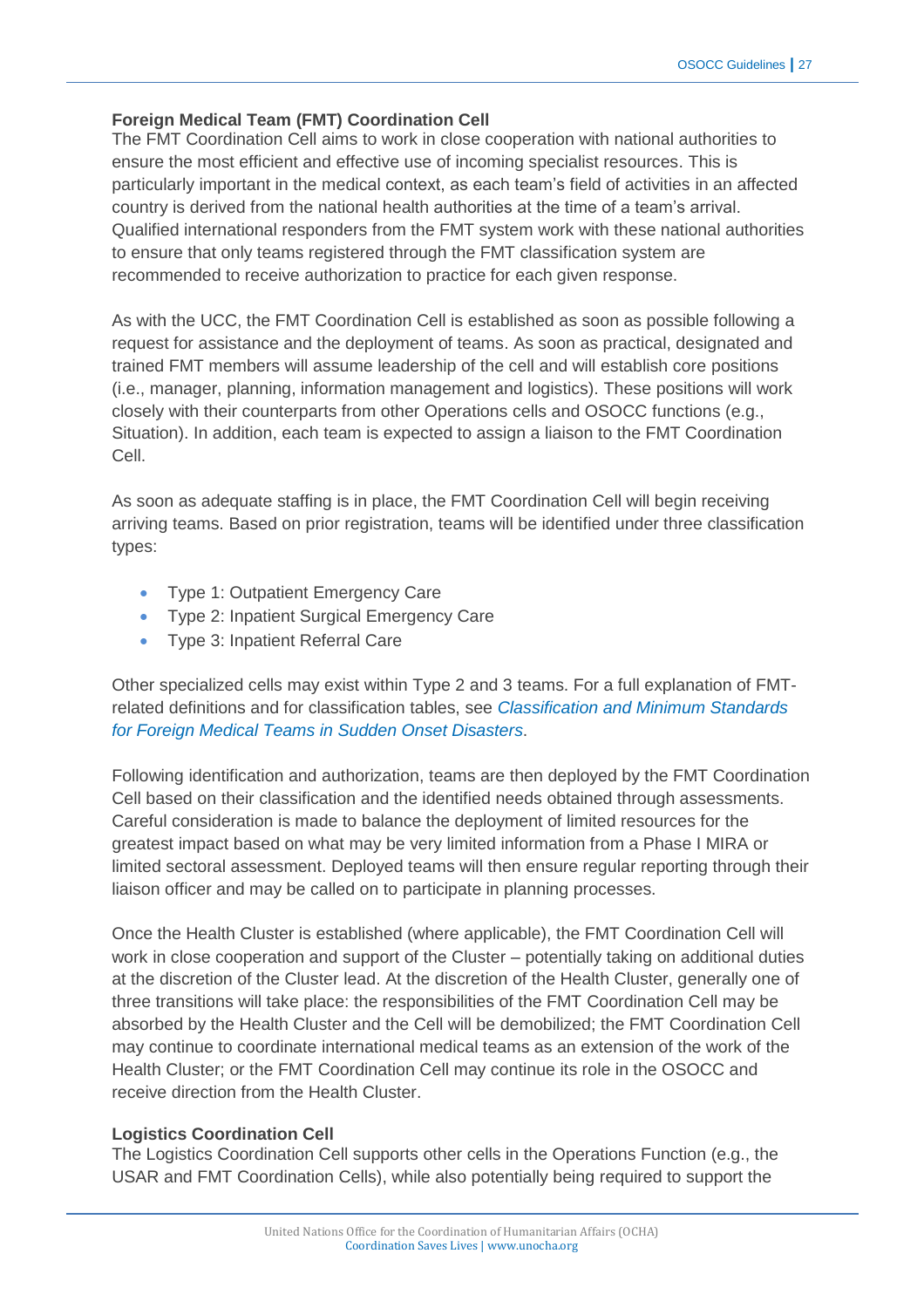# **Foreign Medical Team (FMT) Coordination Cell**

The FMT Coordination Cell aims to work in close cooperation with national authorities to ensure the most efficient and effective use of incoming specialist resources. This is particularly important in the medical context, as each team's field of activities in an affected country is derived from the national health authorities at the time of a team's arrival. Qualified international responders from the FMT system work with these national authorities to ensure that only teams registered through the FMT classification system are recommended to receive authorization to practice for each given response.

As with the UCC, the FMT Coordination Cell is established as soon as possible following a request for assistance and the deployment of teams. As soon as practical, designated and trained FMT members will assume leadership of the cell and will establish core positions (i.e., manager, planning, information management and logistics). These positions will work closely with their counterparts from other Operations cells and OSOCC functions (e.g., Situation). In addition, each team is expected to assign a liaison to the FMT Coordination Cell.

As soon as adequate staffing is in place, the FMT Coordination Cell will begin receiving arriving teams. Based on prior registration, teams will be identified under three classification types:

- Type 1: Outpatient Emergency Care
- Type 2: Inpatient Surgical Emergency Care
- Type 3: Inpatient Referral Care

Other specialized cells may exist within Type 2 and 3 teams. For a full explanation of FMTrelated definitions and for classification tables, see *[Classification and Minimum Standards](http://www.who.int/hac/global_health_cluster/fmt_guidelines_september2013.pdf)  [for Foreign Medical Teams in Sudden Onset Disasters](http://www.who.int/hac/global_health_cluster/fmt_guidelines_september2013.pdf)*.

Following identification and authorization, teams are then deployed by the FMT Coordination Cell based on their classification and the identified needs obtained through assessments. Careful consideration is made to balance the deployment of limited resources for the greatest impact based on what may be very limited information from a Phase I MIRA or limited sectoral assessment. Deployed teams will then ensure regular reporting through their liaison officer and may be called on to participate in planning processes.

Once the Health Cluster is established (where applicable), the FMT Coordination Cell will work in close cooperation and support of the Cluster – potentially taking on additional duties at the discretion of the Cluster lead. At the discretion of the Health Cluster, generally one of three transitions will take place: the responsibilities of the FMT Coordination Cell may be absorbed by the Health Cluster and the Cell will be demobilized; the FMT Coordination Cell may continue to coordinate international medical teams as an extension of the work of the Health Cluster; or the FMT Coordination Cell may continue its role in the OSOCC and receive direction from the Health Cluster.

#### **Logistics Coordination Cell**

The Logistics Coordination Cell supports other cells in the Operations Function (e.g., the USAR and FMT Coordination Cells), while also potentially being required to support the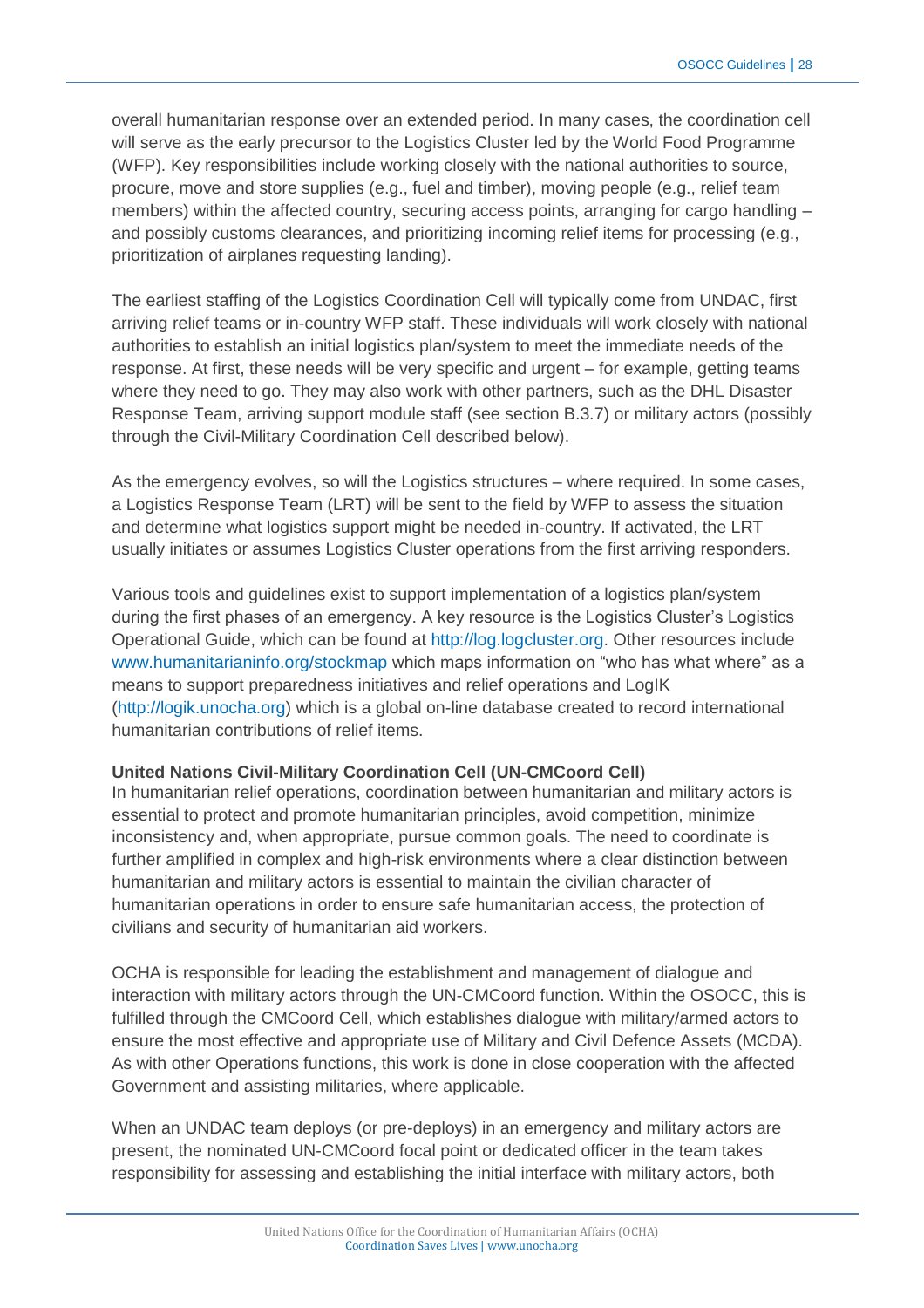overall humanitarian response over an extended period. In many cases, the coordination cell will serve as the early precursor to the Logistics Cluster led by the World Food Programme (WFP). Key responsibilities include working closely with the national authorities to source, procure, move and store supplies (e.g., fuel and timber), moving people (e.g., relief team members) within the affected country, securing access points, arranging for cargo handling and possibly customs clearances, and prioritizing incoming relief items for processing (e.g., prioritization of airplanes requesting landing).

The earliest staffing of the Logistics Coordination Cell will typically come from UNDAC, first arriving relief teams or in-country WFP staff. These individuals will work closely with national authorities to establish an initial logistics plan/system to meet the immediate needs of the response. At first, these needs will be very specific and urgent – for example, getting teams where they need to go. They may also work with other partners, such as the DHL Disaster Response Team, arriving support module staff (see section B.3.7) or military actors (possibly through the Civil-Military Coordination Cell described below).

As the emergency evolves, so will the Logistics structures – where required. In some cases, a Logistics Response Team (LRT) will be sent to the field by WFP to assess the situation and determine what logistics support might be needed in-country. If activated, the LRT usually initiates or assumes Logistics Cluster operations from the first arriving responders.

Various tools and guidelines exist to support implementation of a logistics plan/system during the first phases of an emergency. A key resource is the Logistics Cluster's Logistics Operational Guide, which can be found at [http://log.logcluster.org.](http://log.logcluster.org/) Other resources include [www.humanitarianinfo.org/stockmap](http://www.humanitarianinfo.org/stockmap) which maps information on "who has what where" as a means to support preparedness initiatives and relief operations and LogIK [\(http://logik.unocha.org\)](http://logik.unocha.org/) which is a global on-line database created to record international humanitarian contributions of relief items.

#### **United Nations Civil-Military Coordination Cell (UN-CMCoord Cell)**

In humanitarian relief operations, coordination between humanitarian and military actors is essential to protect and promote humanitarian principles, avoid competition, minimize inconsistency and, when appropriate, pursue common goals. The need to coordinate is further amplified in complex and high-risk environments where a clear distinction between humanitarian and military actors is essential to maintain the civilian character of humanitarian operations in order to ensure safe humanitarian access, the protection of civilians and security of humanitarian aid workers.

OCHA is responsible for leading the establishment and management of dialogue and interaction with military actors through the UN-CMCoord function. Within the OSOCC, this is fulfilled through the CMCoord Cell, which establishes dialogue with military/armed actors to ensure the most effective and appropriate use of Military and Civil Defence Assets (MCDA). As with other Operations functions, this work is done in close cooperation with the affected Government and assisting militaries, where applicable.

When an UNDAC team deploys (or pre-deploys) in an emergency and military actors are present, the nominated UN-CMCoord focal point or dedicated officer in the team takes responsibility for assessing and establishing the initial interface with military actors, both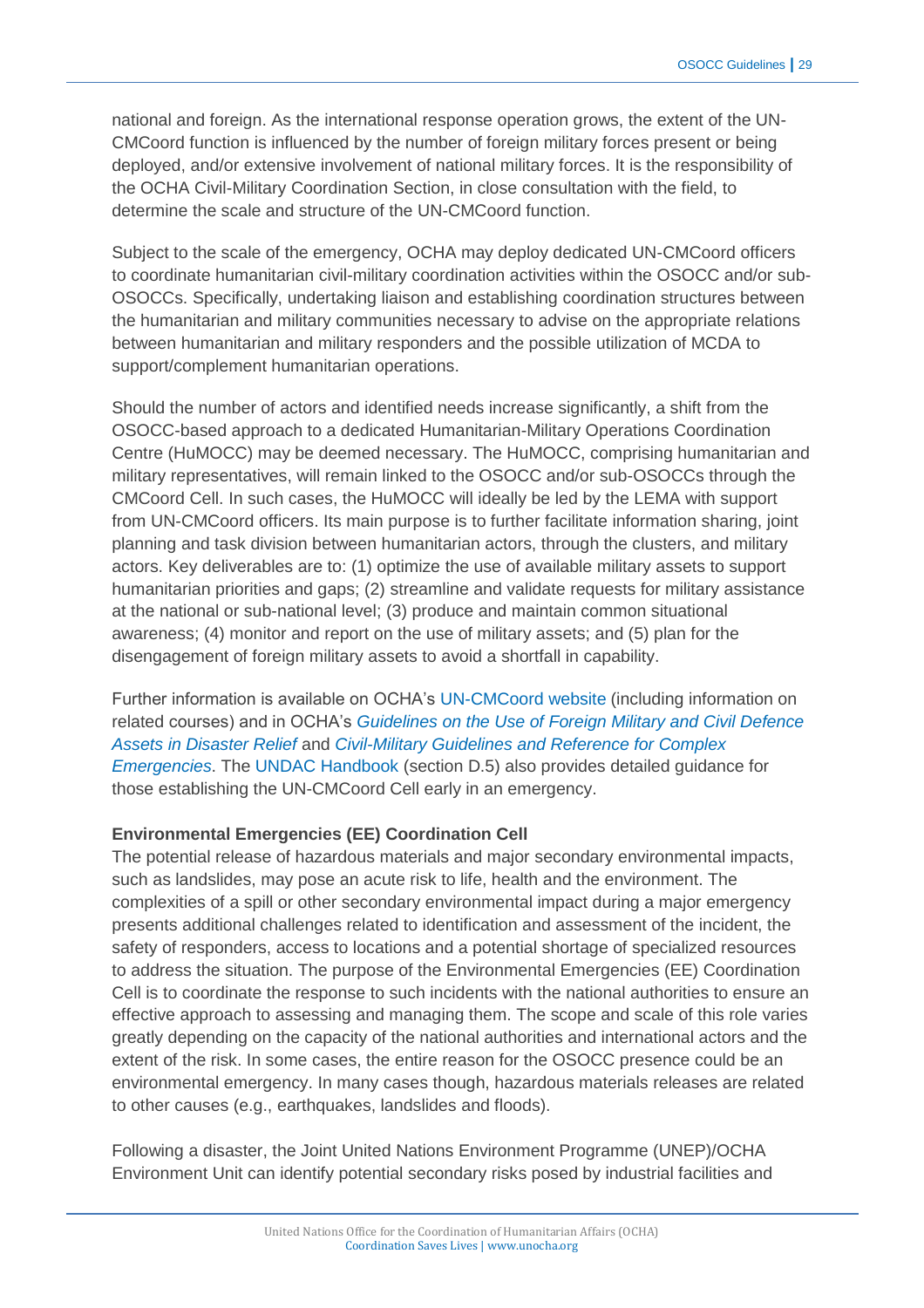national and foreign. As the international response operation grows, the extent of the UN-CMCoord function is influenced by the number of foreign military forces present or being deployed, and/or extensive involvement of national military forces. It is the responsibility of the OCHA Civil-Military Coordination Section, in close consultation with the field, to determine the scale and structure of the UN-CMCoord function.

Subject to the scale of the emergency, OCHA may deploy dedicated UN-CMCoord officers to coordinate humanitarian civil-military coordination activities within the OSOCC and/or sub-OSOCCs. Specifically, undertaking liaison and establishing coordination structures between the humanitarian and military communities necessary to advise on the appropriate relations between humanitarian and military responders and the possible utilization of MCDA to support/complement humanitarian operations.

Should the number of actors and identified needs increase significantly, a shift from the OSOCC-based approach to a dedicated Humanitarian-Military Operations Coordination Centre (HuMOCC) may be deemed necessary. The HuMOCC, comprising humanitarian and military representatives, will remain linked to the OSOCC and/or sub-OSOCCs through the CMCoord Cell. In such cases, the HuMOCC will ideally be led by the LEMA with support from UN-CMCoord officers. Its main purpose is to further facilitate information sharing, joint planning and task division between humanitarian actors, through the clusters, and military actors. Key deliverables are to: (1) optimize the use of available military assets to support humanitarian priorities and gaps; (2) streamline and validate requests for military assistance at the national or sub-national level; (3) produce and maintain common situational awareness; (4) monitor and report on the use of military assets; and (5) plan for the disengagement of foreign military assets to avoid a shortfall in capability.

Further information is available on OCHA's [UN-CMCoord website](http://www.unocha.org/what-we-do/coordination-tools/UN-CMCoord/overview) (including information on related courses) and in OCHA's *[Guidelines on the Use of Foreign Military and Civil Defence](https://docs.unocha.org/sites/dms/Documents/Oslo%20Guidelines%20ENGLISH%20(November%202007).pdf)  [Assets in Disaster Relief](https://docs.unocha.org/sites/dms/Documents/Oslo%20Guidelines%20ENGLISH%20(November%202007).pdf)* and *[Civil-Military Guidelines and Reference for Complex](https://docs.unocha.org/sites/dms/Documents/ENGLISH%20VERSION%20Guidelines%20for%20Complex%20Emergencies.pdf)  [Emergencies](https://docs.unocha.org/sites/dms/Documents/ENGLISH%20VERSION%20Guidelines%20for%20Complex%20Emergencies.pdf)*. The [UNDAC Handbook](https://docs.unocha.org/sites/dms/Documents/UNDAC%20Handbook%202013_english_final.pdf) (section D.5) also provides detailed guidance for those establishing the UN-CMCoord Cell early in an emergency.

#### **Environmental Emergencies (EE) Coordination Cell**

The potential release of hazardous materials and major secondary environmental impacts, such as landslides, may pose an acute risk to life, health and the environment. The complexities of a spill or other secondary environmental impact during a major emergency presents additional challenges related to identification and assessment of the incident, the safety of responders, access to locations and a potential shortage of specialized resources to address the situation. The purpose of the Environmental Emergencies (EE) Coordination Cell is to coordinate the response to such incidents with the national authorities to ensure an effective approach to assessing and managing them. The scope and scale of this role varies greatly depending on the capacity of the national authorities and international actors and the extent of the risk. In some cases, the entire reason for the OSOCC presence could be an environmental emergency. In many cases though, hazardous materials releases are related to other causes (e.g., earthquakes, landslides and floods).

Following a disaster, the Joint United Nations Environment Programme (UNEP)/OCHA Environment Unit can identify potential secondary risks posed by industrial facilities and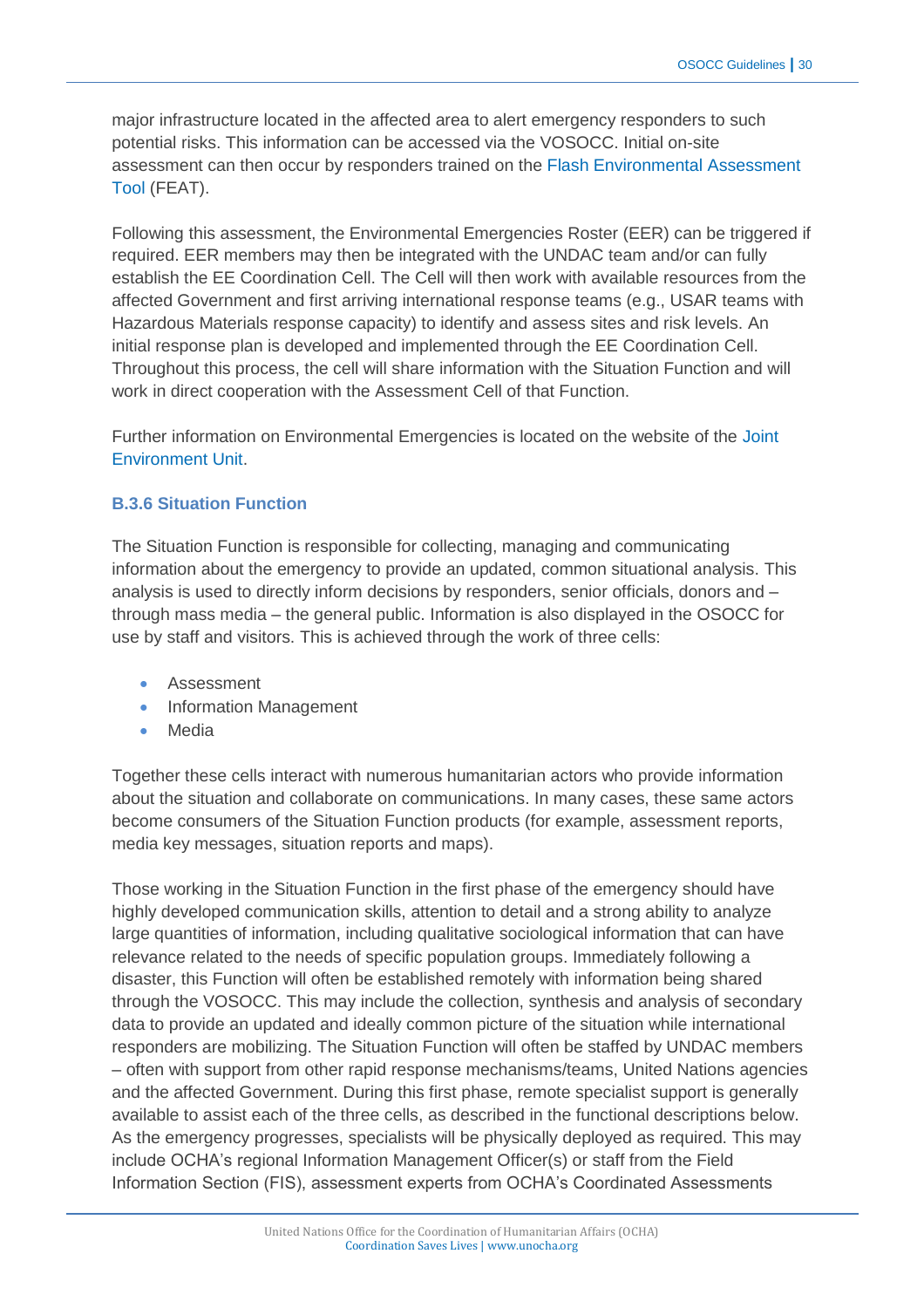major infrastructure located in the affected area to alert emergency responders to such potential risks. This information can be accessed via the VOSOCC. Initial on-site assessment can then occur by responders trained on the [Flash Environmental Assessment](https://docs.unocha.org/sites/dms/Documents/FEAT_Version_1.1.pdf)  [Tool](https://docs.unocha.org/sites/dms/Documents/FEAT_Version_1.1.pdf) (FEAT).

Following this assessment, the Environmental Emergencies Roster (EER) can be triggered if required. EER members may then be integrated with the UNDAC team and/or can fully establish the EE Coordination Cell. The Cell will then work with available resources from the affected Government and first arriving international response teams (e.g., USAR teams with Hazardous Materials response capacity) to identify and assess sites and risk levels. An initial response plan is developed and implemented through the EE Coordination Cell. Throughout this process, the cell will share information with the Situation Function and will work in direct cooperation with the Assessment Cell of that Function.

Further information on Environmental Emergencies is located on the website of the [Joint](http://www.unocha.org/what-we-do/coordination-tools/environmental-emergencies)  [Environment Unit.](http://www.unocha.org/what-we-do/coordination-tools/environmental-emergencies)

#### **B.3.6 Situation Function**

The Situation Function is responsible for collecting, managing and communicating information about the emergency to provide an updated, common situational analysis. This analysis is used to directly inform decisions by responders, senior officials, donors and – through mass media – the general public. Information is also displayed in the OSOCC for use by staff and visitors. This is achieved through the work of three cells:

- Assessment
- Information Management
- Media

Together these cells interact with numerous humanitarian actors who provide information about the situation and collaborate on communications. In many cases, these same actors become consumers of the Situation Function products (for example, assessment reports, media key messages, situation reports and maps).

Those working in the Situation Function in the first phase of the emergency should have highly developed communication skills, attention to detail and a strong ability to analyze large quantities of information, including qualitative sociological information that can have relevance related to the needs of specific population groups. Immediately following a disaster, this Function will often be established remotely with information being shared through the VOSOCC. This may include the collection, synthesis and analysis of secondary data to provide an updated and ideally common picture of the situation while international responders are mobilizing. The Situation Function will often be staffed by UNDAC members – often with support from other rapid response mechanisms/teams, United Nations agencies and the affected Government. During this first phase, remote specialist support is generally available to assist each of the three cells, as described in the functional descriptions below. As the emergency progresses, specialists will be physically deployed as required. This may include OCHA's regional Information Management Officer(s) or staff from the Field Information Section (FIS), assessment experts from OCHA's Coordinated Assessments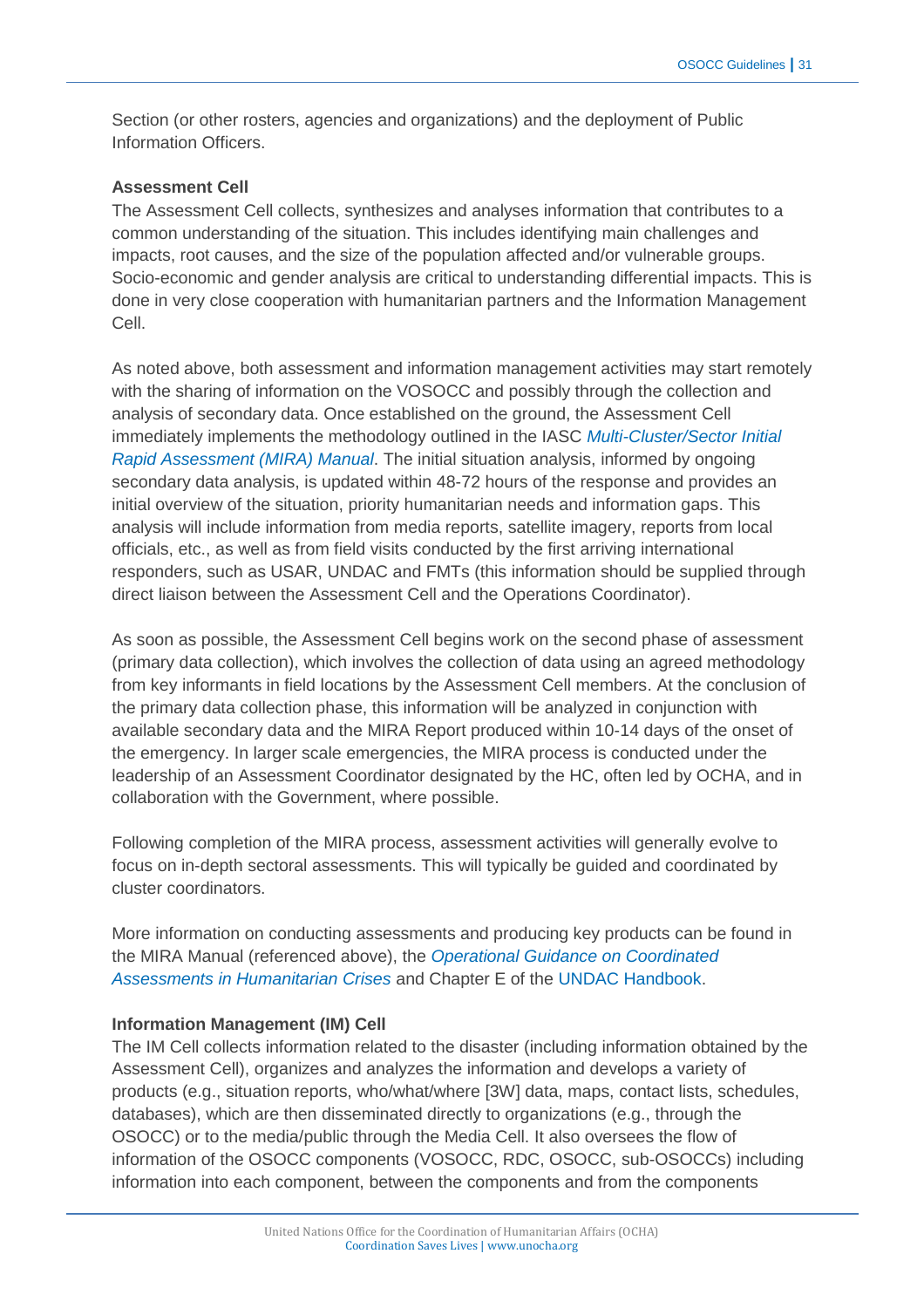Section (or other rosters, agencies and organizations) and the deployment of Public Information Officers.

#### **Assessment Cell**

The Assessment Cell collects, synthesizes and analyses information that contributes to a common understanding of the situation. This includes identifying main challenges and impacts, root causes, and the size of the population affected and/or vulnerable groups. Socio-economic and gender analysis are critical to understanding differential impacts. This is done in very close cooperation with humanitarian partners and the Information Management Cell.

As noted above, both assessment and information management activities may start remotely with the sharing of information on the VOSOCC and possibly through the collection and analysis of secondary data. Once established on the ground, the Assessment Cell immediately implements the methodology outlined in the IASC *[Multi-Cluster/Sector Initial](https://docs.unocha.org/sites/dms/Documents/mira_final_version2012.pdf)  [Rapid Assessment \(MIRA\) Manual](https://docs.unocha.org/sites/dms/Documents/mira_final_version2012.pdf)*. The initial situation analysis, informed by ongoing secondary data analysis, is updated within 48-72 hours of the response and provides an initial overview of the situation, priority humanitarian needs and information gaps. This analysis will include information from media reports, satellite imagery, reports from local officials, etc., as well as from field visits conducted by the first arriving international responders, such as USAR, UNDAC and FMTs (this information should be supplied through direct liaison between the Assessment Cell and the Operations Coordinator).

As soon as possible, the Assessment Cell begins work on the second phase of assessment (primary data collection), which involves the collection of data using an agreed methodology from key informants in field locations by the Assessment Cell members. At the conclusion of the primary data collection phase, this information will be analyzed in conjunction with available secondary data and the MIRA Report produced within 10-14 days of the onset of the emergency. In larger scale emergencies, the MIRA process is conducted under the leadership of an Assessment Coordinator designated by the HC, often led by OCHA, and in collaboration with the Government, where possible.

Following completion of the MIRA process, assessment activities will generally evolve to focus on in-depth sectoral assessments. This will typically be guided and coordinated by cluster coordinators.

More information on conducting assessments and producing key products can be found in the MIRA Manual (referenced above), the *[Operational Guidance on Coordinated](https://docs.unocha.org/sites/dms/Documents/ops_guidance_finalversion2012.pdf)  [Assessments in Humanitarian Crises](https://docs.unocha.org/sites/dms/Documents/ops_guidance_finalversion2012.pdf)* and Chapter E of the [UNDAC Handbook.](http://www.unocha.org/what-we-do/coordination-tools/undac/overview)

#### **Information Management (IM) Cell**

The IM Cell collects information related to the disaster (including information obtained by the Assessment Cell), organizes and analyzes the information and develops a variety of products (e.g., situation reports, who/what/where [3W] data, maps, contact lists, schedules, databases), which are then disseminated directly to organizations (e.g., through the OSOCC) or to the media/public through the Media Cell. It also oversees the flow of information of the OSOCC components (VOSOCC, RDC, OSOCC, sub-OSOCCs) including information into each component, between the components and from the components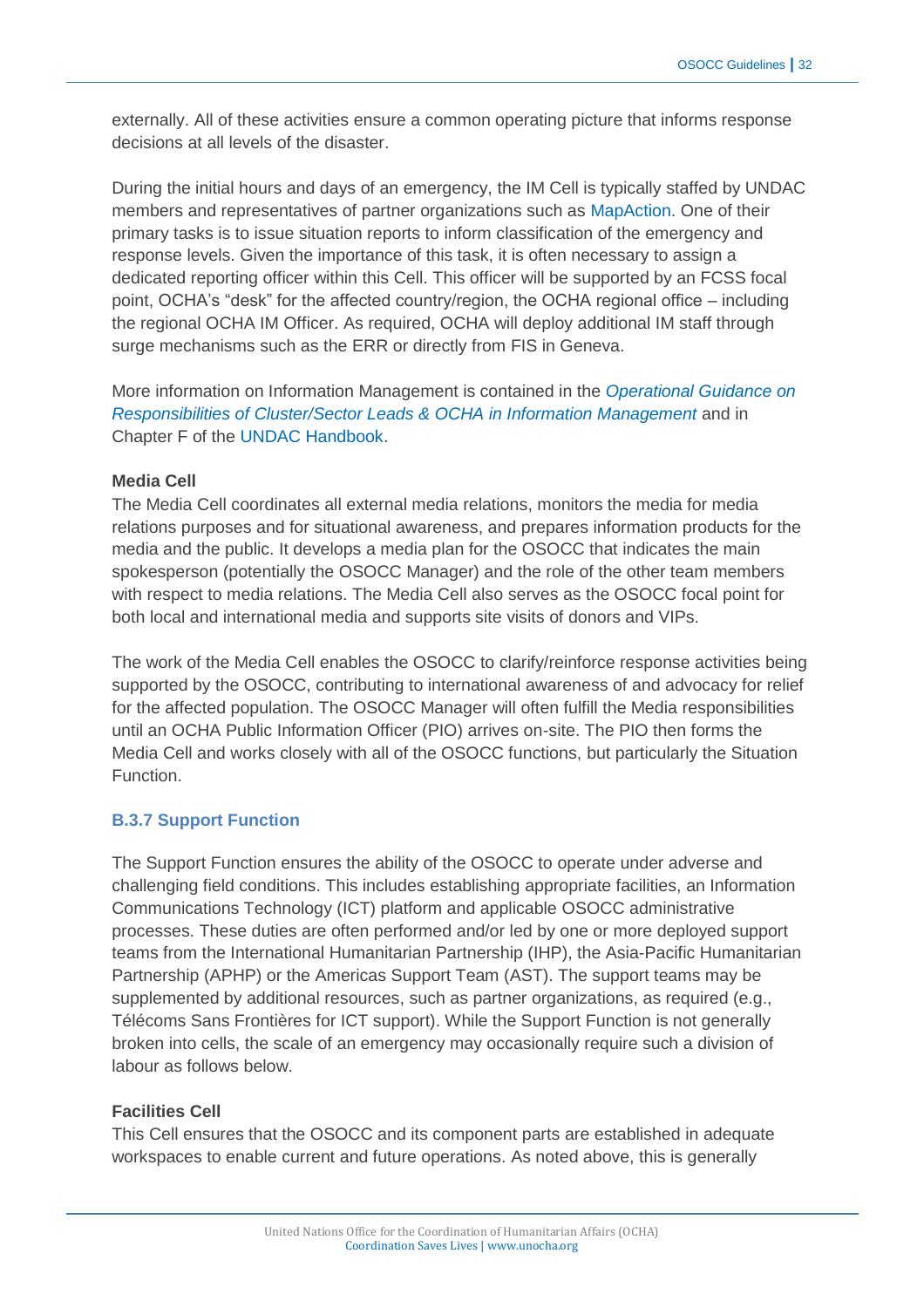externally. All of these activities ensure a common operating picture that informs response decisions at all levels of the disaster.

During the initial hours and days of an emergency, the IM Cell is typically staffed by UNDAC members and representatives of partner organizations such as [MapAction.](http://www.mapaction.org/) One of their primary tasks is to issue situation reports to inform classification of the emergency and response levels. Given the importance of this task, it is often necessary to assign a dedicated reporting officer within this Cell. This officer will be supported by an FCSS focal point, OCHA's "desk" for the affected country/region, the OCHA regional office – including the regional OCHA IM Officer. As required, OCHA will deploy additional IM staff through surge mechanisms such as the ERR or directly from FIS in Geneva.

More information on Information Management is contained in the *[Operational Guidance on](http://www.humanitarianinfo.org/iasc/downloaddoc.aspx?docID=4911&type=pdf)  [Responsibilities of Cluster/Sector Leads &](http://www.humanitarianinfo.org/iasc/downloaddoc.aspx?docID=4911&type=pdf) OCHA in Information Management* and in Chapter F of the [UNDAC Handbook.](http://www.unocha.org/what-we-do/coordination-tools/undac/overview)

#### **Media Cell**

The Media Cell coordinates all external media relations, monitors the media for media relations purposes and for situational awareness, and prepares information products for the media and the public. It develops a media plan for the OSOCC that indicates the main spokesperson (potentially the OSOCC Manager) and the role of the other team members with respect to media relations. The Media Cell also serves as the OSOCC focal point for both local and international media and supports site visits of donors and VIPs.

The work of the Media Cell enables the OSOCC to clarify/reinforce response activities being supported by the OSOCC, contributing to international awareness of and advocacy for relief for the affected population. The OSOCC Manager will often fulfill the Media responsibilities until an OCHA Public Information Officer (PIO) arrives on-site. The PIO then forms the Media Cell and works closely with all of the OSOCC functions, but particularly the Situation Function.

#### **B.3.7 Support Function**

The Support Function ensures the ability of the OSOCC to operate under adverse and challenging field conditions. This includes establishing appropriate facilities, an Information Communications Technology (ICT) platform and applicable OSOCC administrative processes. These duties are often performed and/or led by one or more deployed support teams from the International Humanitarian Partnership (IHP), the Asia-Pacific Humanitarian Partnership (APHP) or the Americas Support Team (AST). The support teams may be supplemented by additional resources, such as partner organizations, as required (e.g., Télécoms Sans Frontières for ICT support). While the Support Function is not generally broken into cells, the scale of an emergency may occasionally require such a division of labour as follows below.

#### **Facilities Cell**

This Cell ensures that the OSOCC and its component parts are established in adequate workspaces to enable current and future operations. As noted above, this is generally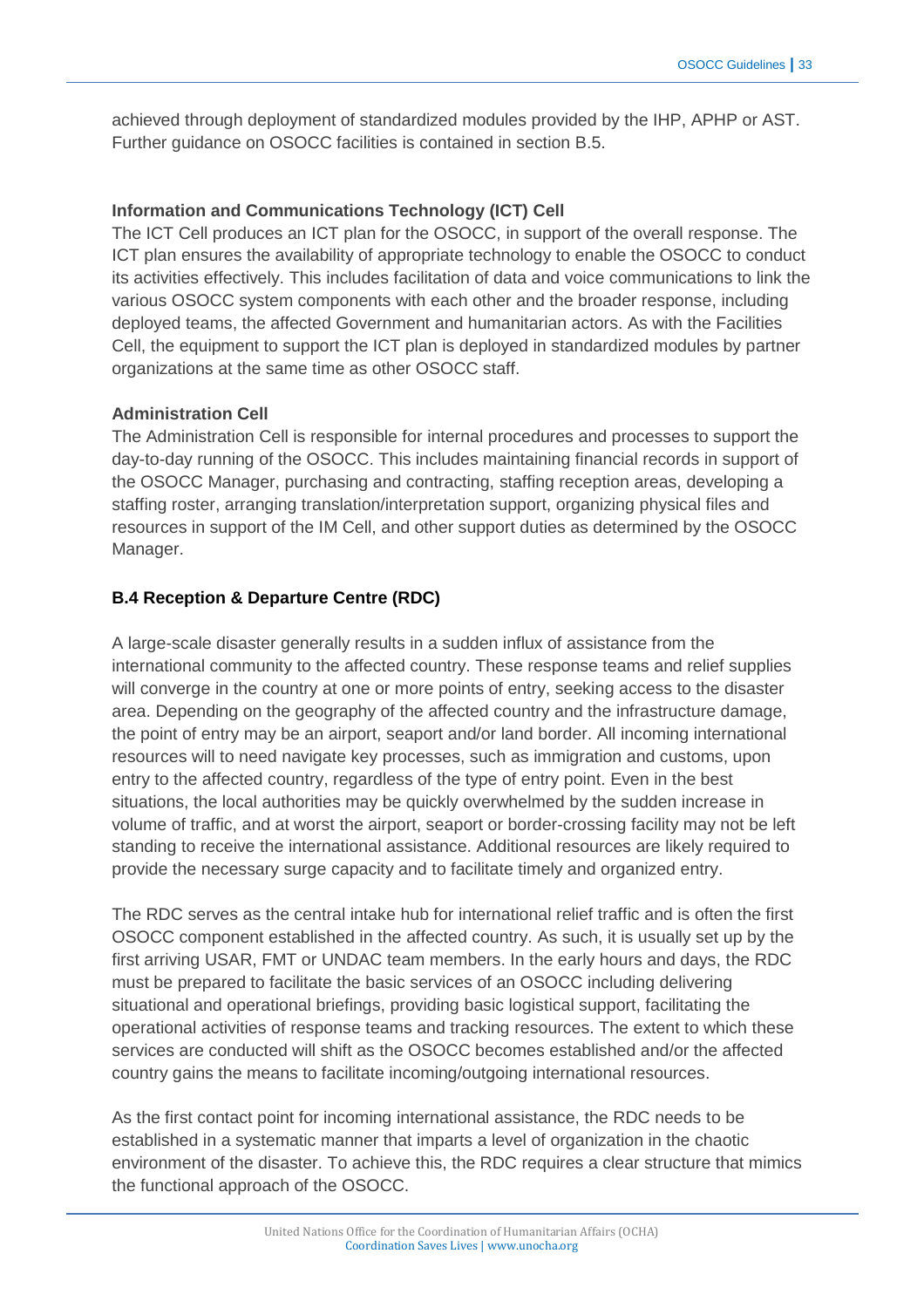achieved through deployment of standardized modules provided by the IHP, APHP or AST. Further guidance on OSOCC facilities is contained in section B.5.

# **Information and Communications Technology (ICT) Cell**

The ICT Cell produces an ICT plan for the OSOCC, in support of the overall response. The ICT plan ensures the availability of appropriate technology to enable the OSOCC to conduct its activities effectively. This includes facilitation of data and voice communications to link the various OSOCC system components with each other and the broader response, including deployed teams, the affected Government and humanitarian actors. As with the Facilities Cell, the equipment to support the ICT plan is deployed in standardized modules by partner organizations at the same time as other OSOCC staff.

#### **Administration Cell**

The Administration Cell is responsible for internal procedures and processes to support the day-to-day running of the OSOCC. This includes maintaining financial records in support of the OSOCC Manager, purchasing and contracting, staffing reception areas, developing a staffing roster, arranging translation/interpretation support, organizing physical files and resources in support of the IM Cell, and other support duties as determined by the OSOCC Manager.

# **B.4 Reception & Departure Centre (RDC)**

A large-scale disaster generally results in a sudden influx of assistance from the international community to the affected country. These response teams and relief supplies will converge in the country at one or more points of entry, seeking access to the disaster area. Depending on the geography of the affected country and the infrastructure damage, the point of entry may be an airport, seaport and/or land border. All incoming international resources will to need navigate key processes, such as immigration and customs, upon entry to the affected country, regardless of the type of entry point. Even in the best situations, the local authorities may be quickly overwhelmed by the sudden increase in volume of traffic, and at worst the airport, seaport or border-crossing facility may not be left standing to receive the international assistance. Additional resources are likely required to provide the necessary surge capacity and to facilitate timely and organized entry.

The RDC serves as the central intake hub for international relief traffic and is often the first OSOCC component established in the affected country. As such, it is usually set up by the first arriving USAR, FMT or UNDAC team members. In the early hours and days, the RDC must be prepared to facilitate the basic services of an OSOCC including delivering situational and operational briefings, providing basic logistical support, facilitating the operational activities of response teams and tracking resources. The extent to which these services are conducted will shift as the OSOCC becomes established and/or the affected country gains the means to facilitate incoming/outgoing international resources.

As the first contact point for incoming international assistance, the RDC needs to be established in a systematic manner that imparts a level of organization in the chaotic environment of the disaster. To achieve this, the RDC requires a clear structure that mimics the functional approach of the OSOCC.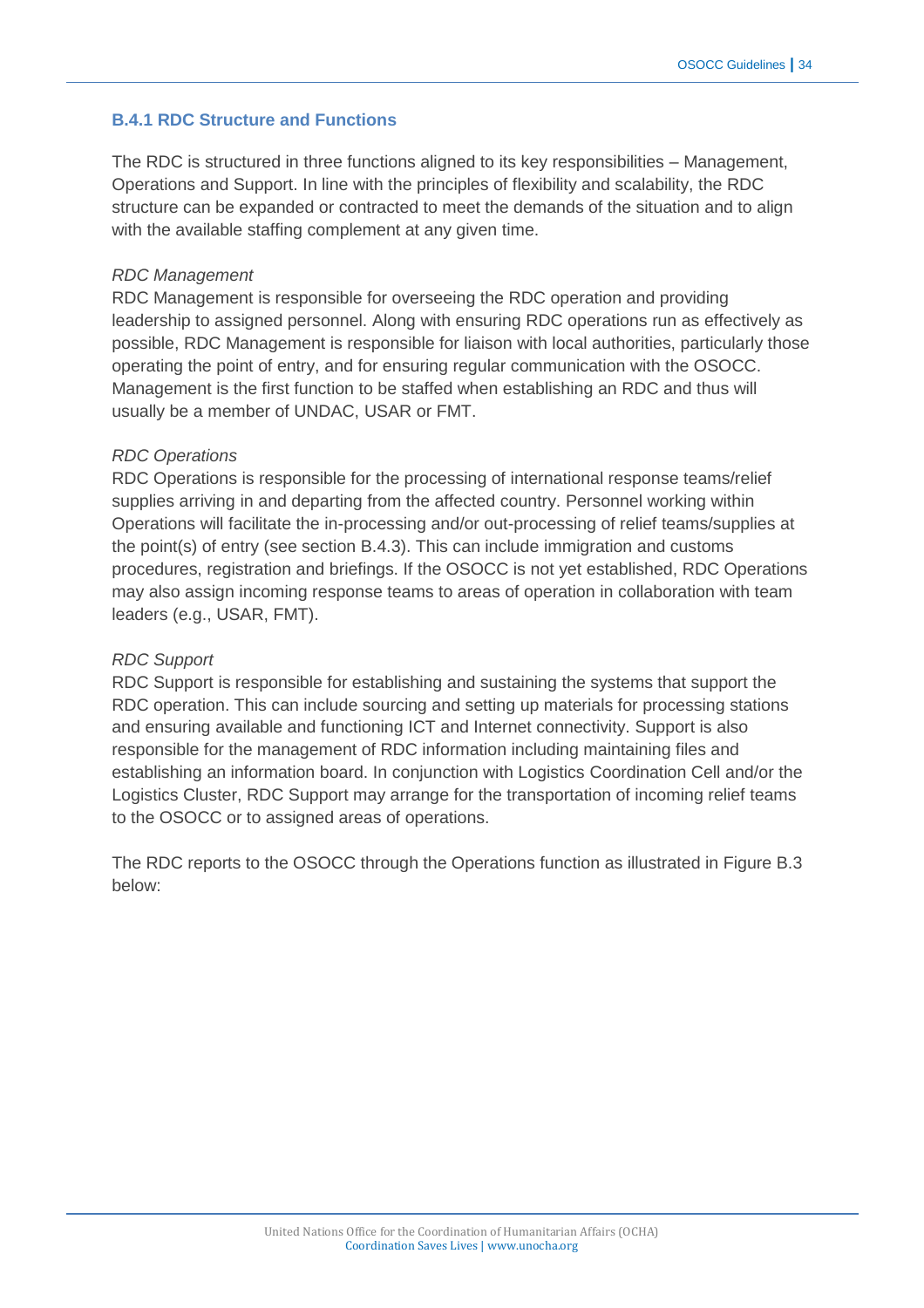# **B.4.1 RDC Structure and Functions**

The RDC is structured in three functions aligned to its key responsibilities – Management, Operations and Support. In line with the principles of flexibility and scalability, the RDC structure can be expanded or contracted to meet the demands of the situation and to align with the available staffing complement at any given time.

#### *RDC Management*

RDC Management is responsible for overseeing the RDC operation and providing leadership to assigned personnel. Along with ensuring RDC operations run as effectively as possible, RDC Management is responsible for liaison with local authorities, particularly those operating the point of entry, and for ensuring regular communication with the OSOCC. Management is the first function to be staffed when establishing an RDC and thus will usually be a member of UNDAC, USAR or FMT.

# *RDC Operations*

RDC Operations is responsible for the processing of international response teams/relief supplies arriving in and departing from the affected country. Personnel working within Operations will facilitate the in-processing and/or out-processing of relief teams/supplies at the point(s) of entry (see section B.4.3). This can include immigration and customs procedures, registration and briefings. If the OSOCC is not yet established, RDC Operations may also assign incoming response teams to areas of operation in collaboration with team leaders (e.g., USAR, FMT).

# *RDC Support*

RDC Support is responsible for establishing and sustaining the systems that support the RDC operation. This can include sourcing and setting up materials for processing stations and ensuring available and functioning ICT and Internet connectivity. Support is also responsible for the management of RDC information including maintaining files and establishing an information board. In conjunction with Logistics Coordination Cell and/or the Logistics Cluster, RDC Support may arrange for the transportation of incoming relief teams to the OSOCC or to assigned areas of operations.

The RDC reports to the OSOCC through the Operations function as illustrated in Figure B.3 below: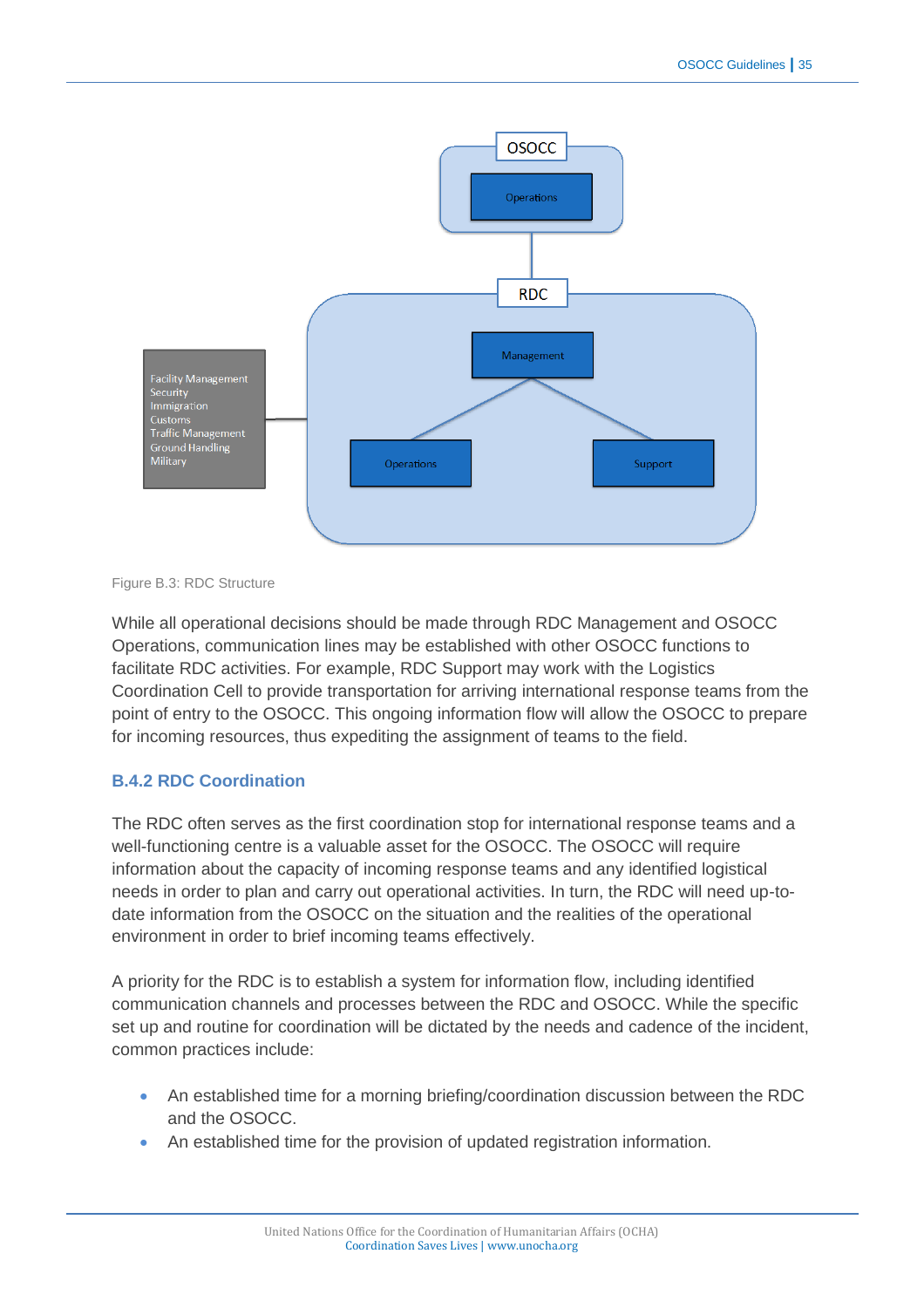

Figure B.3: RDC Structure

While all operational decisions should be made through RDC Management and OSOCC Operations, communication lines may be established with other OSOCC functions to facilitate RDC activities. For example, RDC Support may work with the Logistics Coordination Cell to provide transportation for arriving international response teams from the point of entry to the OSOCC. This ongoing information flow will allow the OSOCC to prepare for incoming resources, thus expediting the assignment of teams to the field.

# **B.4.2 RDC Coordination**

The RDC often serves as the first coordination stop for international response teams and a well-functioning centre is a valuable asset for the OSOCC. The OSOCC will require information about the capacity of incoming response teams and any identified logistical needs in order to plan and carry out operational activities. In turn, the RDC will need up-todate information from the OSOCC on the situation and the realities of the operational environment in order to brief incoming teams effectively.

A priority for the RDC is to establish a system for information flow, including identified communication channels and processes between the RDC and OSOCC. While the specific set up and routine for coordination will be dictated by the needs and cadence of the incident, common practices include:

- An established time for a morning briefing/coordination discussion between the RDC and the OSOCC.
- An established time for the provision of updated registration information.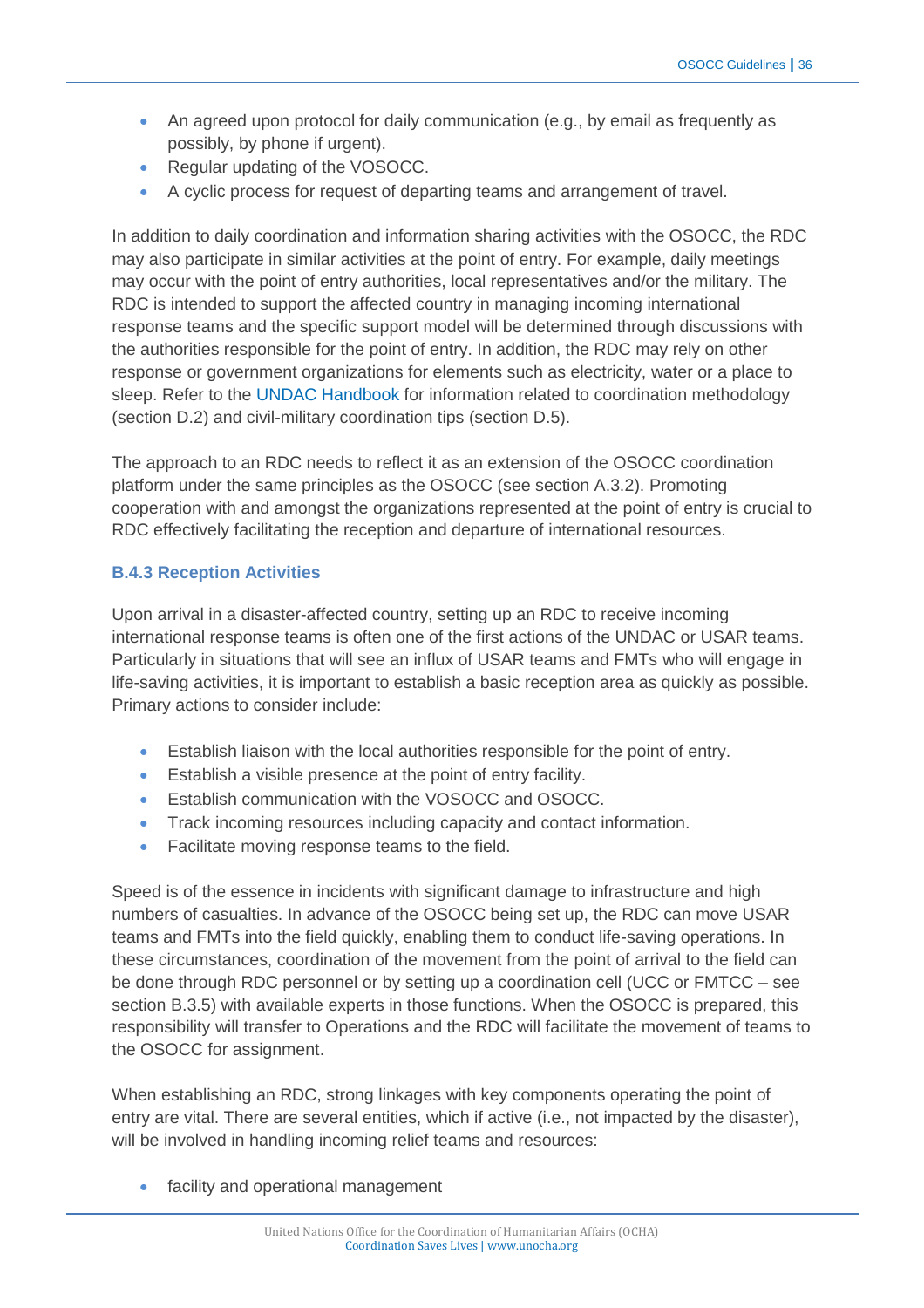- An agreed upon protocol for daily communication (e.g., by email as frequently as possibly, by phone if urgent).
- Regular updating of the VOSOCC.
- A cyclic process for request of departing teams and arrangement of travel.

In addition to daily coordination and information sharing activities with the OSOCC, the RDC may also participate in similar activities at the point of entry. For example, daily meetings may occur with the point of entry authorities, local representatives and/or the military. The RDC is intended to support the affected country in managing incoming international response teams and the specific support model will be determined through discussions with the authorities responsible for the point of entry. In addition, the RDC may rely on other response or government organizations for elements such as electricity, water or a place to sleep. Refer to the [UNDAC Handbook](http://www.unocha.org/what-we-do/coordination-tools/undac/overview) for information related to coordination methodology (section D.2) and civil-military coordination tips (section D.5).

The approach to an RDC needs to reflect it as an extension of the OSOCC coordination platform under the same principles as the OSOCC (see section A.3.2). Promoting cooperation with and amongst the organizations represented at the point of entry is crucial to RDC effectively facilitating the reception and departure of international resources.

# **B.4.3 Reception Activities**

Upon arrival in a disaster-affected country, setting up an RDC to receive incoming international response teams is often one of the first actions of the UNDAC or USAR teams. Particularly in situations that will see an influx of USAR teams and FMTs who will engage in life-saving activities, it is important to establish a basic reception area as quickly as possible. Primary actions to consider include:

- Establish liaison with the local authorities responsible for the point of entry.
- Establish a visible presence at the point of entry facility.
- Establish communication with the VOSOCC and OSOCC.
- **Track incoming resources including capacity and contact information.**
- Facilitate moving response teams to the field.

Speed is of the essence in incidents with significant damage to infrastructure and high numbers of casualties. In advance of the OSOCC being set up, the RDC can move USAR teams and FMTs into the field quickly, enabling them to conduct life-saving operations. In these circumstances, coordination of the movement from the point of arrival to the field can be done through RDC personnel or by setting up a coordination cell (UCC or FMTCC – see section B.3.5) with available experts in those functions. When the OSOCC is prepared, this responsibility will transfer to Operations and the RDC will facilitate the movement of teams to the OSOCC for assignment.

When establishing an RDC, strong linkages with key components operating the point of entry are vital. There are several entities, which if active (i.e., not impacted by the disaster), will be involved in handling incoming relief teams and resources:

• facility and operational management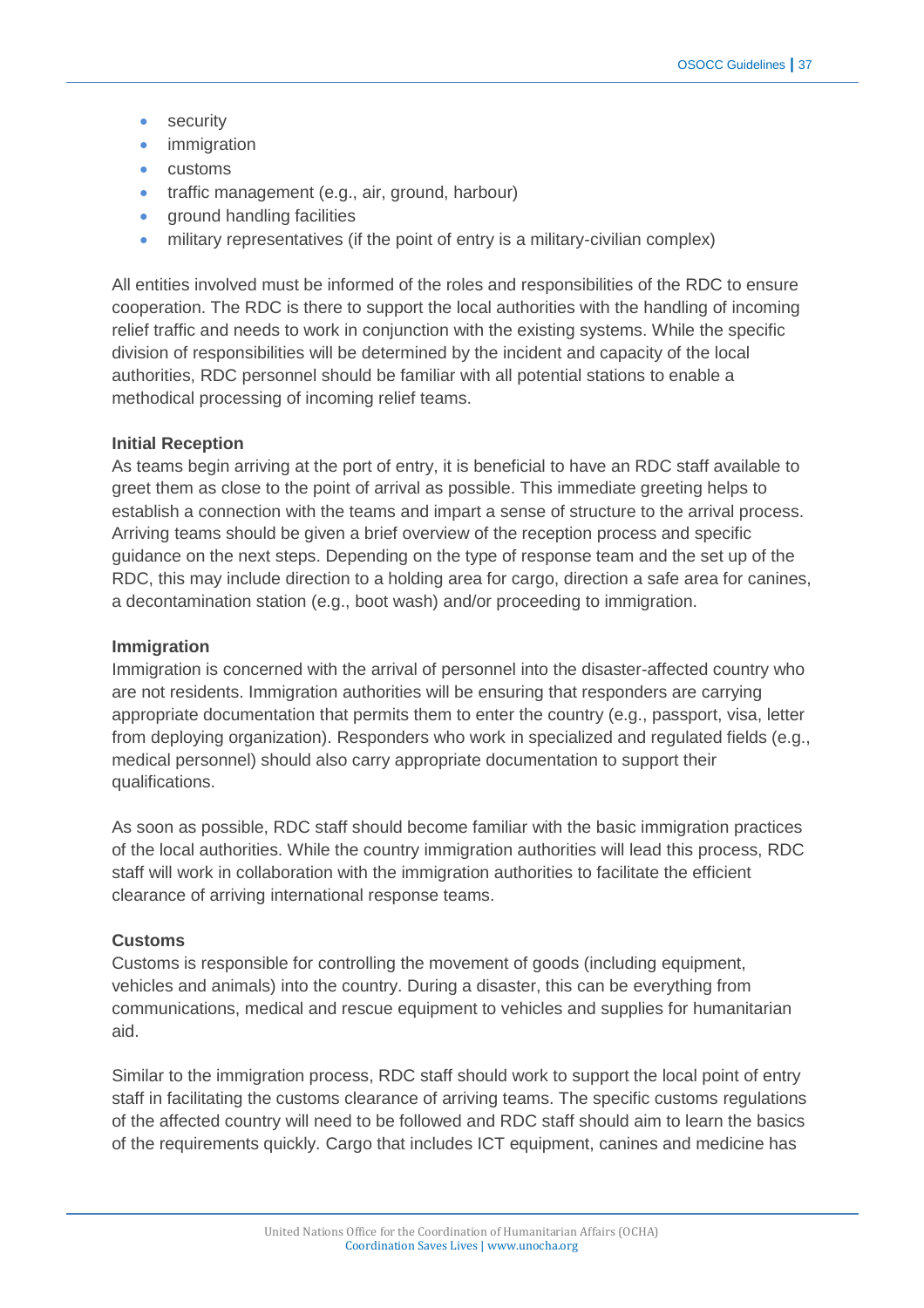- security
- immigration
- customs
- traffic management (e.g., air, ground, harbour)
- ground handling facilities
- military representatives (if the point of entry is a military-civilian complex)

All entities involved must be informed of the roles and responsibilities of the RDC to ensure cooperation. The RDC is there to support the local authorities with the handling of incoming relief traffic and needs to work in conjunction with the existing systems. While the specific division of responsibilities will be determined by the incident and capacity of the local authorities, RDC personnel should be familiar with all potential stations to enable a methodical processing of incoming relief teams.

#### **Initial Reception**

As teams begin arriving at the port of entry, it is beneficial to have an RDC staff available to greet them as close to the point of arrival as possible. This immediate greeting helps to establish a connection with the teams and impart a sense of structure to the arrival process. Arriving teams should be given a brief overview of the reception process and specific guidance on the next steps. Depending on the type of response team and the set up of the RDC, this may include direction to a holding area for cargo, direction a safe area for canines, a decontamination station (e.g., boot wash) and/or proceeding to immigration.

#### **Immigration**

Immigration is concerned with the arrival of personnel into the disaster-affected country who are not residents. Immigration authorities will be ensuring that responders are carrying appropriate documentation that permits them to enter the country (e.g., passport, visa, letter from deploying organization). Responders who work in specialized and regulated fields (e.g., medical personnel) should also carry appropriate documentation to support their qualifications.

As soon as possible, RDC staff should become familiar with the basic immigration practices of the local authorities. While the country immigration authorities will lead this process, RDC staff will work in collaboration with the immigration authorities to facilitate the efficient clearance of arriving international response teams.

#### **Customs**

Customs is responsible for controlling the movement of goods (including equipment, vehicles and animals) into the country. During a disaster, this can be everything from communications, medical and rescue equipment to vehicles and supplies for humanitarian aid.

Similar to the immigration process, RDC staff should work to support the local point of entry staff in facilitating the customs clearance of arriving teams. The specific customs regulations of the affected country will need to be followed and RDC staff should aim to learn the basics of the requirements quickly. Cargo that includes ICT equipment, canines and medicine has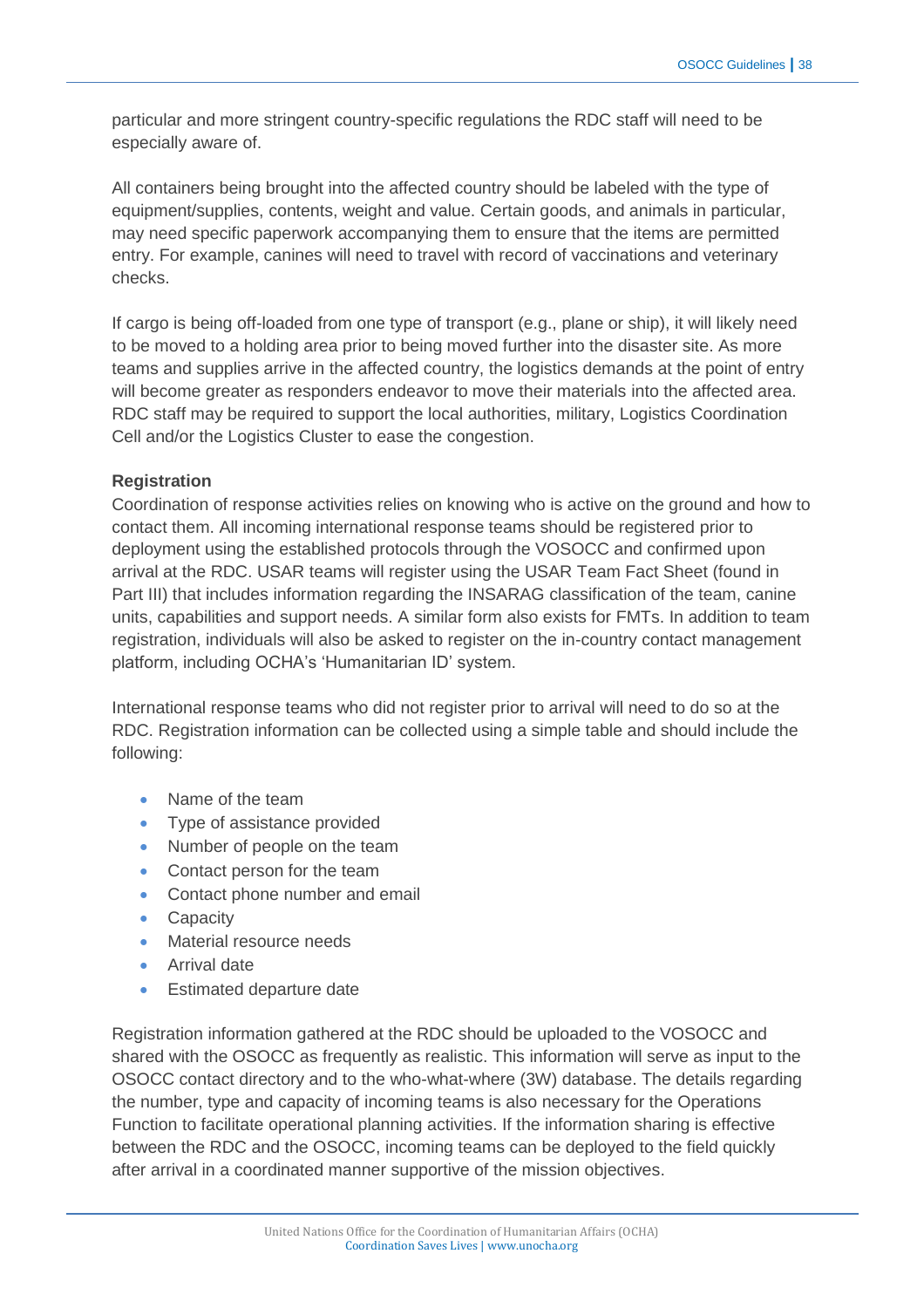particular and more stringent country-specific regulations the RDC staff will need to be especially aware of.

All containers being brought into the affected country should be labeled with the type of equipment/supplies, contents, weight and value. Certain goods, and animals in particular, may need specific paperwork accompanying them to ensure that the items are permitted entry. For example, canines will need to travel with record of vaccinations and veterinary checks.

If cargo is being off-loaded from one type of transport (e.g., plane or ship), it will likely need to be moved to a holding area prior to being moved further into the disaster site. As more teams and supplies arrive in the affected country, the logistics demands at the point of entry will become greater as responders endeavor to move their materials into the affected area. RDC staff may be required to support the local authorities, military, Logistics Coordination Cell and/or the Logistics Cluster to ease the congestion.

# **Registration**

Coordination of response activities relies on knowing who is active on the ground and how to contact them. All incoming international response teams should be registered prior to deployment using the established protocols through the VOSOCC and confirmed upon arrival at the RDC. USAR teams will register using the USAR Team Fact Sheet (found in Part III) that includes information regarding the INSARAG classification of the team, canine units, capabilities and support needs. A similar form also exists for FMTs. In addition to team registration, individuals will also be asked to register on the in-country contact management platform, including OCHA's 'Humanitarian ID' system.

International response teams who did not register prior to arrival will need to do so at the RDC. Registration information can be collected using a simple table and should include the following:

- Name of the team
- Type of assistance provided
- Number of people on the team
- Contact person for the team
- Contact phone number and email
- Capacity
- Material resource needs
- **•** Arrival date
- Estimated departure date

Registration information gathered at the RDC should be uploaded to the VOSOCC and shared with the OSOCC as frequently as realistic. This information will serve as input to the OSOCC contact directory and to the who-what-where (3W) database. The details regarding the number, type and capacity of incoming teams is also necessary for the Operations Function to facilitate operational planning activities. If the information sharing is effective between the RDC and the OSOCC, incoming teams can be deployed to the field quickly after arrival in a coordinated manner supportive of the mission objectives.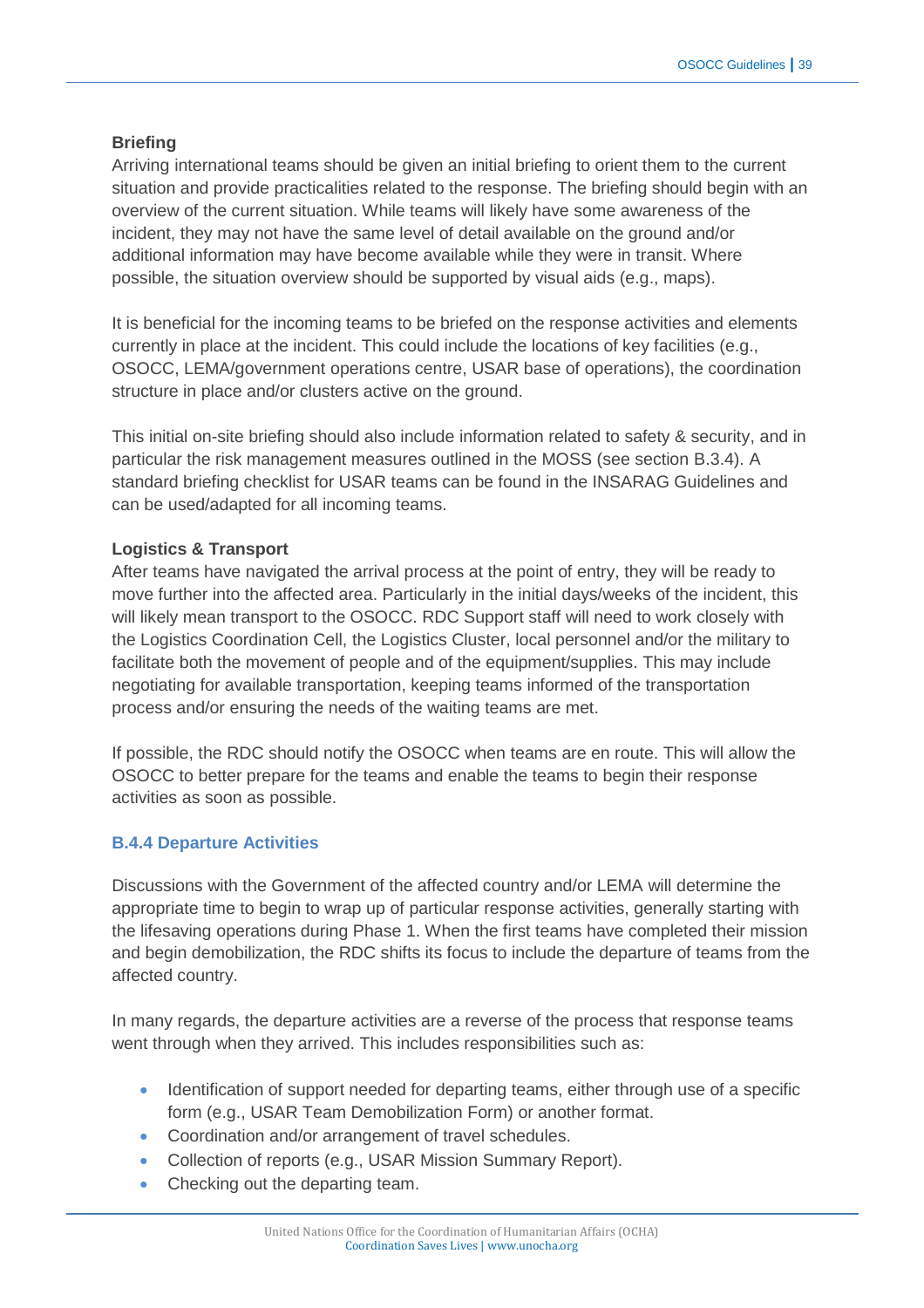# **Briefing**

Arriving international teams should be given an initial briefing to orient them to the current situation and provide practicalities related to the response. The briefing should begin with an overview of the current situation. While teams will likely have some awareness of the incident, they may not have the same level of detail available on the ground and/or additional information may have become available while they were in transit. Where possible, the situation overview should be supported by visual aids (e.g., maps).

It is beneficial for the incoming teams to be briefed on the response activities and elements currently in place at the incident. This could include the locations of key facilities (e.g., OSOCC, LEMA/government operations centre, USAR base of operations), the coordination structure in place and/or clusters active on the ground.

This initial on-site briefing should also include information related to safety & security, and in particular the risk management measures outlined in the MOSS (see section B.3.4). A standard briefing checklist for USAR teams can be found in the INSARAG Guidelines and can be used/adapted for all incoming teams.

# **Logistics & Transport**

After teams have navigated the arrival process at the point of entry, they will be ready to move further into the affected area. Particularly in the initial days/weeks of the incident, this will likely mean transport to the OSOCC. RDC Support staff will need to work closely with the Logistics Coordination Cell, the Logistics Cluster, local personnel and/or the military to facilitate both the movement of people and of the equipment/supplies. This may include negotiating for available transportation, keeping teams informed of the transportation process and/or ensuring the needs of the waiting teams are met.

If possible, the RDC should notify the OSOCC when teams are en route. This will allow the OSOCC to better prepare for the teams and enable the teams to begin their response activities as soon as possible.

# **B.4.4 Departure Activities**

Discussions with the Government of the affected country and/or LEMA will determine the appropriate time to begin to wrap up of particular response activities, generally starting with the lifesaving operations during Phase 1. When the first teams have completed their mission and begin demobilization, the RDC shifts its focus to include the departure of teams from the affected country.

In many regards, the departure activities are a reverse of the process that response teams went through when they arrived. This includes responsibilities such as:

- Identification of support needed for departing teams, either through use of a specific form (e.g., USAR Team Demobilization Form) or another format.
- Coordination and/or arrangement of travel schedules.
- Collection of reports (e.g., USAR Mission Summary Report).
- Checking out the departing team.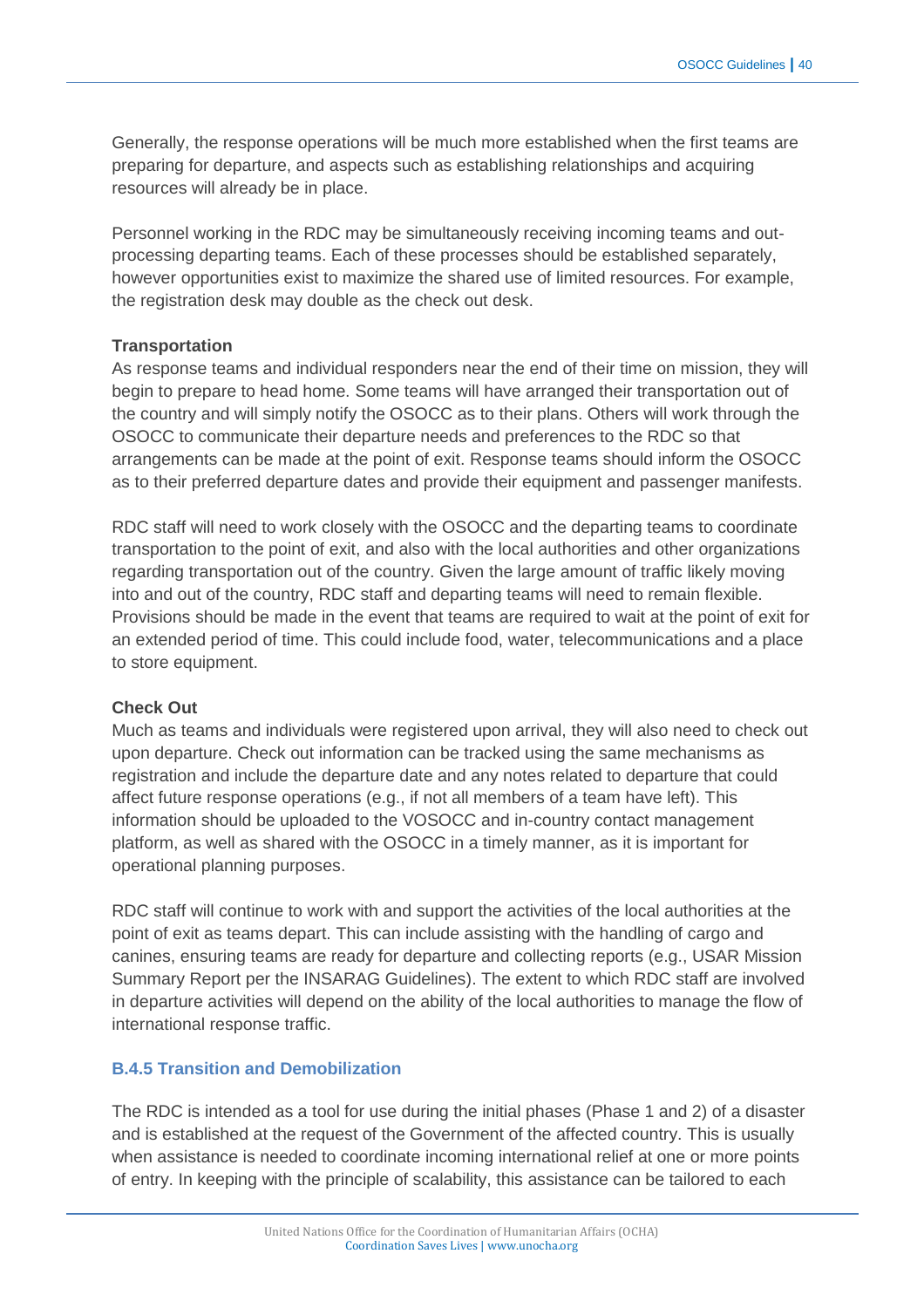Generally, the response operations will be much more established when the first teams are preparing for departure, and aspects such as establishing relationships and acquiring resources will already be in place.

Personnel working in the RDC may be simultaneously receiving incoming teams and outprocessing departing teams. Each of these processes should be established separately, however opportunities exist to maximize the shared use of limited resources. For example, the registration desk may double as the check out desk.

#### **Transportation**

As response teams and individual responders near the end of their time on mission, they will begin to prepare to head home. Some teams will have arranged their transportation out of the country and will simply notify the OSOCC as to their plans. Others will work through the OSOCC to communicate their departure needs and preferences to the RDC so that arrangements can be made at the point of exit. Response teams should inform the OSOCC as to their preferred departure dates and provide their equipment and passenger manifests.

RDC staff will need to work closely with the OSOCC and the departing teams to coordinate transportation to the point of exit, and also with the local authorities and other organizations regarding transportation out of the country. Given the large amount of traffic likely moving into and out of the country, RDC staff and departing teams will need to remain flexible. Provisions should be made in the event that teams are required to wait at the point of exit for an extended period of time. This could include food, water, telecommunications and a place to store equipment.

#### **Check Out**

Much as teams and individuals were registered upon arrival, they will also need to check out upon departure. Check out information can be tracked using the same mechanisms as registration and include the departure date and any notes related to departure that could affect future response operations (e.g., if not all members of a team have left). This information should be uploaded to the VOSOCC and in-country contact management platform, as well as shared with the OSOCC in a timely manner, as it is important for operational planning purposes.

RDC staff will continue to work with and support the activities of the local authorities at the point of exit as teams depart. This can include assisting with the handling of cargo and canines, ensuring teams are ready for departure and collecting reports (e.g., USAR Mission Summary Report per the INSARAG Guidelines). The extent to which RDC staff are involved in departure activities will depend on the ability of the local authorities to manage the flow of international response traffic.

#### **B.4.5 Transition and Demobilization**

The RDC is intended as a tool for use during the initial phases (Phase 1 and 2) of a disaster and is established at the request of the Government of the affected country. This is usually when assistance is needed to coordinate incoming international relief at one or more points of entry. In keeping with the principle of scalability, this assistance can be tailored to each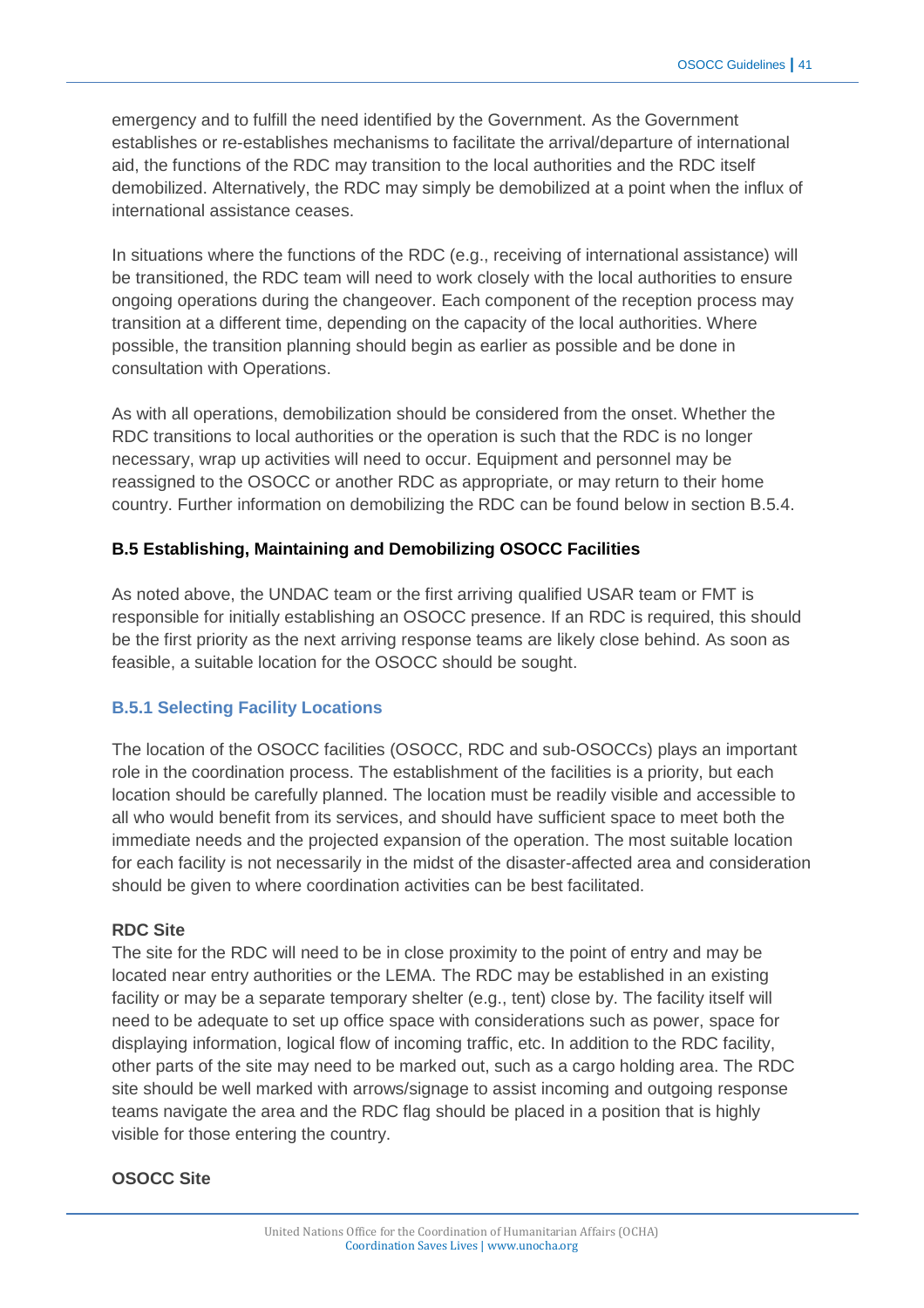emergency and to fulfill the need identified by the Government. As the Government establishes or re-establishes mechanisms to facilitate the arrival/departure of international aid, the functions of the RDC may transition to the local authorities and the RDC itself demobilized. Alternatively, the RDC may simply be demobilized at a point when the influx of international assistance ceases.

In situations where the functions of the RDC (e.g., receiving of international assistance) will be transitioned, the RDC team will need to work closely with the local authorities to ensure ongoing operations during the changeover. Each component of the reception process may transition at a different time, depending on the capacity of the local authorities. Where possible, the transition planning should begin as earlier as possible and be done in consultation with Operations.

As with all operations, demobilization should be considered from the onset. Whether the RDC transitions to local authorities or the operation is such that the RDC is no longer necessary, wrap up activities will need to occur. Equipment and personnel may be reassigned to the OSOCC or another RDC as appropriate, or may return to their home country. Further information on demobilizing the RDC can be found below in section B.5.4.

# **B.5 Establishing, Maintaining and Demobilizing OSOCC Facilities**

As noted above, the UNDAC team or the first arriving qualified USAR team or FMT is responsible for initially establishing an OSOCC presence. If an RDC is required, this should be the first priority as the next arriving response teams are likely close behind. As soon as feasible, a suitable location for the OSOCC should be sought.

#### **B.5.1 Selecting Facility Locations**

The location of the OSOCC facilities (OSOCC, RDC and sub-OSOCCs) plays an important role in the coordination process. The establishment of the facilities is a priority, but each location should be carefully planned. The location must be readily visible and accessible to all who would benefit from its services, and should have sufficient space to meet both the immediate needs and the projected expansion of the operation. The most suitable location for each facility is not necessarily in the midst of the disaster-affected area and consideration should be given to where coordination activities can be best facilitated.

#### **RDC Site**

The site for the RDC will need to be in close proximity to the point of entry and may be located near entry authorities or the LEMA. The RDC may be established in an existing facility or may be a separate temporary shelter (e.g., tent) close by. The facility itself will need to be adequate to set up office space with considerations such as power, space for displaying information, logical flow of incoming traffic, etc. In addition to the RDC facility, other parts of the site may need to be marked out, such as a cargo holding area. The RDC site should be well marked with arrows/signage to assist incoming and outgoing response teams navigate the area and the RDC flag should be placed in a position that is highly visible for those entering the country.

#### **OSOCC Site**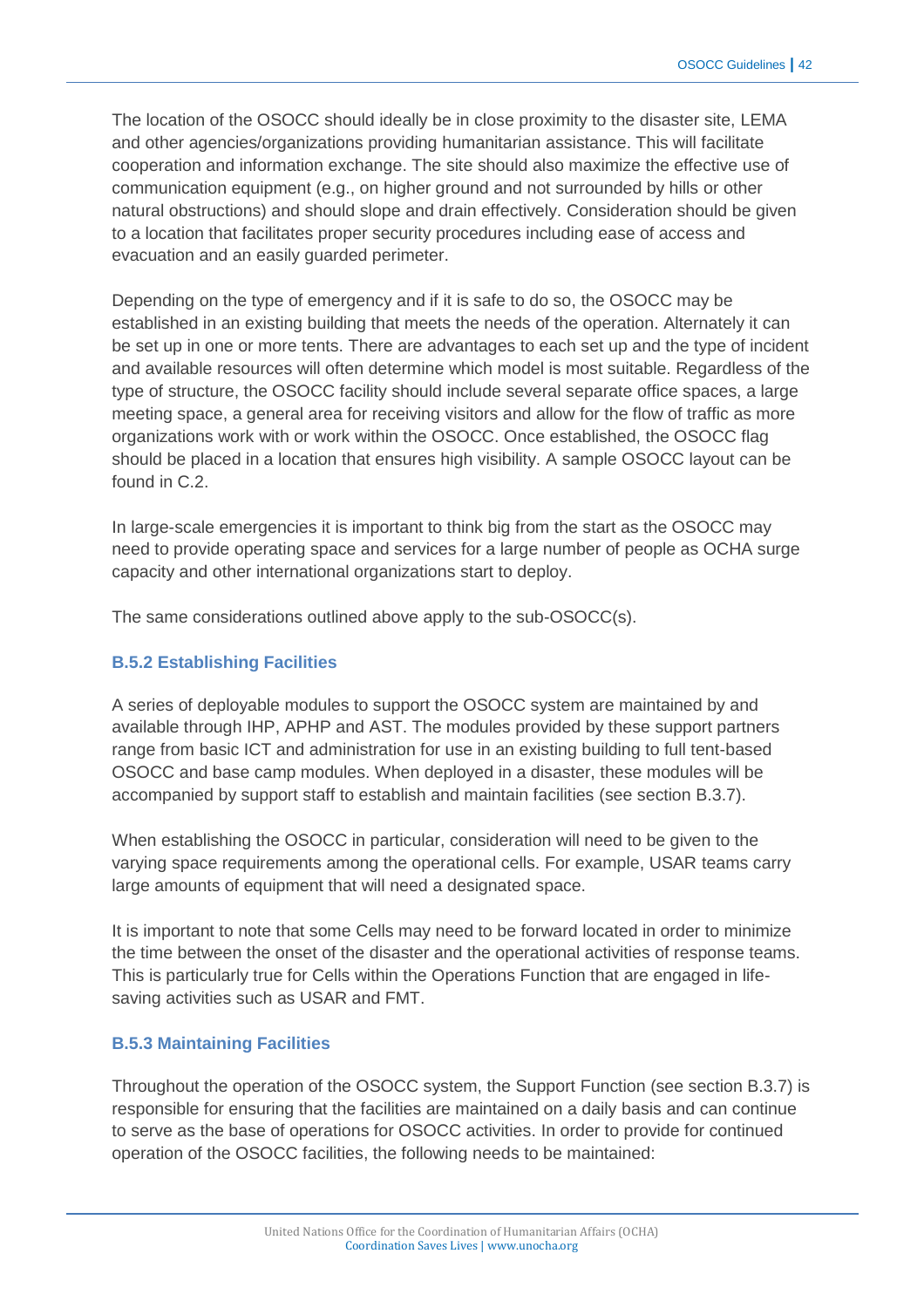The location of the OSOCC should ideally be in close proximity to the disaster site, LEMA and other agencies/organizations providing humanitarian assistance. This will facilitate cooperation and information exchange. The site should also maximize the effective use of communication equipment (e.g., on higher ground and not surrounded by hills or other natural obstructions) and should slope and drain effectively. Consideration should be given to a location that facilitates proper security procedures including ease of access and evacuation and an easily guarded perimeter.

Depending on the type of emergency and if it is safe to do so, the OSOCC may be established in an existing building that meets the needs of the operation. Alternately it can be set up in one or more tents. There are advantages to each set up and the type of incident and available resources will often determine which model is most suitable. Regardless of the type of structure, the OSOCC facility should include several separate office spaces, a large meeting space, a general area for receiving visitors and allow for the flow of traffic as more organizations work with or work within the OSOCC. Once established, the OSOCC flag should be placed in a location that ensures high visibility. A sample OSOCC layout can be found in C.2.

In large-scale emergencies it is important to think big from the start as the OSOCC may need to provide operating space and services for a large number of people as OCHA surge capacity and other international organizations start to deploy.

The same considerations outlined above apply to the sub-OSOCC(s).

# **B.5.2 Establishing Facilities**

A series of deployable modules to support the OSOCC system are maintained by and available through IHP, APHP and AST. The modules provided by these support partners range from basic ICT and administration for use in an existing building to full tent-based OSOCC and base camp modules. When deployed in a disaster, these modules will be accompanied by support staff to establish and maintain facilities (see section B.3.7).

When establishing the OSOCC in particular, consideration will need to be given to the varying space requirements among the operational cells. For example, USAR teams carry large amounts of equipment that will need a designated space.

It is important to note that some Cells may need to be forward located in order to minimize the time between the onset of the disaster and the operational activities of response teams. This is particularly true for Cells within the Operations Function that are engaged in lifesaving activities such as USAR and FMT.

#### **B.5.3 Maintaining Facilities**

Throughout the operation of the OSOCC system, the Support Function (see section B.3.7) is responsible for ensuring that the facilities are maintained on a daily basis and can continue to serve as the base of operations for OSOCC activities. In order to provide for continued operation of the OSOCC facilities, the following needs to be maintained: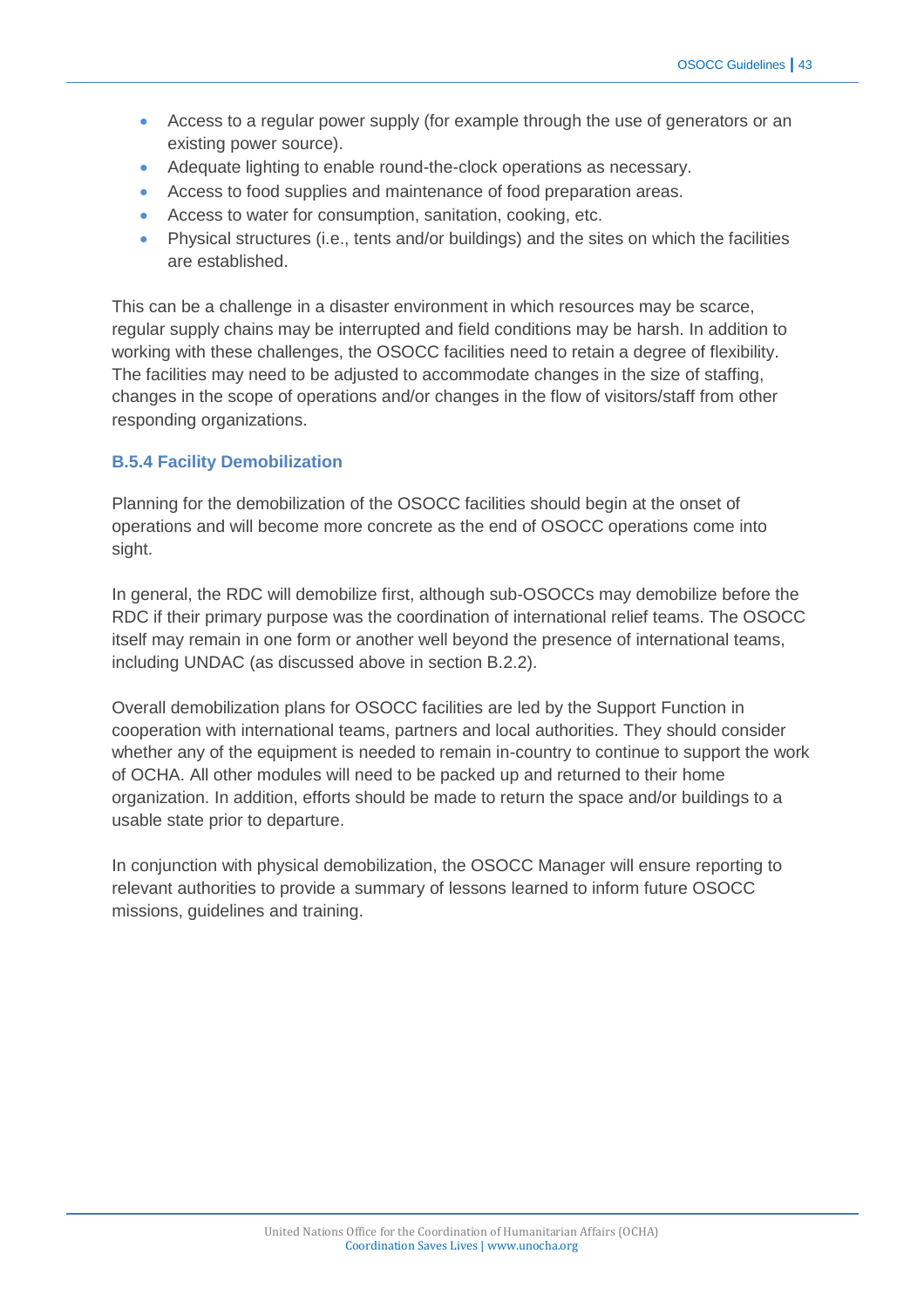- Access to a regular power supply (for example through the use of generators or an existing power source).
- Adequate lighting to enable round-the-clock operations as necessary.
- Access to food supplies and maintenance of food preparation areas.
- Access to water for consumption, sanitation, cooking, etc.
- Physical structures (i.e., tents and/or buildings) and the sites on which the facilities are established.

This can be a challenge in a disaster environment in which resources may be scarce, regular supply chains may be interrupted and field conditions may be harsh. In addition to working with these challenges, the OSOCC facilities need to retain a degree of flexibility. The facilities may need to be adjusted to accommodate changes in the size of staffing, changes in the scope of operations and/or changes in the flow of visitors/staff from other responding organizations.

#### **B.5.4 Facility Demobilization**

Planning for the demobilization of the OSOCC facilities should begin at the onset of operations and will become more concrete as the end of OSOCC operations come into sight.

In general, the RDC will demobilize first, although sub-OSOCCs may demobilize before the RDC if their primary purpose was the coordination of international relief teams. The OSOCC itself may remain in one form or another well beyond the presence of international teams, including UNDAC (as discussed above in section B.2.2).

Overall demobilization plans for OSOCC facilities are led by the Support Function in cooperation with international teams, partners and local authorities. They should consider whether any of the equipment is needed to remain in-country to continue to support the work of OCHA. All other modules will need to be packed up and returned to their home organization. In addition, efforts should be made to return the space and/or buildings to a usable state prior to departure.

In conjunction with physical demobilization, the OSOCC Manager will ensure reporting to relevant authorities to provide a summary of lessons learned to inform future OSOCC missions, guidelines and training.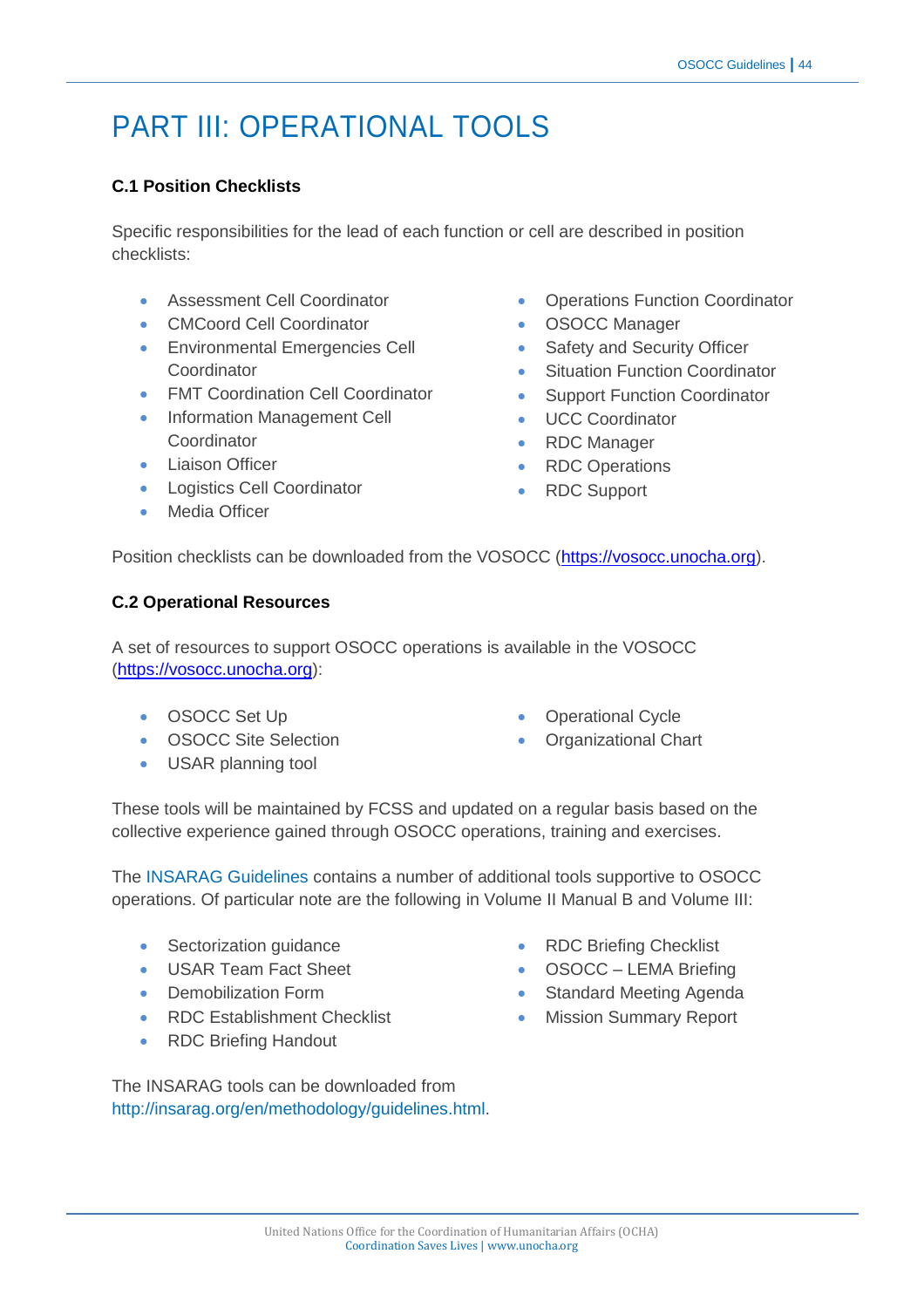# PART III: OPERATIONAL TOOLS

# **C.1 Position Checklists**

Specific responsibilities for the lead of each function or cell are described in position checklists:

- Assessment Cell Coordinator
- CMCoord Cell Coordinator
- **Environmental Emergencies Cell** Coordinator
- **FMT Coordination Cell Coordinator**
- Information Management Cell Coordinator
- **•** Liaison Officer
- **•** Logistics Cell Coordinator
- Media Officer
- Operations Function Coordinator
- OSOCC Manager
- Safety and Security Officer
- Situation Function Coordinator
- Support Function Coordinator
- UCC Coordinator
- RDC Manager
- RDC Operations
- RDC Support

Position checklists can be downloaded from the VOSOCC [\(https://vosocc.unocha.org\)](https://vosocc.unocha.org/).

#### **C.2 Operational Resources**

A set of resources to support OSOCC operations is available in the VOSOCC [\(https://vosocc.unocha.org\)](https://vosocc.unocha.org/):

- OSOCC Set Up
- OSOCC Site Selection
- USAR planning tool
- Operational Cycle
- Organizational Chart

These tools will be maintained by FCSS and updated on a regular basis based on the collective experience gained through OSOCC operations, training and exercises.

The [INSARAG Guidelines](http://insarag.org/en/methodology/guidelines.html) contains a number of additional tools supportive to OSOCC operations. Of particular note are the following in Volume II Manual B and Volume III:

- Sectorization guidance
- USAR Team Fact Sheet
- Demobilization Form
- RDC Establishment Checklist
- RDC Briefing Handout
- RDC Briefing Checklist
- OSOCC LEMA Briefing
- Standard Meeting Agenda
- **Mission Summary Report**

The INSARAG tools can be downloaded from [http://insarag.org/en/methodology/guidelines.html.](http://insarag.org/en/methodology/guidelines.html)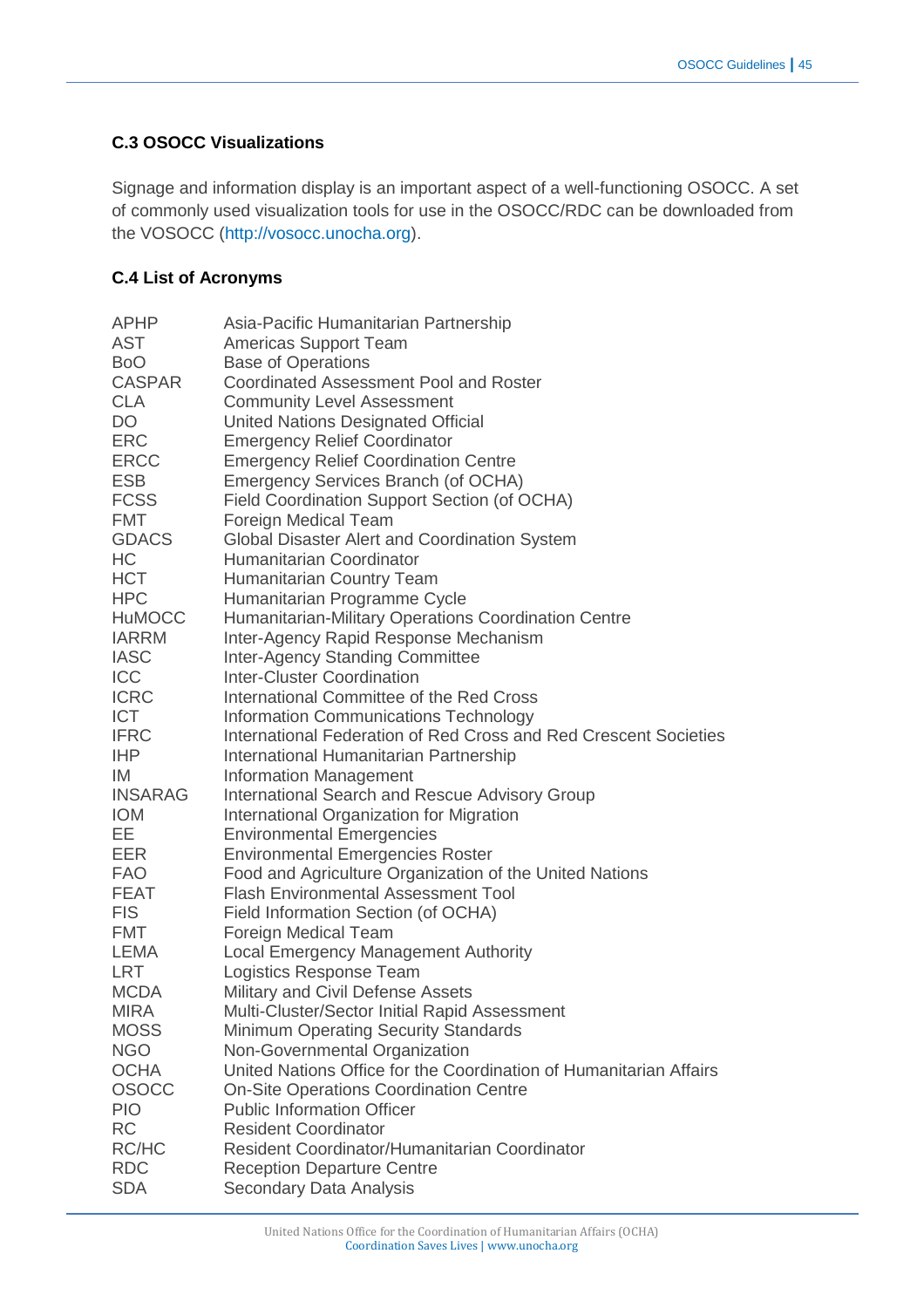# **C.3 OSOCC Visualizations**

Signage and information display is an important aspect of a well-functioning OSOCC. A set of commonly used visualization tools for use in the OSOCC/RDC can be downloaded from the VOSOCC [\(http://vosocc.unocha.org\)](http://vosocc.unocha.org/).

# **C.4 List of Acronyms**

| <b>APHP</b>    | Asia-Pacific Humanitarian Partnership                              |
|----------------|--------------------------------------------------------------------|
| <b>AST</b>     | <b>Americas Support Team</b>                                       |
| BoO            | <b>Base of Operations</b>                                          |
| <b>CASPAR</b>  | <b>Coordinated Assessment Pool and Roster</b>                      |
| <b>CLA</b>     | <b>Community Level Assessment</b>                                  |
| DO             | United Nations Designated Official                                 |
| <b>ERC</b>     | <b>Emergency Relief Coordinator</b>                                |
| <b>ERCC</b>    | <b>Emergency Relief Coordination Centre</b>                        |
| <b>ESB</b>     | Emergency Services Branch (of OCHA)                                |
| <b>FCSS</b>    | Field Coordination Support Section (of OCHA)                       |
| <b>FMT</b>     | Foreign Medical Team                                               |
| <b>GDACS</b>   | Global Disaster Alert and Coordination System                      |
| HC             | Humanitarian Coordinator                                           |
| <b>HCT</b>     | Humanitarian Country Team                                          |
| <b>HPC</b>     | Humanitarian Programme Cycle                                       |
| <b>HuMOCC</b>  | Humanitarian-Military Operations Coordination Centre               |
| <b>IARRM</b>   | Inter-Agency Rapid Response Mechanism                              |
| <b>IASC</b>    | <b>Inter-Agency Standing Committee</b>                             |
| <b>ICC</b>     | <b>Inter-Cluster Coordination</b>                                  |
| <b>ICRC</b>    | International Committee of the Red Cross                           |
| <b>ICT</b>     | Information Communications Technology                              |
| <b>IFRC</b>    | International Federation of Red Cross and Red Crescent Societies   |
| <b>IHP</b>     | International Humanitarian Partnership                             |
| IM             | <b>Information Management</b>                                      |
| <b>INSARAG</b> | International Search and Rescue Advisory Group                     |
| <b>IOM</b>     | International Organization for Migration                           |
| EЕ             | <b>Environmental Emergencies</b>                                   |
| <b>EER</b>     | <b>Environmental Emergencies Roster</b>                            |
| <b>FAO</b>     | Food and Agriculture Organization of the United Nations            |
| FEAT           | <b>Flash Environmental Assessment Tool</b>                         |
| <b>FIS</b>     | Field Information Section (of OCHA)                                |
| FMT            | Foreign Medical Team                                               |
| LEMA           | <b>Local Emergency Management Authority</b>                        |
| <b>LRT</b>     | Logistics Response Team                                            |
| <b>MCDA</b>    | Military and Civil Defense Assets                                  |
| <b>MIRA</b>    | Multi-Cluster/Sector Initial Rapid Assessment                      |
| <b>MOSS</b>    | Minimum Operating Security Standards                               |
| <b>NGO</b>     | Non-Governmental Organization                                      |
| <b>OCHA</b>    | United Nations Office for the Coordination of Humanitarian Affairs |
| <b>OSOCC</b>   | <b>On-Site Operations Coordination Centre</b>                      |
| <b>PIO</b>     | <b>Public Information Officer</b>                                  |
| <b>RC</b>      | <b>Resident Coordinator</b>                                        |
| RC/HC          | Resident Coordinator/Humanitarian Coordinator                      |
| <b>RDC</b>     | <b>Reception Departure Centre</b>                                  |
| <b>SDA</b>     | Secondary Data Analysis                                            |